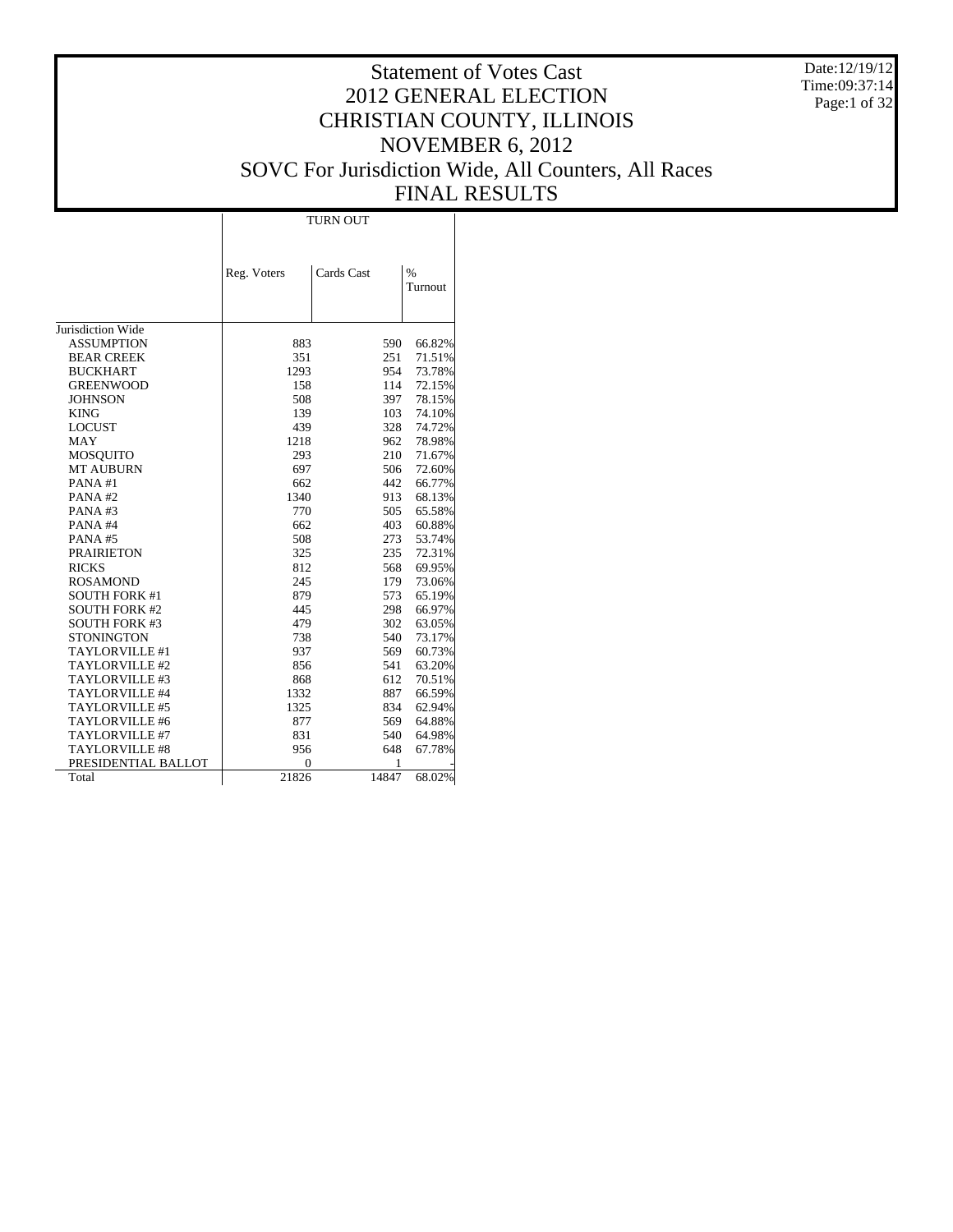Date:12/19/12 Time:09:37:14 Page:1 of 32

# Statement of Votes Cast 2012 GENERAL ELECTION CHRISTIAN COUNTY, ILLINOIS NOVEMBER 6, 2012 SOVC For Jurisdiction Wide, All Counters, All Races FINAL RESULTS

Τ

|                       | Reg. Voters | Cards Cast | $\frac{0}{0}$<br>Turnout |
|-----------------------|-------------|------------|--------------------------|
| Jurisdiction Wide     |             |            |                          |
| ASSUMPTION            | 883         | 590        | 66.82%                   |
| <b>BEAR CREEK</b>     | 351         | 251        | 71.51%                   |
| <b>BUCKHART</b>       | 1293        | 954        | 73.78%                   |
| GREENWOOD             | 158         | 114        | 72.15%                   |
| <b>JOHNSON</b>        | 508         | 397        | 78.15%                   |
| <b>KING</b>           | 139         | 103        | 74.10%                   |
| <b>LOCUST</b>         | 439         | 328        | 74.72%                   |
| MAY                   | 1218        | 962        | 78.98%                   |
| MOSQUITO              | 293         | 210        | 71.67%                   |
| <b>MT AUBURN</b>      | 697         | 506        | 72.60%                   |
| PANA#1                | 662         | 442        | 66.77%                   |
| PANA#2                | 1340        | 913        | 68.13%                   |
| PANA#3                | 770         | 505        | 65.58%                   |
| PANA#4                | 662         | 403        | 60.88%                   |
| PANA#5                | 508         | 273        | 53.74%                   |
| <b>PRAIRIETON</b>     | 325         | 235        | 72.31%                   |
| <b>RICKS</b>          | 812         | 568        | 69.95%                   |
| <b>ROSAMOND</b>       | 245         | 179        | 73.06%                   |
| <b>SOUTH FORK #1</b>  | 879         | 573        | 65.19%                   |
| <b>SOUTH FORK #2</b>  | 445         | 298        | 66.97%                   |
| <b>SOUTH FORK #3</b>  | 479         | 302        | 63.05%                   |
| <b>STONINGTON</b>     | 738         | 540        | 73.17%                   |
| <b>TAYLORVILLE #1</b> | 937         | 569        | 60.73%                   |
| TAYLORVILLE #2        | 856         | 541        | 63.20%                   |
| TAYLORVILLE #3        | 868         | 612        | 70.51%                   |
| <b>TAYLORVILLE #4</b> | 1332        | 887        | 66.59%                   |
| <b>TAYLORVILLE #5</b> | 1325        | 834        | 62.94%                   |
| <b>TAYLORVILLE #6</b> | 877         | 569        | 64.88%                   |
| TAYLORVILLE #7        | 831         | 540        | 64.98%                   |
| <b>TAYLORVILLE #8</b> | 956         | 648        | 67.78%                   |
| PRESIDENTIAL BALLOT   | $\Omega$    | 1          |                          |
| Total                 | 21826       | 14847      | 68.02%                   |

 $\overline{1}$ 

TURN OUT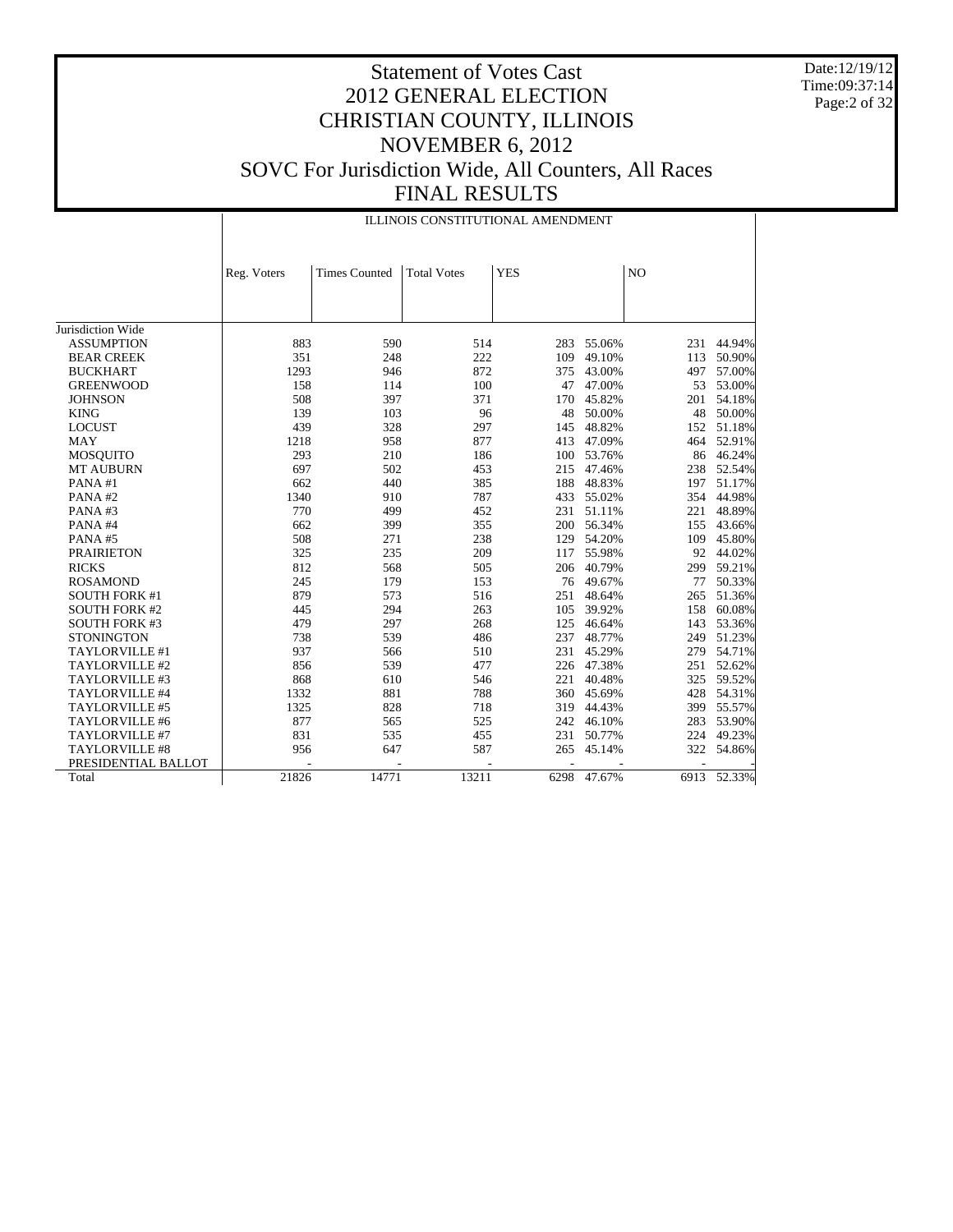Date:12/19/12 Time:09:37:14 Page:2 of 32

|                       |             | ILLINOIS CONSTITUTIONAL AMENDMENT |                    |            |        |     |             |  |  |  |  |
|-----------------------|-------------|-----------------------------------|--------------------|------------|--------|-----|-------------|--|--|--|--|
|                       | Reg. Voters | <b>Times Counted</b>              | <b>Total Votes</b> | <b>YES</b> |        | NO  |             |  |  |  |  |
|                       |             |                                   |                    |            |        |     |             |  |  |  |  |
| Jurisdiction Wide     |             |                                   |                    |            |        |     |             |  |  |  |  |
| <b>ASSUMPTION</b>     | 883         | 590                               | 514                | 283        | 55.06% | 231 | 44.94%      |  |  |  |  |
| <b>BEAR CREEK</b>     | 351         | 248                               | 222                | 109        | 49.10% | 113 | 50.90%      |  |  |  |  |
| <b>BUCKHART</b>       | 1293        | 946                               | 872                | 375        | 43.00% | 497 | 57.00%      |  |  |  |  |
| <b>GREENWOOD</b>      | 158         | 114                               | 100                | 47         | 47.00% | 53  | 53.00%      |  |  |  |  |
| <b>JOHNSON</b>        | 508         | 397                               | 371                | 170        | 45.82% | 201 | 54.18%      |  |  |  |  |
| <b>KING</b>           | 139         | 103                               | 96                 | 48         | 50.00% | 48  | 50.00%      |  |  |  |  |
| <b>LOCUST</b>         | 439         | 328                               | 297                | 145        | 48.82% | 152 | 51.18%      |  |  |  |  |
| <b>MAY</b>            | 1218        | 958                               | 877                | 413        | 47.09% | 464 | 52.91%      |  |  |  |  |
| <b>MOSQUITO</b>       | 293         | 210                               | 186                | 100        | 53.76% | 86  | 46.24%      |  |  |  |  |
| <b>MT AUBURN</b>      | 697         | 502                               | 453                | 215        | 47.46% | 238 | 52.54%      |  |  |  |  |
| PANA#1                | 662         | 440                               | 385                | 188        | 48.83% | 197 | 51.17%      |  |  |  |  |
| PANA#2                | 1340        | 910                               | 787                | 433        | 55.02% | 354 | 44.98%      |  |  |  |  |
| PANA#3                | 770         | 499                               | 452                | 231        | 51.11% | 221 | 48.89%      |  |  |  |  |
| PANA#4                | 662         | 399                               | 355                | 200        | 56.34% | 155 | 43.66%      |  |  |  |  |
| PANA#5                | 508         | 271                               | 238                | 129        | 54.20% | 109 | 45.80%      |  |  |  |  |
| <b>PRAIRIETON</b>     | 325         | 235                               | 209                | 117        | 55.98% | 92  | 44.02%      |  |  |  |  |
| <b>RICKS</b>          | 812         | 568                               | 505                | 206        | 40.79% | 299 | 59.21%      |  |  |  |  |
| <b>ROSAMOND</b>       | 245         | 179                               | 153                | 76         | 49.67% | 77  | 50.33%      |  |  |  |  |
| <b>SOUTH FORK #1</b>  | 879         | 573                               | 516                | 251        | 48.64% | 265 | 51.36%      |  |  |  |  |
| <b>SOUTH FORK #2</b>  | 445         | 294                               | 263                | 105        | 39.92% | 158 | 60.08%      |  |  |  |  |
| <b>SOUTH FORK #3</b>  | 479         | 297                               | 268                | 125        | 46.64% | 143 | 53.36%      |  |  |  |  |
| <b>STONINGTON</b>     | 738         | 539                               | 486                | 237        | 48.77% | 249 | 51.23%      |  |  |  |  |
| TAYLORVILLE #1        | 937         | 566                               | 510                | 231        | 45.29% | 279 | 54.71%      |  |  |  |  |
| TAYLORVILLE #2        | 856         | 539                               | 477                | 226        | 47.38% | 251 | 52.62%      |  |  |  |  |
| TAYLORVILLE #3        | 868         | 610                               | 546                | 221        | 40.48% | 325 | 59.52%      |  |  |  |  |
| TAYLORVILLE #4        | 1332        | 881                               | 788                | 360        | 45.69% | 428 | 54.31%      |  |  |  |  |
| TAYLORVILLE #5        | 1325        | 828                               | 718                | 319        | 44.43% | 399 | 55.57%      |  |  |  |  |
| TAYLORVILLE #6        | 877         | 565                               | 525                | 242        | 46.10% | 283 | 53.90%      |  |  |  |  |
| TAYLORVILLE #7        | 831         | 535                               | 455                | 231        | 50.77% | 224 | 49.23%      |  |  |  |  |
| <b>TAYLORVILLE #8</b> | 956         | 647                               | 587                | 265        | 45.14% | 322 | 54.86%      |  |  |  |  |
| PRESIDENTIAL BALLOT   |             |                                   |                    |            |        |     |             |  |  |  |  |
| Total                 | 21826       | 14771                             | 13211              | 6298       | 47.67% |     | 6913 52.33% |  |  |  |  |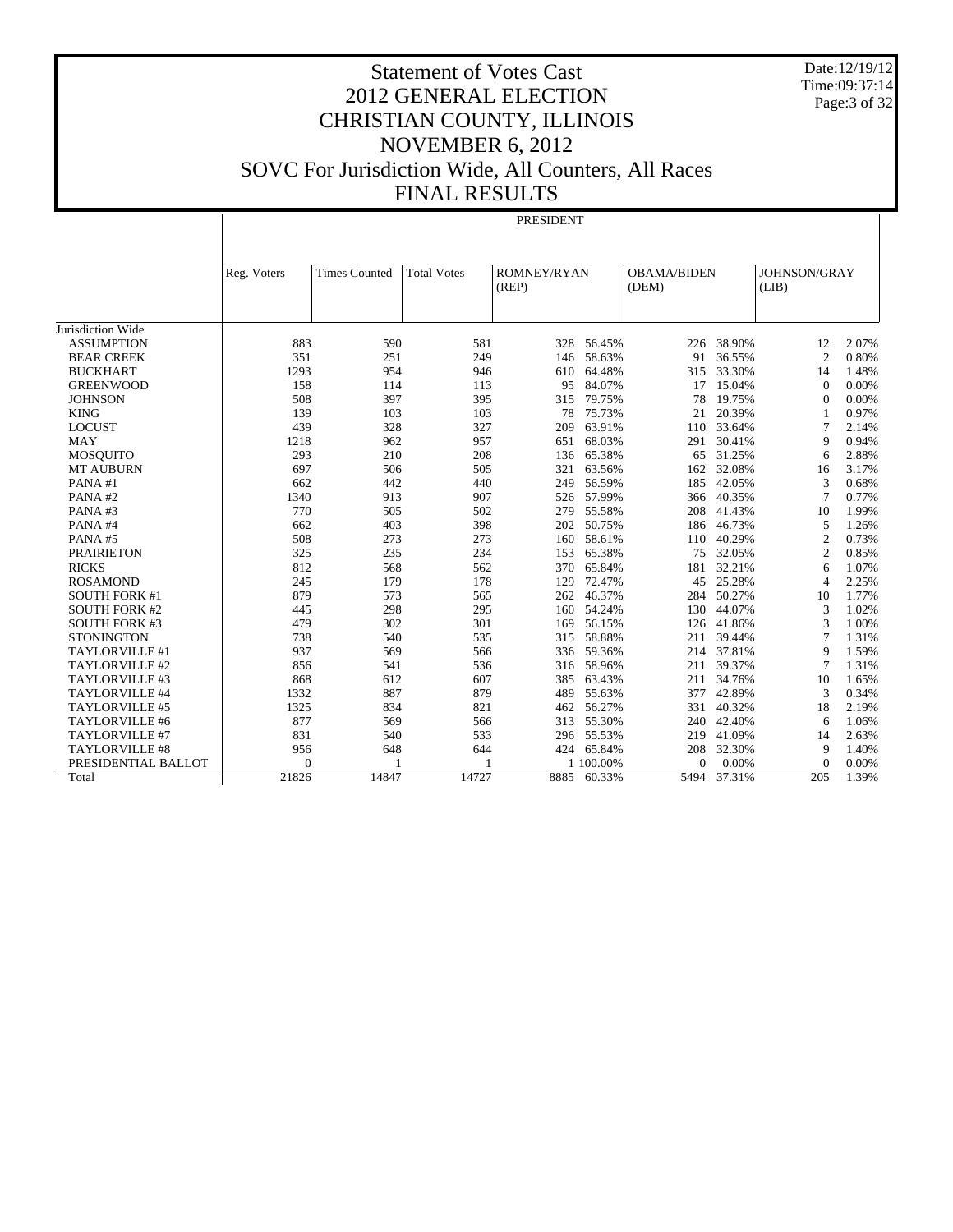Date:12/19/12 Time:09:37:14 Page:3 of 32

PRESIDENT

|                       | Reg. Voters    | <b>Times Counted</b> | <b>Total Votes</b> | <b>ROMNEY/RYAN</b> |                  | <b>OBAMA/BIDEN</b> |                  | <b>JOHNSON/GRAY</b> |       |
|-----------------------|----------------|----------------------|--------------------|--------------------|------------------|--------------------|------------------|---------------------|-------|
|                       |                |                      |                    | (REP)              |                  | (DEM)              |                  | (LIB)               |       |
|                       |                |                      |                    |                    |                  |                    |                  |                     |       |
| Jurisdiction Wide     |                |                      |                    |                    |                  |                    |                  |                     |       |
| <b>ASSUMPTION</b>     | 883            | 590                  | 581                | 328                | 56.45%           | 226                | 38.90%           | 12                  | 2.07% |
| <b>BEAR CREEK</b>     | 351            | 251                  | 249                | 146                | 58.63%           | 91                 | 36.55%           | $\overline{c}$      | 0.80% |
| <b>BUCKHART</b>       | 1293           | 954                  | 946                | 610                | 64.48%           | 315                | 33.30%           | 14                  | 1.48% |
| <b>GREENWOOD</b>      | 158            | 114                  | 113                | 95                 | 84.07%           | 17                 | 15.04%           | $\Omega$            | 0.00% |
| <b>JOHNSON</b>        | 508            | 397                  | 395                | 315                | 79.75%           | 78                 | 19.75%           | $\Omega$            | 0.00% |
| <b>KING</b>           | 139            | 103                  | 103                | 78                 | 75.73%           | 21                 | 20.39%           | -1                  | 0.97% |
| <b>LOCUST</b>         | 439            | 328                  | 327                | 209                | 63.91%           | 110                | 33.64%           | $\tau$              | 2.14% |
| MAY                   | 1218           | 962                  | 957                | 651                | 68.03%           | 291                | 30.41%           | 9                   | 0.94% |
| MOSQUITO              | 293            | 210                  | 208                | 136                | 65.38%           | 65                 | 31.25%           | 6                   | 2.88% |
| <b>MT AUBURN</b>      | 697            | 506                  | 505                | 321                | 63.56%           | 162                | 32.08%           | 16                  | 3.17% |
| PANA#1                | 662            | 442                  | 440                | 249                | 56.59%           | 185                | 42.05%           | 3                   | 0.68% |
| PANA#2                | 1340           | 913                  | 907                |                    | 526 57.99%       | 366                | 40.35%           | $\overline{7}$      | 0.77% |
| PANA#3                | 770            | 505                  | 502                | 279                | 55.58%           | 208                | 41.43%           | 10                  | 1.99% |
| PANA#4                | 662            | 403                  | 398                | 202                | 50.75%           | 186                | 46.73%           | 5                   | 1.26% |
| PANA#5                | 508            | 273                  | 273                | 160                | 58.61%           | 110                | 40.29%           | $\overline{2}$      | 0.73% |
| <b>PRAIRIETON</b>     | 325            | 235                  | 234                | 153                | 65.38%           | 75                 | 32.05%           | $\overline{2}$      | 0.85% |
| <b>RICKS</b>          | 812            | 568                  | 562                | 370                | 65.84%           | 181                | 32.21%           | 6                   | 1.07% |
| <b>ROSAMOND</b>       | 245            | 179                  | 178                | 129                | 72.47%           | 45                 | 25.28%           | $\overline{4}$      | 2.25% |
| <b>SOUTH FORK #1</b>  | 879            | 573                  | 565                | 262                | 46.37%           | 284                | 50.27%           | 10                  | 1.77% |
| <b>SOUTH FORK #2</b>  | 445            | 298                  | 295                | 160                | 54.24%           | 130                | 44.07%           | 3                   | 1.02% |
| <b>SOUTH FORK #3</b>  | 479            | 302                  | 301                | 169                | 56.15%           | 126                | 41.86%           | 3                   | 1.00% |
| <b>STONINGTON</b>     | 738            | 540                  | 535                | 315                | 58.88%           | 211                | 39.44%           | 7                   | 1.31% |
| TAYLORVILLE #1        | 937            | 569                  | 566                | 336                | 59.36%           | 214                | 37.81%           | 9                   | 1.59% |
| TAYLORVILLE #2        | 856            | 541                  | 536                | 316                | 58.96%           | 211                | 39.37%           | $\tau$              | 1.31% |
| TAYLORVILLE #3        | 868            | 612                  | 607                | 385                | 63.43%           | 211                | 34.76%           | 10                  | 1.65% |
| TAYLORVILLE #4        | 1332           | 887                  | 879                | 489                | 55.63%           | 377                | 42.89%           | 3                   | 0.34% |
| TAYLORVILLE #5        | 1325           | 834                  | 821                | 462                | 56.27%           | 331                | 40.32%           | 18                  | 2.19% |
| TAYLORVILLE #6        | 877            | 569                  | 566                | 313                | 55.30%           | 240                | 42.40%           | 6                   | 1.06% |
| <b>TAYLORVILLE #7</b> | 831            | 540                  |                    | 296                |                  | 219                |                  | 14                  | 2.63% |
| TAYLORVILLE #8        | 956            | 648                  | 533<br>644         | 424                | 55.53%<br>65.84% | 208                | 41.09%<br>32.30% | 9                   | 1.40% |
| PRESIDENTIAL BALLOT   | $\overline{0}$ |                      |                    |                    | 1 100.00%        | $\mathbf{0}$       | 0.00%            | $\Omega$            | 0.00% |
|                       | 21826          | 14847                | 14727              | 8885               | 60.33%           | 5494               | 37.31%           | 205                 | 1.39% |
| Total                 |                |                      |                    |                    |                  |                    |                  |                     |       |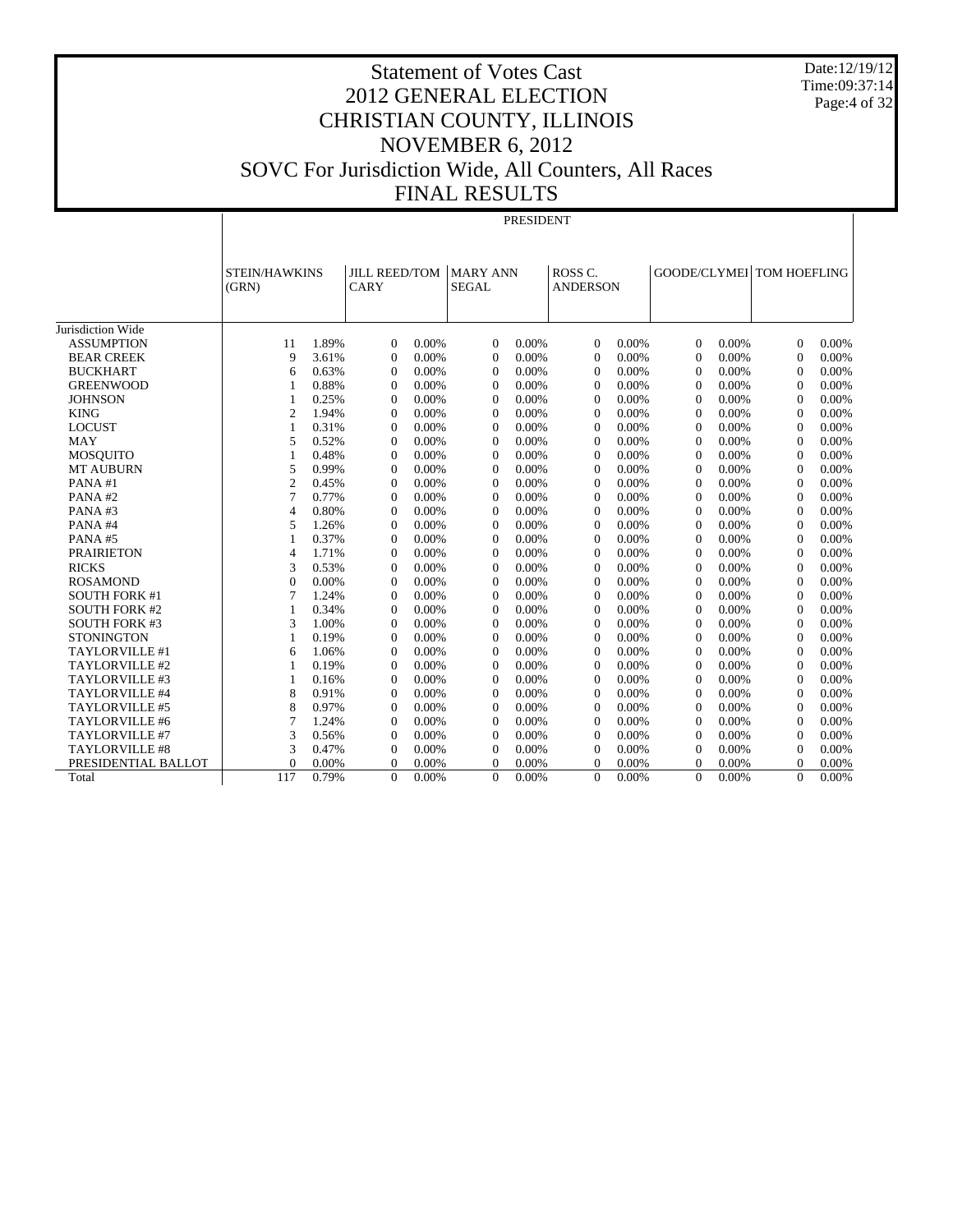Date:12/19/12 Time:09:37:14 Page:4 of 32

# Statement of Votes Cast 2012 GENERAL ELECTION CHRISTIAN COUNTY, ILLINOIS NOVEMBER 6, 2012 SOVC For Jurisdiction Wide, All Counters, All Races FINAL RESULTS

#### PRESIDENT

| ROSS <sub>C</sub><br>GOODE/CLYMEI TOM HOEFLING<br><b>JILL REED/TOM</b><br><b>MARY ANN</b><br><b>STEIN/HAWKINS</b><br>(GRN)<br>CARY<br>SEGAL<br><b>ANDERSON</b><br>Jurisdiction Wide<br>1.89%<br>0.00%<br>0.00%<br>0.00%<br>0.00%<br>0.00%<br><b>ASSUMPTION</b><br>11<br>$\Omega$<br>$\theta$<br>$\Omega$<br>$\mathbf{0}$<br>$\Omega$<br>9<br>3.61%<br>0.00%<br><b>BEAR CREEK</b><br>0.00%<br>0.00%<br>0.00%<br>0.00%<br>$\Omega$<br>$\overline{0}$<br>$\Omega$<br>$\mathbf{0}$<br>$\Omega$<br><b>BUCKHART</b><br>0.63%<br>0.00%<br>0.00%<br>$\mathbf{0}$<br>0.00%<br>0.00%<br>$\theta$<br>0.00%<br>6<br>$\theta$<br>$\overline{0}$<br>$\mathbf{0}$<br>0.88%<br>0.00%<br>0.00%<br>0.00%<br><b>GREENWOOD</b><br>$\overline{0}$<br>$\overline{0}$<br>0.00%<br>$\theta$<br>$\mathbf{0}$<br>$\Omega$<br>0.00%<br>$\mathbf{1}$<br>0.25%<br>0.00%<br>0.00%<br>$\overline{0}$<br>0.00%<br>0.00%<br><b>JOHNSON</b><br>$\overline{0}$<br>$\overline{0}$<br>$\mathbf{0}$<br>$\overline{0}$<br>0.00%<br>1<br>$\overline{2}$<br>1.94%<br>$\mathbf{0}$<br>0.00%<br>$\overline{0}$<br>0.00%<br>$\overline{0}$<br>0.00%<br>$\mathbf{0}$<br>0.00%<br>$\overline{0}$<br><b>KING</b><br>0.00% |  |  |  |  |  |  |       |
|----------------------------------------------------------------------------------------------------------------------------------------------------------------------------------------------------------------------------------------------------------------------------------------------------------------------------------------------------------------------------------------------------------------------------------------------------------------------------------------------------------------------------------------------------------------------------------------------------------------------------------------------------------------------------------------------------------------------------------------------------------------------------------------------------------------------------------------------------------------------------------------------------------------------------------------------------------------------------------------------------------------------------------------------------------------------------------------------------------------------------------------------------------------------------|--|--|--|--|--|--|-------|
|                                                                                                                                                                                                                                                                                                                                                                                                                                                                                                                                                                                                                                                                                                                                                                                                                                                                                                                                                                                                                                                                                                                                                                            |  |  |  |  |  |  |       |
|                                                                                                                                                                                                                                                                                                                                                                                                                                                                                                                                                                                                                                                                                                                                                                                                                                                                                                                                                                                                                                                                                                                                                                            |  |  |  |  |  |  |       |
|                                                                                                                                                                                                                                                                                                                                                                                                                                                                                                                                                                                                                                                                                                                                                                                                                                                                                                                                                                                                                                                                                                                                                                            |  |  |  |  |  |  |       |
|                                                                                                                                                                                                                                                                                                                                                                                                                                                                                                                                                                                                                                                                                                                                                                                                                                                                                                                                                                                                                                                                                                                                                                            |  |  |  |  |  |  |       |
|                                                                                                                                                                                                                                                                                                                                                                                                                                                                                                                                                                                                                                                                                                                                                                                                                                                                                                                                                                                                                                                                                                                                                                            |  |  |  |  |  |  |       |
|                                                                                                                                                                                                                                                                                                                                                                                                                                                                                                                                                                                                                                                                                                                                                                                                                                                                                                                                                                                                                                                                                                                                                                            |  |  |  |  |  |  |       |
|                                                                                                                                                                                                                                                                                                                                                                                                                                                                                                                                                                                                                                                                                                                                                                                                                                                                                                                                                                                                                                                                                                                                                                            |  |  |  |  |  |  |       |
|                                                                                                                                                                                                                                                                                                                                                                                                                                                                                                                                                                                                                                                                                                                                                                                                                                                                                                                                                                                                                                                                                                                                                                            |  |  |  |  |  |  |       |
|                                                                                                                                                                                                                                                                                                                                                                                                                                                                                                                                                                                                                                                                                                                                                                                                                                                                                                                                                                                                                                                                                                                                                                            |  |  |  |  |  |  |       |
|                                                                                                                                                                                                                                                                                                                                                                                                                                                                                                                                                                                                                                                                                                                                                                                                                                                                                                                                                                                                                                                                                                                                                                            |  |  |  |  |  |  |       |
|                                                                                                                                                                                                                                                                                                                                                                                                                                                                                                                                                                                                                                                                                                                                                                                                                                                                                                                                                                                                                                                                                                                                                                            |  |  |  |  |  |  |       |
| 0.31%<br>0.00%<br>0.00%<br><b>LOCUST</b><br>$\mathbf{1}$<br>$\Omega$<br>0.00%<br>$\Omega$<br>0.00%<br>$\Omega$<br>$\mathbf{0}$<br>$\theta$                                                                                                                                                                                                                                                                                                                                                                                                                                                                                                                                                                                                                                                                                                                                                                                                                                                                                                                                                                                                                                 |  |  |  |  |  |  | 0.00% |
| 5<br>0.52%<br>0.00%<br>0.00%<br>0.00%<br>0.00%<br><b>MAY</b><br>$\Omega$<br>$\Omega$<br>$\Omega$<br>$\Omega$<br>$\Omega$                                                                                                                                                                                                                                                                                                                                                                                                                                                                                                                                                                                                                                                                                                                                                                                                                                                                                                                                                                                                                                                   |  |  |  |  |  |  | 0.00% |
| 0.48%<br>0.00%<br>0.00%<br>0.00%<br>0.00%<br><b>MOSQUITO</b><br>$\Omega$<br>$\Omega$<br>$\Omega$<br>$\Omega$<br>$\Omega$<br>1                                                                                                                                                                                                                                                                                                                                                                                                                                                                                                                                                                                                                                                                                                                                                                                                                                                                                                                                                                                                                                              |  |  |  |  |  |  | 0.00% |
| 5<br>0.99%<br>0.00%<br>0.00%<br>0.00%<br>0.00%<br>$\theta$<br><b>MT AUBURN</b><br>$\theta$<br>$\Omega$<br>$\Omega$<br>$\mathbf{0}$                                                                                                                                                                                                                                                                                                                                                                                                                                                                                                                                                                                                                                                                                                                                                                                                                                                                                                                                                                                                                                         |  |  |  |  |  |  | 0.00% |
| $\overline{2}$<br>0.45%<br>0.00%<br>0.00%<br>0.00%<br>0.00%<br>$\Omega$<br>PANA#1<br>$\Omega$<br>$\Omega$<br>$\Omega$<br>$\Omega$                                                                                                                                                                                                                                                                                                                                                                                                                                                                                                                                                                                                                                                                                                                                                                                                                                                                                                                                                                                                                                          |  |  |  |  |  |  | 0.00% |
| $\overline{7}$<br>0.77%<br>0.00%<br>0.00%<br>0.00%<br>$\theta$<br>0.00%<br>$\Omega$<br>PANA#2<br>$\Omega$<br>$\Omega$<br>$\Omega$                                                                                                                                                                                                                                                                                                                                                                                                                                                                                                                                                                                                                                                                                                                                                                                                                                                                                                                                                                                                                                          |  |  |  |  |  |  | 0.00% |
| PANA#3<br>$\overline{4}$<br>0.80%<br>$\Omega$<br>0.00%<br>$\Omega$<br>0.00%<br>$\Omega$<br>0.00%<br>$\Omega$<br>0.00%<br>$\Omega$                                                                                                                                                                                                                                                                                                                                                                                                                                                                                                                                                                                                                                                                                                                                                                                                                                                                                                                                                                                                                                          |  |  |  |  |  |  | 0.00% |
| 5<br>0.00%<br>0.00%<br>PANA#4<br>1.26%<br>$\Omega$<br>0.00%<br>$\Omega$<br>0.00%<br>$\Omega$<br>$\Omega$<br>$\Omega$                                                                                                                                                                                                                                                                                                                                                                                                                                                                                                                                                                                                                                                                                                                                                                                                                                                                                                                                                                                                                                                       |  |  |  |  |  |  | 0.00% |
| 0.37%<br>0.00%<br>0.00%<br>0.00%<br>0.00%<br>PANA#5<br>$\Omega$<br>$\overline{0}$<br>$\Omega$<br>$\mathbf{0}$<br>$\Omega$<br>1                                                                                                                                                                                                                                                                                                                                                                                                                                                                                                                                                                                                                                                                                                                                                                                                                                                                                                                                                                                                                                             |  |  |  |  |  |  | 0.00% |
| $\overline{4}$<br>1.71%<br>0.00%<br>0.00%<br>0.00%<br>0.00%<br><b>PRAIRIETON</b><br>$\Omega$<br>$\theta$<br>$\theta$<br>$\mathbf{0}$<br>$\Omega$                                                                                                                                                                                                                                                                                                                                                                                                                                                                                                                                                                                                                                                                                                                                                                                                                                                                                                                                                                                                                           |  |  |  |  |  |  | 0.00% |
| 3<br>0.53%<br>0.00%<br><b>RICKS</b><br>0.00%<br>0.00%<br>0.00%<br>$\Omega$<br>$\overline{0}$<br>$\theta$<br>$\theta$<br>$\mathbf{0}$                                                                                                                                                                                                                                                                                                                                                                                                                                                                                                                                                                                                                                                                                                                                                                                                                                                                                                                                                                                                                                       |  |  |  |  |  |  | 0.00% |
| $\overline{0}$<br>0.00%<br>0.00%<br>0.00%<br>0.00%<br><b>ROSAMOND</b><br>$\theta$<br>$\overline{0}$<br>0.00%<br>$\mathbf{0}$<br>$\mathbf{0}$<br>$\theta$                                                                                                                                                                                                                                                                                                                                                                                                                                                                                                                                                                                                                                                                                                                                                                                                                                                                                                                                                                                                                   |  |  |  |  |  |  | 0.00% |
| $\overline{7}$<br>1.24%<br>0.00%<br>$\Omega$<br>0.00%<br>0.00%<br>$\Omega$<br><b>SOUTH FORK #1</b><br>$\Omega$<br>$\Omega$<br>0.00%<br>$\mathbf{0}$                                                                                                                                                                                                                                                                                                                                                                                                                                                                                                                                                                                                                                                                                                                                                                                                                                                                                                                                                                                                                        |  |  |  |  |  |  | 0.00% |
| 0.00%<br><b>SOUTH FORK #2</b><br>0.34%<br>0.00%<br>$\theta$<br>0.00%<br>$\mathbf{0}$<br>0.00%<br>$\theta$<br>1<br>$\theta$<br>$\mathbf{0}$                                                                                                                                                                                                                                                                                                                                                                                                                                                                                                                                                                                                                                                                                                                                                                                                                                                                                                                                                                                                                                 |  |  |  |  |  |  | 0.00% |
| 3<br>1.00%<br>0.00%<br>0.00%<br><b>SOUTH FORK #3</b><br>0.00%<br>$\Omega$<br>0.00%<br>$\Omega$<br>$\Omega$<br>$\theta$<br>$\Omega$                                                                                                                                                                                                                                                                                                                                                                                                                                                                                                                                                                                                                                                                                                                                                                                                                                                                                                                                                                                                                                         |  |  |  |  |  |  | 0.00% |
| 0.19%<br>0.00%<br>0.00%<br>0.00%<br><b>STONINGTON</b><br>0.00%<br>$\Omega$<br>$\Omega$<br>$\Omega$<br>1<br>$\Omega$<br>$\Omega$                                                                                                                                                                                                                                                                                                                                                                                                                                                                                                                                                                                                                                                                                                                                                                                                                                                                                                                                                                                                                                            |  |  |  |  |  |  | 0.00% |
| 1.06%<br>0.00%<br>0.00%<br>TAYLORVILLE #1<br>0.00%<br>$\Omega$<br>0.00%<br>$\mathbf{0}$<br>$\Omega$<br>6<br>$\theta$<br>$\Omega$                                                                                                                                                                                                                                                                                                                                                                                                                                                                                                                                                                                                                                                                                                                                                                                                                                                                                                                                                                                                                                           |  |  |  |  |  |  | 0.00% |
| TAYLORVILLE #2<br>0.19%<br>0.00%<br>0.00%<br>0.00%<br>0.00%<br>$\Omega$<br>$\Omega$<br>$\Omega$<br>$\Omega$<br>$\Omega$<br>$\mathbf{1}$                                                                                                                                                                                                                                                                                                                                                                                                                                                                                                                                                                                                                                                                                                                                                                                                                                                                                                                                                                                                                                    |  |  |  |  |  |  | 0.00% |
| 0.16%<br>0.00%<br>0.00%<br>0.00%<br>$\mathbf{0}$<br>0.00%<br>TAYLORVILLE #3<br>$\overline{0}$<br>$\overline{0}$<br>$\theta$<br>$\Omega$<br>$\mathbf{1}$                                                                                                                                                                                                                                                                                                                                                                                                                                                                                                                                                                                                                                                                                                                                                                                                                                                                                                                                                                                                                    |  |  |  |  |  |  | 0.00% |
| 8<br>0.00%<br>$\Omega$<br>0.00%<br>$\mathbf{0}$<br>0.00%<br>$\Omega$<br>TAYLORVILLE #4<br>0.91%<br>$\Omega$<br>0.00%<br>$\overline{0}$                                                                                                                                                                                                                                                                                                                                                                                                                                                                                                                                                                                                                                                                                                                                                                                                                                                                                                                                                                                                                                     |  |  |  |  |  |  | 0.00% |
| 8<br>0.00%<br>TAYLORVILLE #5<br>0.97%<br>0.00%<br>$\theta$<br>0.00%<br>$\Omega$<br>$\mathbf{0}$<br>0.00%<br>$\Omega$<br>$\Omega$                                                                                                                                                                                                                                                                                                                                                                                                                                                                                                                                                                                                                                                                                                                                                                                                                                                                                                                                                                                                                                           |  |  |  |  |  |  | 0.00% |
| 7<br>0.00%<br>0.00%<br>TAYLORVILLE #6<br>1.24%<br>$\Omega$<br>0.00%<br>0.00%<br>$\Omega$<br>$\Omega$<br>$\Omega$<br>$\Omega$                                                                                                                                                                                                                                                                                                                                                                                                                                                                                                                                                                                                                                                                                                                                                                                                                                                                                                                                                                                                                                               |  |  |  |  |  |  | 0.00% |
| 3<br>0.00%<br>0.00%<br><b>TAYLORVILLE #7</b><br>0.56%<br>0.00%<br>$\Omega$<br>0.00%<br>$\Omega$<br>$\Omega$<br>$\Omega$<br>$\mathbf{0}$                                                                                                                                                                                                                                                                                                                                                                                                                                                                                                                                                                                                                                                                                                                                                                                                                                                                                                                                                                                                                                    |  |  |  |  |  |  | 0.00% |
| 3<br>0.47%<br>0.00%<br>0.00%<br><b>TAYLORVILLE #8</b><br>$\overline{0}$<br>0.00%<br>$\overline{0}$<br>0.00%<br>$\theta$<br>$\mathbf{0}$<br>$\mathbf{0}$                                                                                                                                                                                                                                                                                                                                                                                                                                                                                                                                                                                                                                                                                                                                                                                                                                                                                                                                                                                                                    |  |  |  |  |  |  | 0.00% |
| PRESIDENTIAL BALLOT<br>$\theta$<br>0.00%<br>0.00%<br>0.00%<br>0.00%<br>$\mathbf{0}$<br>0.00%<br>$\Omega$<br>$\mathbf{0}$<br>$\theta$<br>$\Omega$                                                                                                                                                                                                                                                                                                                                                                                                                                                                                                                                                                                                                                                                                                                                                                                                                                                                                                                                                                                                                           |  |  |  |  |  |  | 0.00% |
| 117<br>0.79%<br>$\Omega$<br>0.00%<br>$\Omega$<br>0.00%<br>$\Omega$<br>0.00%<br>$\Omega$<br>0.00%<br>$\Omega$<br>Total                                                                                                                                                                                                                                                                                                                                                                                                                                                                                                                                                                                                                                                                                                                                                                                                                                                                                                                                                                                                                                                      |  |  |  |  |  |  | 0.00% |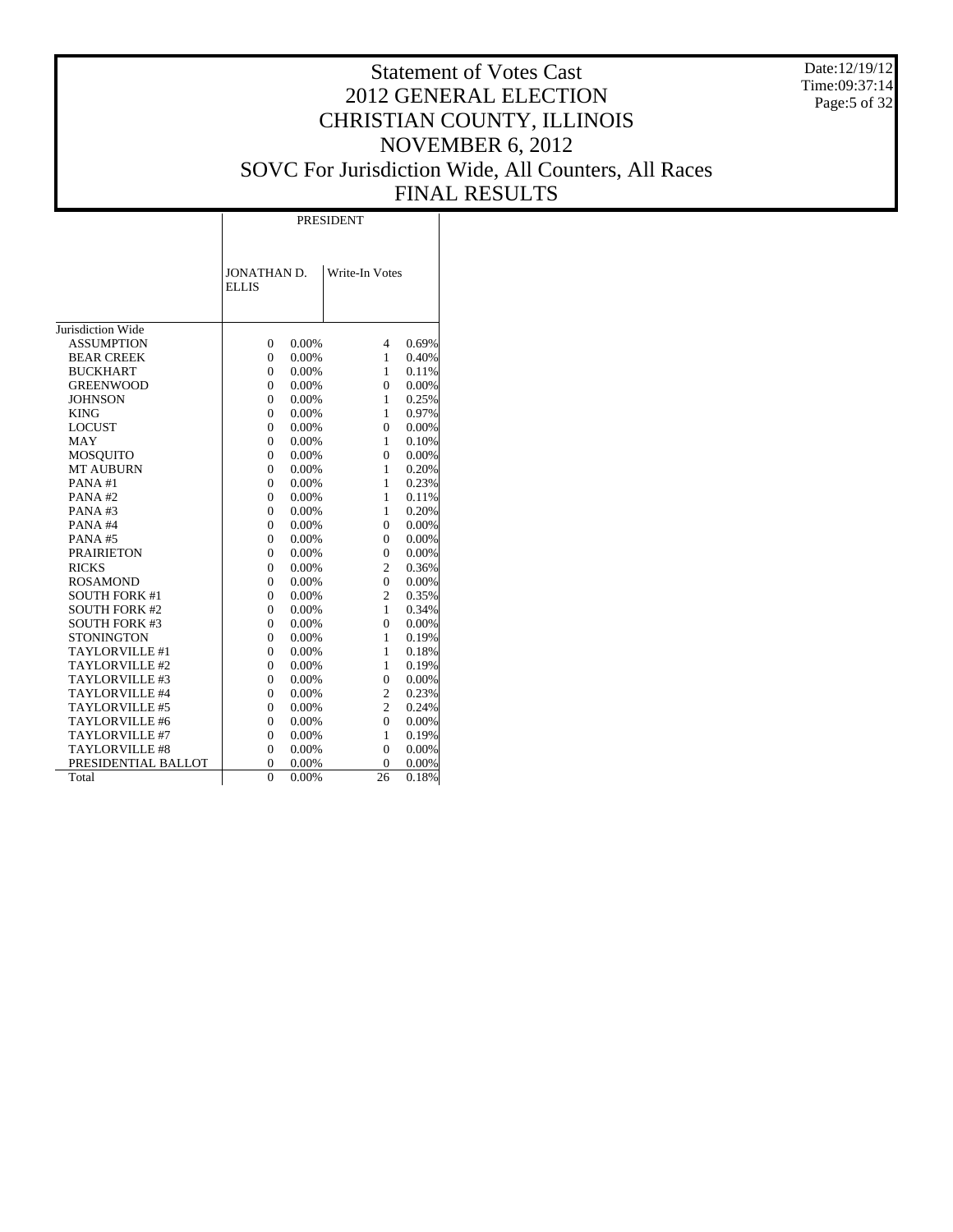Date:12/19/12 Time:09:37:14 Page:5 of 32

# Statement of Votes Cast 2012 GENERAL ELECTION CHRISTIAN COUNTY, ILLINOIS NOVEMBER 6, 2012 SOVC For Jurisdiction Wide, All Counters, All Races FINAL RESULTS

|                       |                             |       | <b>PRESIDENT</b> |       |
|-----------------------|-----------------------------|-------|------------------|-------|
|                       | JONATHAN D.<br><b>ELLIS</b> |       | Write-In Votes   |       |
| Jurisdiction Wide     |                             |       |                  |       |
| <b>ASSUMPTION</b>     | $\overline{0}$              | 0.00% | 4                | 0.69% |
| <b>BEAR CREEK</b>     | 0                           | 0.00% | 1                | 0.40% |
| <b>BUCKHART</b>       | 0                           | 0.00% | 1                | 0.11% |
| <b>GREENWOOD</b>      | $\overline{0}$              | 0.00% | $\overline{0}$   | 0.00% |
| <b>JOHNSON</b>        | $\Omega$                    | 0.00% | 1                | 0.25% |
| <b>KING</b>           | 0                           | 0.00% | 1                | 0.97% |
| <b>LOCUST</b>         | $\overline{0}$              | 0.00% | $\overline{0}$   | 0.00% |
| MAY                   | 0                           | 0.00% | 1                | 0.10% |
| <b>MOSQUITO</b>       | $\overline{0}$              | 0.00% | $\mathbf{0}$     | 0.00% |
| <b>MT AUBURN</b>      | $\overline{0}$              | 0.00% | 1                | 0.20% |
| PANA#1                | $\theta$                    | 0.00% | 1                | 0.23% |
| PANA#2                | 0                           | 0.00% | 1                | 0.11% |
| PANA#3                | 0                           | 0.00% | 1                | 0.20% |
| PANA#4                | 0                           | 0.00% | $\Omega$         | 0.00% |
| PANA#5                | $\overline{0}$              | 0.00% | $\mathbf{0}$     | 0.00% |
| <b>PRAIRIETON</b>     | $\Omega$                    | 0.00% | $\theta$         | 0.00% |
| <b>RICKS</b>          | $\theta$                    | 0.00% | $\overline{2}$   | 0.36% |
| <b>ROSAMOND</b>       | 0                           | 0.00% | $\Omega$         | 0.00% |
| <b>SOUTH FORK #1</b>  | 0                           | 0.00% | $\overline{c}$   | 0.35% |
| <b>SOUTH FORK #2</b>  | $\overline{0}$              | 0.00% | 1                | 0.34% |
| <b>SOUTH FORK #3</b>  | $\overline{0}$              | 0.00% | $\overline{0}$   | 0.00% |
| <b>STONINGTON</b>     | $\theta$                    | 0.00% | 1                | 0.19% |
| TAYLORVILLE #1        | 0                           | 0.00% | 1                | 0.18% |
| TAYLORVILLE #2        | 0                           | 0.00% | 1                | 0.19% |
| TAYLORVILLE #3        | 0                           | 0.00% | $\overline{0}$   | 0.00% |
| TAYLORVILLE #4        | $\overline{0}$              | 0.00% | $\overline{c}$   | 0.23% |
| TAYLORVILLE #5        | $\Omega$                    | 0.00% | $\overline{c}$   | 0.24% |
| TAYLORVILLE #6        | $\theta$                    | 0.00% | $\theta$         | 0.00% |
| TAYLORVILLE #7        | $\overline{0}$              | 0.00% | $\mathbf{1}$     | 0.19% |
| <b>TAYLORVILLE #8</b> | $\overline{0}$              | 0.00% | $\overline{0}$   | 0.00% |
| PRESIDENTIAL BALLOT   | 0                           | 0.00% | 0                | 0.00% |
| Total                 | $\theta$                    | 0.00% | $\overline{26}$  | 0.18% |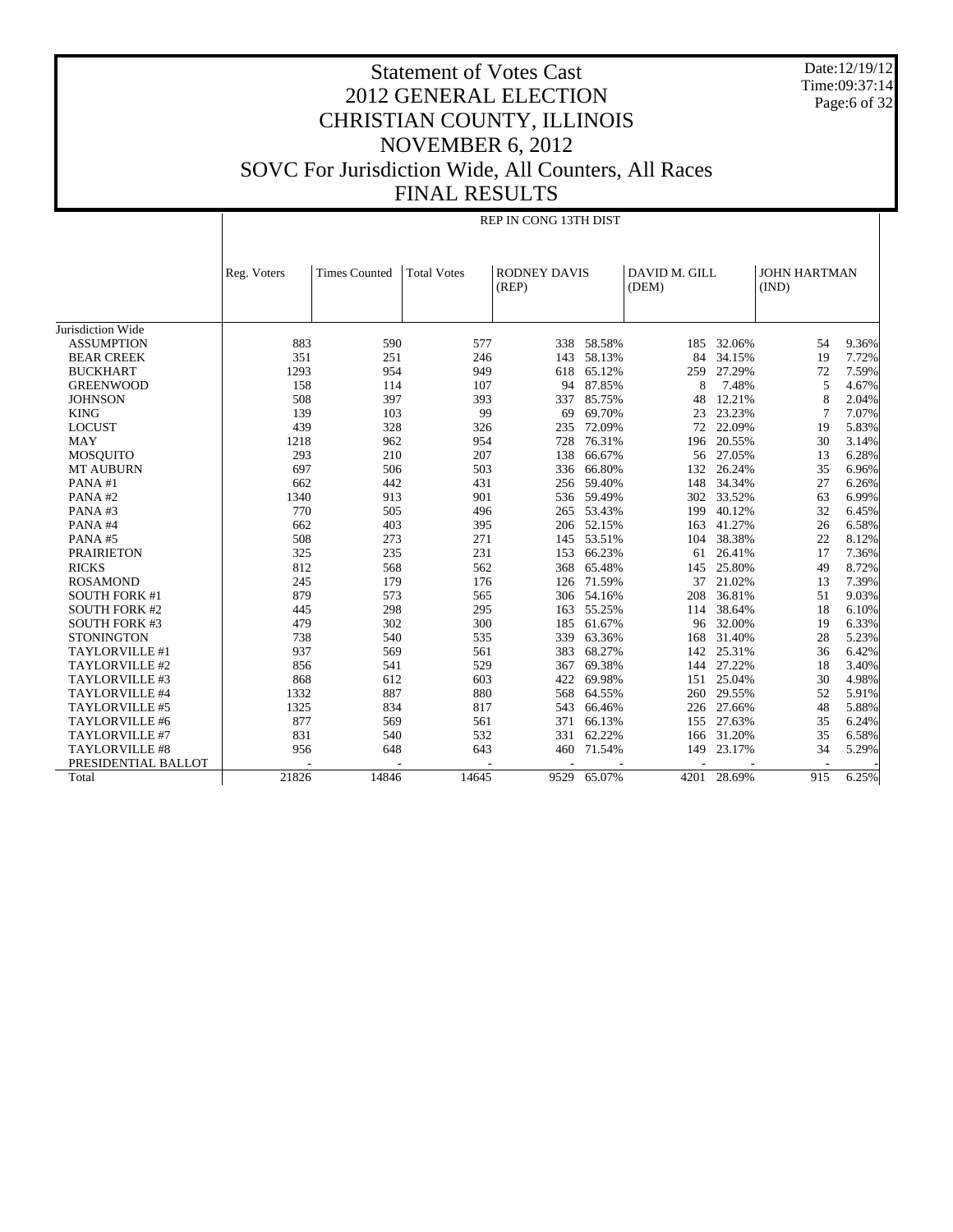Date:12/19/12 Time:09:37:14 Page:6 of 32

REP IN CONG 13TH DIST

| <b>RODNEY DAVIS</b><br>DAVID M. GILL<br><b>JOHN HARTMAN</b><br><b>Times Counted</b><br><b>Total Votes</b><br>Reg. Voters |                |       |
|--------------------------------------------------------------------------------------------------------------------------|----------------|-------|
|                                                                                                                          |                |       |
| (REP)<br>(DEM)<br>(IND)                                                                                                  |                |       |
|                                                                                                                          |                |       |
|                                                                                                                          |                |       |
| Jurisdiction Wide                                                                                                        |                |       |
| 883<br>590<br>577<br>338<br>58.58%<br>32.06%<br><b>ASSUMPTION</b><br>185                                                 | 54             | 9.36% |
| 58.13%<br>351<br>143<br>84<br>34.15%<br><b>BEAR CREEK</b><br>251<br>246                                                  | 19             | 7.72% |
| 27.29%<br>1293<br>954<br>949<br>618<br>65.12%<br>259<br><b>BUCKHART</b>                                                  | 72             | 7.59% |
| 87.85%<br>7.48%<br>107<br>94<br>8<br><b>GREENWOOD</b><br>158<br>114                                                      | 5              | 4.67% |
| 508<br>397<br>85.75%<br>12.21%<br><b>JOHNSON</b><br>393<br>337<br>48                                                     | 8              | 2.04% |
| 69.70%<br>103<br>99<br>69<br>23<br>23.23%<br><b>KING</b><br>139                                                          | $\overline{7}$ | 7.07% |
| <b>LOCUST</b><br>439<br>328<br>72.09%<br>72<br>22.09%<br>326<br>235                                                      | 19             | 5.83% |
| 76.31%<br>20.55%<br><b>MAY</b><br>1218<br>962<br>954<br>728<br>196                                                       | 30             | 3.14% |
| 293<br>207<br><b>MOSOUITO</b><br>210<br>138<br>66.67%<br>56<br>27.05%                                                    | 13             | 6.28% |
| 697<br>26.24%<br>506<br>503<br>336<br>66.80%<br>132<br><b>MT AUBURN</b>                                                  | 35             | 6.96% |
| 442<br>431<br>148<br>34.34%<br>PANA#1<br>662<br>256 59.40%                                                               | 27             | 6.26% |
| 901<br>33.52%<br>PANA#2<br>1340<br>913<br>536 59.49%<br>302                                                              | 63             | 6.99% |
| 770<br>505<br>496<br>53.43%<br>199<br>40.12%<br>PANA#3<br>265                                                            | 32             | 6.45% |
| 403<br>52.15%<br>41.27%<br>PANA#4<br>662<br>395<br>206<br>163                                                            | 26             | 6.58% |
| 508<br>273<br>271<br>53.51%<br>38.38%<br>PANA#5<br>145<br>104                                                            | 22             | 8.12% |
| 235<br>231<br>66.23%<br>26.41%<br><b>PRAIRIETON</b><br>325<br>153<br>61                                                  | 17             | 7.36% |
| 812<br>568<br>562<br>65.48%<br>25.80%<br><b>RICKS</b><br>368<br>145                                                      | 49             | 8.72% |
| <b>ROSAMOND</b><br>71.59%<br>21.02%<br>245<br>179<br>176<br>37<br>126                                                    | 13             | 7.39% |
| 36.81%<br>879<br>573<br>565<br>54.16%<br>208<br><b>SOUTH FORK #1</b><br>306                                              | 51             | 9.03% |
| 298<br>295<br>55.25%<br>38.64%<br><b>SOUTH FORK #2</b><br>445<br>163<br>114                                              | 18             | 6.10% |
| 61.67%<br>32.00%<br><b>SOUTH FORK #3</b><br>479<br>302<br>300<br>185<br>96                                               | 19             | 6.33% |
| 63.36%<br>31.40%<br><b>STONINGTON</b><br>738<br>540<br>535<br>339<br>168                                                 | 28             | 5.23% |
| 68.27%<br>25.31%<br>TAYLORVILLE #1<br>937<br>569<br>561<br>383<br>142                                                    | 36             | 6.42% |
| 69.38%<br>27.22%<br>TAYLORVILLE #2<br>856<br>541<br>529<br>367<br>144                                                    | 18             | 3.40% |
| TAYLORVILLE #3<br>612<br>603<br>422<br>69.98%<br>25.04%<br>868<br>151                                                    | 30             | 4.98% |
| 1332<br>887<br>880<br>64.55%<br>29.55%<br>TAYLORVILLE #4<br>568<br>260                                                   | 52             | 5.91% |
| 1325<br>834<br>817<br>66.46%<br>27.66%<br>TAYLORVILLE #5<br>543<br>226                                                   | 48             | 5.88% |
| TAYLORVILLE #6<br>877<br>569<br>561<br>371<br>66.13%<br>27.63%<br>155                                                    | 35             | 6.24% |
| 62.22%<br>TAYLORVILLE #7<br>831<br>540<br>532<br>331<br>31.20%<br>166                                                    | 35             | 6.58% |
| TAYLORVILLE #8<br>956<br>648<br>643<br>71.54%<br>23.17%<br>460<br>149                                                    | 34             | 5.29% |
| PRESIDENTIAL BALLOT                                                                                                      |                |       |
| 21826<br>14846<br>14645<br>65.07%<br>9529<br>4201<br>28.69%<br>Total                                                     | 915            | 6.25% |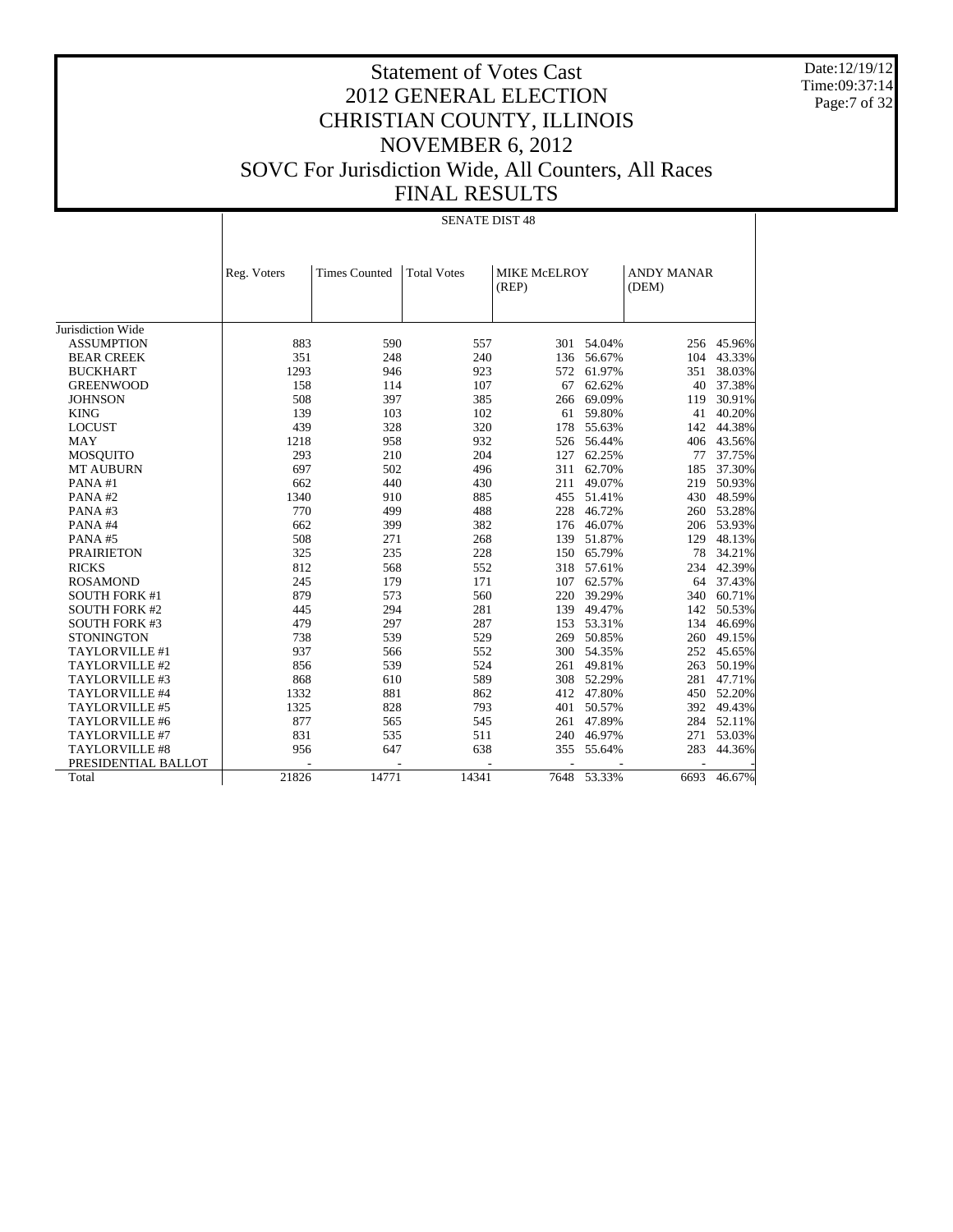Date:12/19/12 Time:09:37:14 Page:7 of 32

#### Statement of Votes Cast 2012 GENERAL ELECTION CHRISTIAN COUNTY, ILLINOIS NOVEMBER 6, 2012 SOVC For Jurisdiction Wide, All Counters, All Races FINAL RESULTS

#### Jurisdiction Wide ASSUMPTION BEAR CREEK BUCKHART GREENWOOD **JOHNSON**  KING LOCUST MAY MOSQUITO MT AUBURN PANA #1 PANA #2 PANA #3 PANA #4 PANA #5 PRAIRIETON RICKS ROSAMOND SOUTH FORK #1 SOUTH FORK #2 SOUTH FORK #3 **STONINGTON**  TAYLORVILLE #1 TAYLORVILLE #2 TAYLORVILLE #3 TAYLORVILLE #4 TAYLORVILLE #5 TAYLORVILLE #6 TAYLORVILLE #7 TAYLORVILLE #8 PRESIDENTIAL BALLOT Total Reg. Voters | Times Counted | Total Votes | MIKE McELROY (REP) ANDY MANAR (DEM) SENATE DIST 48 883 590 557 301 54.04% 256 45.96%<br>351 248 240 136 56.67% 104 43.33% 351 248 240 136 56.67%<br>1293 946 923 572 61.97% 1293 946 923 572 61.97% 351 38.03%<br>158 114 107 67 62.62% 40 37.38% 158 114 107 67 62.62% 40 37.38% 508 397 385 266 69.09% 119 30.91% 139 103 102 61 59.80% 41 40.20% 439 328 320 178 55.63% 142 44.38% 1218 958 932 526 56.44% 406 43.56%<br>293 210 204 127 62.25% 77 37.75% 293 210 204 127 62.25% 77 37.75% 697 502 496 311 62.70% 185 37.30% 662 440 430 211 49.07% 219 50.93% 1340 910 885 455 51.41% 430 48.59%<br>770 499 488 228 46.72% 260 53.28% 770 499 488 228 46.72% 260 53.28% 662 399 382 176 46.07% 206 53.93% 508 271 268 139 51.87% 129 48.13% 325 235 228 150 65.79% 812 568 552 318 57.61% 234 42.39% 245 179 171 107 62.57% 64 37.43%<br>879 573 560 220 39.29% 340 60.71% 1373 560 220 39.29% 340 60.71%<br>
294 281 139 49.47% 142 50.53% 445 294 281 139 49.47% 142 50.53%<br>479 297 287 153 53.31% 134 46.69% 479 297 287 153 53.31% 134 46.69% 738 539 529 269 50.85% 260 49.15% 937 566 552 300 54.35% 252 45.65% 263 50.19%<br>281 47.71% 868 610 589 308 52.29% 281 47.71%<br>1332 881 862 412 47.80% 450 52.20% 1332 881 862 412 47.80%<br>1325 828 793 401 50.57% 392 49.43% 877 565 545 261 47.89% 284 52.11%<br>831 535 511 240 46.97% 271 53.03% 831 535 511 240 46.97% 271 53.03% 956 647 638 355 55.64% 283 44.36% - - - - - - - 21826 14771 14341 7648 53.33% 6693 46.67%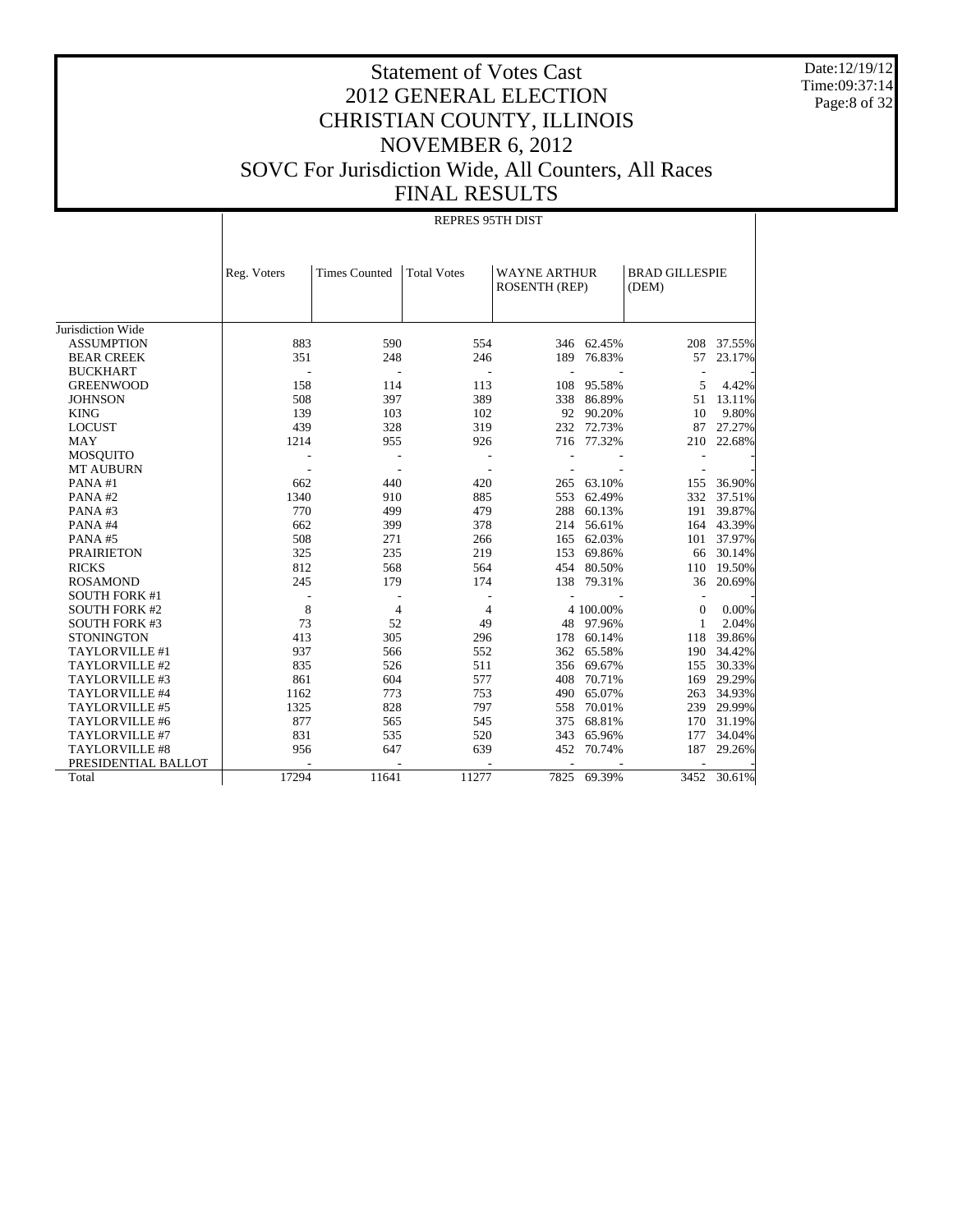Date:12/19/12 Time:09:37:14 Page:8 of 32

#### Statement of Votes Cast 2012 GENERAL ELECTION CHRISTIAN COUNTY, ILLINOIS NOVEMBER 6, 2012 SOVC For Jurisdiction Wide, All Counters, All Races FINAL RESULTS

|                       |             | <b>REPRES 95TH DIST</b> |                    |                                      |            |                                |            |  |  |  |  |
|-----------------------|-------------|-------------------------|--------------------|--------------------------------------|------------|--------------------------------|------------|--|--|--|--|
|                       | Reg. Voters | <b>Times Counted</b>    | <b>Total Votes</b> | <b>WAYNE ARTHUR</b><br>ROSENTH (REP) |            | <b>BRAD GILLESPIE</b><br>(DEM) |            |  |  |  |  |
| Jurisdiction Wide     |             |                         |                    |                                      |            |                                |            |  |  |  |  |
| <b>ASSUMPTION</b>     | 883         | 590                     | 554                |                                      | 346 62.45% |                                | 208 37.55% |  |  |  |  |
| <b>BEAR CREEK</b>     | 351         | 248                     | 246                | 189                                  | 76.83%     | 57                             | 23.17%     |  |  |  |  |
| <b>BUCKHART</b>       |             |                         | L,                 |                                      |            | $\overline{\phantom{a}}$       |            |  |  |  |  |
| <b>GREENWOOD</b>      | 158         | 114                     | 113                | 108                                  | 95.58%     | 5                              | 4.42%      |  |  |  |  |
| <b>JOHNSON</b>        | 508         | 397                     | 389                | 338                                  | 86.89%     | 51                             | 13.11%     |  |  |  |  |
| <b>KING</b>           | 139         | 103                     | 102                |                                      | 92 90.20%  | 10                             | 9.80%      |  |  |  |  |
| <b>LOCUST</b>         | 439         | 328                     | 319                | 232                                  | 72.73%     | 87                             | 27.27%     |  |  |  |  |
| <b>MAY</b>            | 1214        | 955                     | 926                |                                      | 716 77.32% | 210                            | 22.68%     |  |  |  |  |
| <b>MOSQUITO</b>       |             |                         |                    |                                      |            |                                |            |  |  |  |  |
| <b>MT AUBURN</b>      |             |                         |                    |                                      |            |                                |            |  |  |  |  |
| PANA#1                | 662         | 440                     | 420                | 265                                  | 63.10%     | 155                            | 36.90%     |  |  |  |  |
| PANA#2                | 1340        | 910                     | 885                | 553                                  | 62.49%     | 332                            | 37.51%     |  |  |  |  |
| PANA#3                | 770         | 499                     | 479                | 288                                  | 60.13%     | 191                            | 39.87%     |  |  |  |  |
| PANA#4                | 662         | 399                     | 378                | 214                                  | 56.61%     | 164                            | 43.39%     |  |  |  |  |
| PANA#5                | 508         | 271                     | 266                | 165                                  | 62.03%     | 101                            | 37.97%     |  |  |  |  |
| <b>PRAIRIETON</b>     | 325         | 235                     | 219                | 153                                  | 69.86%     | 66                             | 30.14%     |  |  |  |  |
| <b>RICKS</b>          | 812         | 568                     | 564                | 454                                  | 80.50%     | 110                            | 19.50%     |  |  |  |  |
| <b>ROSAMOND</b>       | 245         | 179                     | 174                | 138                                  | 79.31%     | 36                             | 20.69%     |  |  |  |  |
| <b>SOUTH FORK #1</b>  |             | $\overline{a}$          |                    |                                      |            | $\overline{\phantom{a}}$       |            |  |  |  |  |
| <b>SOUTH FORK #2</b>  | 8           | $\overline{4}$          | $\overline{4}$     |                                      | 4 100.00%  | $\theta$                       | 0.00%      |  |  |  |  |
| <b>SOUTH FORK #3</b>  | 73          | 52                      | 49                 | 48                                   | 97.96%     | 1                              | 2.04%      |  |  |  |  |
| <b>STONINGTON</b>     | 413         | 305                     | 296                | 178                                  | 60.14%     | 118                            | 39.86%     |  |  |  |  |
| TAYLORVILLE #1        | 937         | 566                     | 552                | 362                                  | 65.58%     | 190                            | 34.42%     |  |  |  |  |
| TAYLORVILLE #2        | 835         | 526                     | 511                | 356                                  | 69.67%     | 155                            | 30.33%     |  |  |  |  |
| TAYLORVILLE #3        | 861         | 604                     | 577                | 408                                  | 70.71%     | 169                            | 29.29%     |  |  |  |  |
| TAYLORVILLE #4        | 1162        | 773                     | 753                | 490                                  | 65.07%     | 263                            | 34.93%     |  |  |  |  |
| TAYLORVILLE #5        | 1325        | 828                     | 797                | 558                                  | 70.01%     | 239                            | 29.99%     |  |  |  |  |
| TAYLORVILLE #6        | 877         | 565                     | 545                | 375                                  | 68.81%     | 170                            | 31.19%     |  |  |  |  |
| TAYLORVILLE #7        | 831         | 535                     | 520                | 343                                  | 65.96%     | 177                            | 34.04%     |  |  |  |  |
| <b>TAYLORVILLE #8</b> | 956         | 647                     | 639                | 452                                  | 70.74%     | 187                            | 29.26%     |  |  |  |  |
| PRESIDENTIAL BALLOT   |             |                         |                    |                                      |            |                                |            |  |  |  |  |
| Total                 | 17294       | 11641                   | 11277              | 7825                                 | 69.39%     | 3452                           | 30.61%     |  |  |  |  |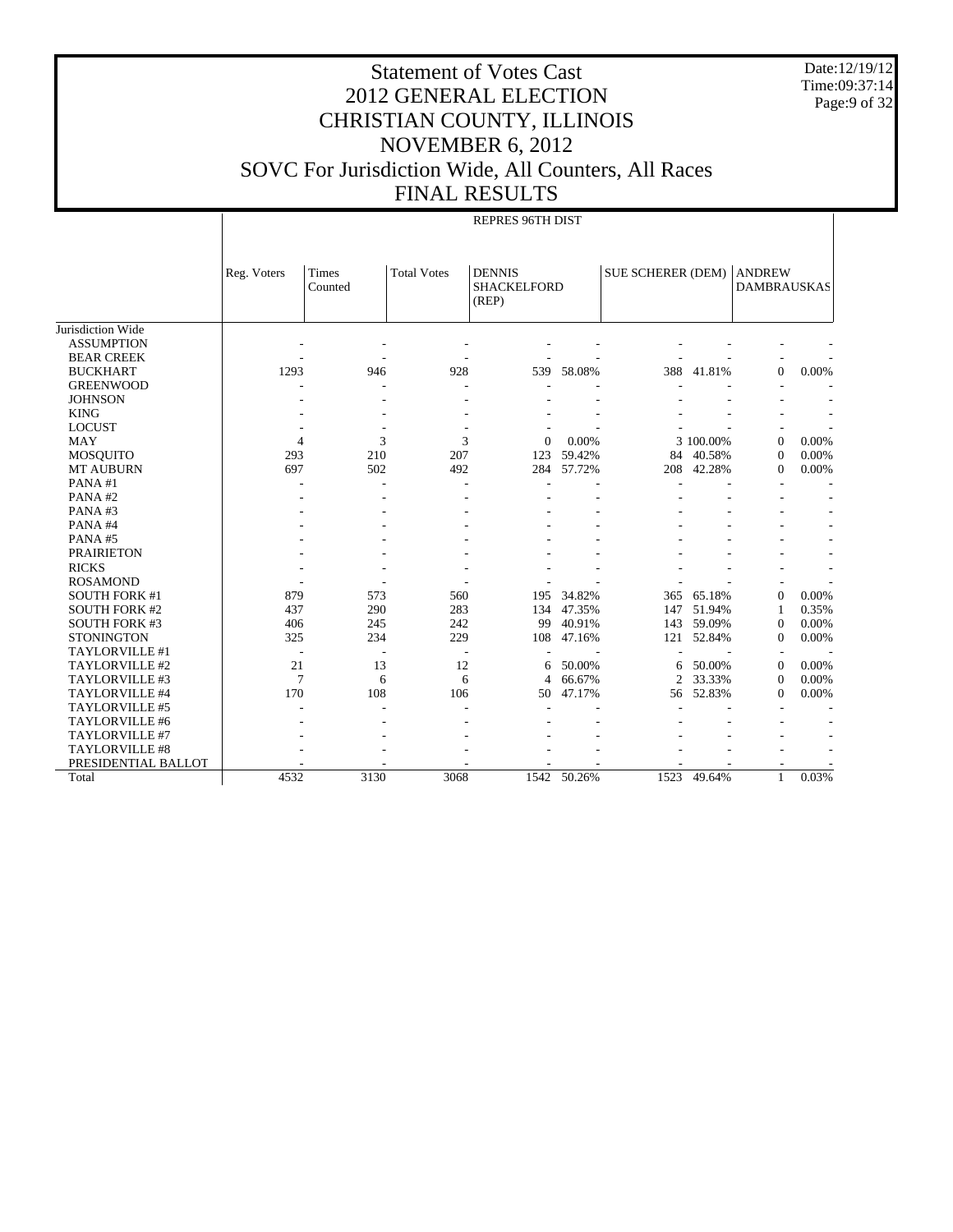Date:12/19/12 Time:09:37:14 Page:9 of 32

# Statement of Votes Cast 2012 GENERAL ELECTION CHRISTIAN COUNTY, ILLINOIS NOVEMBER 6, 2012 SOVC For Jurisdiction Wide, All Counters, All Races FINAL RESULTS

#### REPRES 96TH DIST

|                       | Reg. Voters    | Times<br>Counted | <b>Total Votes</b> | <b>DENNIS</b><br><b>SHACKELFORD</b><br>(REP) |        | SUE SCHERER (DEM) |           | <b>ANDREW</b><br><b>DAMBRAUSKAS</b> |       |
|-----------------------|----------------|------------------|--------------------|----------------------------------------------|--------|-------------------|-----------|-------------------------------------|-------|
| Jurisdiction Wide     |                |                  |                    |                                              |        |                   |           |                                     |       |
| <b>ASSUMPTION</b>     |                |                  |                    |                                              |        |                   |           |                                     |       |
| <b>BEAR CREEK</b>     |                |                  |                    |                                              |        |                   |           |                                     |       |
| <b>BUCKHART</b>       | 1293           | 946              | 928                | 539                                          | 58.08% | 388               | 41.81%    | $\overline{0}$                      | 0.00% |
| <b>GREENWOOD</b>      |                |                  |                    |                                              |        |                   |           |                                     |       |
| <b>JOHNSON</b>        |                |                  |                    |                                              |        |                   |           |                                     |       |
| <b>KING</b>           |                |                  |                    |                                              |        |                   |           |                                     |       |
| <b>LOCUST</b>         |                |                  |                    |                                              |        |                   |           |                                     |       |
| <b>MAY</b>            | $\overline{4}$ | 3                | 3                  | $\Omega$                                     | 0.00%  |                   | 3 100.00% | $\Omega$                            | 0.00% |
| <b>MOSQUITO</b>       | 293            | 210              | 207                | 123                                          | 59.42% | 84                | 40.58%    | $\Omega$                            | 0.00% |
| <b>MT AUBURN</b>      | 697            | 502              | 492                | 284                                          | 57.72% | 208               | 42.28%    | $\mathbf{0}$                        | 0.00% |
| PANA#1                |                |                  |                    |                                              |        |                   |           |                                     |       |
| PANA#2                |                |                  |                    |                                              |        |                   |           |                                     |       |
| PANA#3                |                |                  |                    |                                              |        |                   |           |                                     |       |
| PANA#4                |                |                  |                    |                                              |        |                   |           |                                     |       |
| PANA#5                |                |                  |                    |                                              |        |                   |           |                                     |       |
| <b>PRAIRIETON</b>     |                |                  |                    |                                              |        |                   |           |                                     |       |
| <b>RICKS</b>          |                |                  |                    |                                              |        |                   |           |                                     |       |
| <b>ROSAMOND</b>       |                |                  |                    |                                              |        |                   |           |                                     |       |
| <b>SOUTH FORK #1</b>  | 879            | 573              | 560                | 195                                          | 34.82% | 365               | 65.18%    | $\Omega$                            | 0.00% |
| <b>SOUTH FORK #2</b>  | 437            | 290              | 283                | 134                                          | 47.35% | 147               | 51.94%    | 1                                   | 0.35% |
| <b>SOUTH FORK #3</b>  | 406            | 245              | 242                | 99                                           | 40.91% | 143               | 59.09%    | $\Omega$                            | 0.00% |
| <b>STONINGTON</b>     | 325            | 234              | 229                | 108                                          | 47.16% | 121               | 52.84%    | $\Omega$                            | 0.00% |
| TAYLORVILLE #1        |                |                  | $\overline{a}$     |                                              |        |                   |           |                                     |       |
| TAYLORVILLE #2        | 21             | 13               | 12                 | 6                                            | 50.00% | 6                 | 50.00%    | $\Omega$                            | 0.00% |
| TAYLORVILLE #3        | $\overline{7}$ | 6                | 6                  | 4                                            | 66.67% | 2                 | 33.33%    | $\mathbf{0}$                        | 0.00% |
| TAYLORVILLE #4        | 170            | 108              | 106                | 50                                           | 47.17% | 56.               | 52.83%    | $\Omega$                            | 0.00% |
| TAYLORVILLE #5        |                |                  |                    |                                              |        |                   |           |                                     |       |
| TAYLORVILLE #6        |                |                  |                    |                                              |        |                   |           |                                     |       |
| TAYLORVILLE #7        |                |                  |                    |                                              |        |                   |           |                                     |       |
| <b>TAYLORVILLE #8</b> |                |                  |                    |                                              |        |                   |           |                                     |       |
| PRESIDENTIAL BALLOT   |                |                  |                    |                                              |        |                   |           |                                     |       |
| Total                 | 4532           | 3130             | 3068               | 1542                                         | 50.26% | 1523              | 49.64%    | $\mathbf{1}$                        | 0.03% |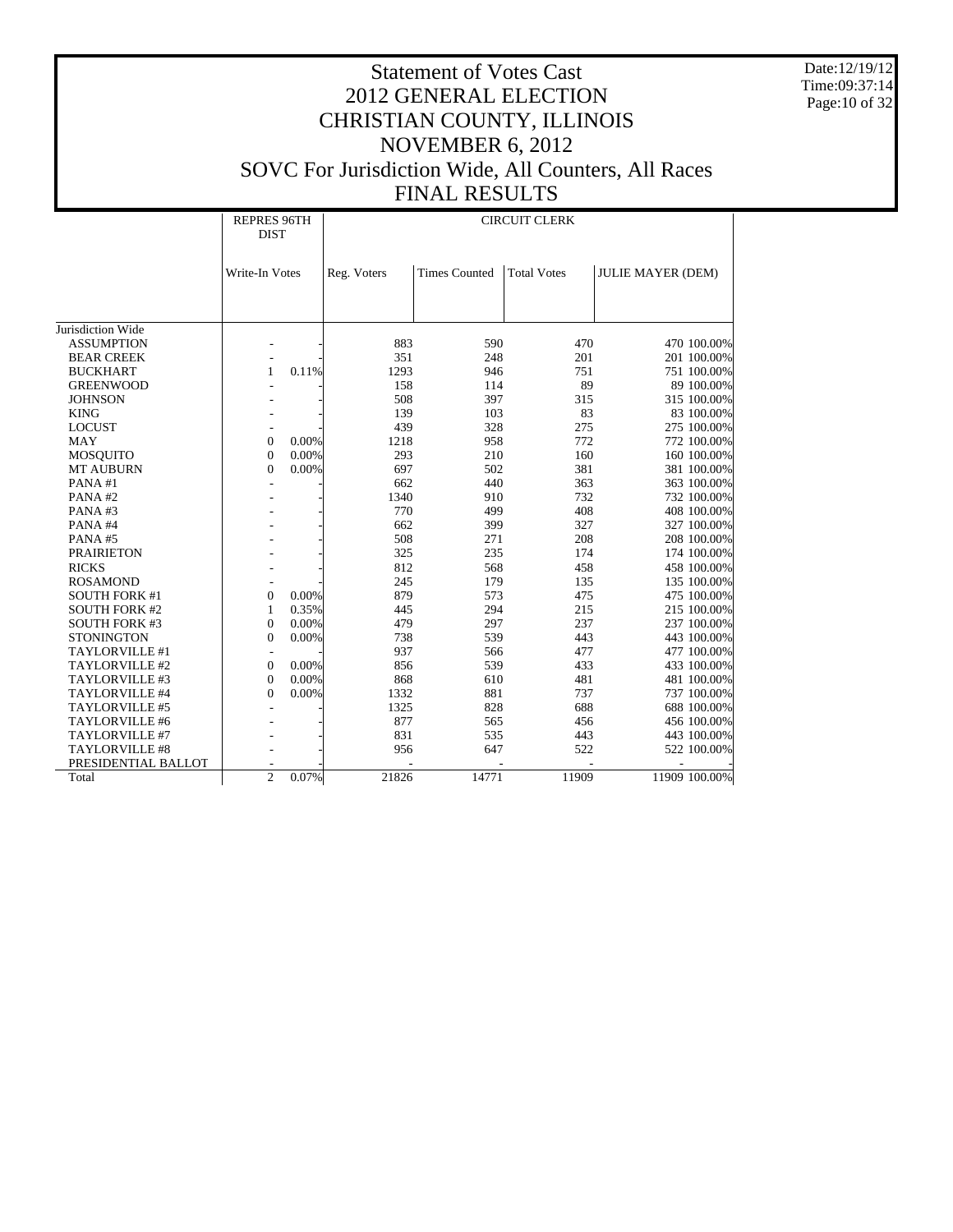Date:12/19/12 Time:09:37:14 Page:10 of 32

# Statement of Votes Cast 2012 GENERAL ELECTION CHRISTIAN COUNTY, ILLINOIS NOVEMBER 6, 2012 SOVC For Jurisdiction Wide, All Counters, All Races FINAL RESULTS

# CIRCUIT CLERK

|                       | <b>REPRES 96TH</b><br><b>DIST</b> |          | <b>CIRCUIT CLERK</b> |                      |                    |                          |               |  |
|-----------------------|-----------------------------------|----------|----------------------|----------------------|--------------------|--------------------------|---------------|--|
|                       | Write-In Votes                    |          | Reg. Voters          | <b>Times Counted</b> | <b>Total Votes</b> | <b>JULIE MAYER (DEM)</b> |               |  |
|                       |                                   |          |                      |                      |                    |                          |               |  |
| Jurisdiction Wide     |                                   |          |                      |                      |                    |                          |               |  |
| <b>ASSUMPTION</b>     |                                   |          | 883                  | 590                  | 470                |                          | 470 100.00%   |  |
| <b>BEAR CREEK</b>     |                                   |          | 351                  | 248                  | 201                |                          | 201 100.00%   |  |
| <b>BUCKHART</b>       | 1                                 | 0.11%    | 1293                 | 946                  | 751                |                          | 751 100.00%   |  |
| <b>GREENWOOD</b>      |                                   |          | 158                  | 114                  | 89                 |                          | 89 100.00%    |  |
| <b>JOHNSON</b>        |                                   |          | 508                  | 397                  | 315                |                          | 315 100.00%   |  |
| <b>KING</b>           |                                   |          | 139                  | 103                  | 83                 |                          | 83 100.00%    |  |
| <b>LOCUST</b>         |                                   |          | 439                  | 328                  | 275                |                          | 275 100.00%   |  |
| <b>MAY</b>            | $\boldsymbol{0}$                  | 0.00%    | 1218                 | 958                  | 772                |                          | 772 100.00%   |  |
| <b>MOSQUITO</b>       | $\boldsymbol{0}$                  | 0.00%    | 293                  | 210                  | 160                |                          | 160 100.00%   |  |
| <b>MT AUBURN</b>      | $\boldsymbol{0}$                  | 0.00%    | 697                  | 502                  | 381                |                          | 381 100.00%   |  |
| PANA#1                |                                   |          | 662                  | 440                  | 363                |                          | 363 100.00%   |  |
| PANA#2                |                                   |          | 1340                 | 910                  | 732                |                          | 732 100.00%   |  |
| PANA#3                |                                   |          | 770                  | 499                  | 408                |                          | 408 100.00%   |  |
| PANA#4                |                                   |          | 662                  | 399                  | 327                |                          | 327 100.00%   |  |
| PANA#5                |                                   |          | 508                  | 271                  | 208                |                          | 208 100.00%   |  |
| <b>PRAIRIETON</b>     |                                   |          | 325                  | 235                  | 174                |                          | 174 100.00%   |  |
| <b>RICKS</b>          |                                   |          | 812                  | 568                  | 458                |                          | 458 100.00%   |  |
| <b>ROSAMOND</b>       |                                   |          | 245                  | 179                  | 135                |                          | 135 100.00%   |  |
| <b>SOUTH FORK #1</b>  | $\boldsymbol{0}$                  | 0.00%    | 879                  | 573                  | 475                |                          | 475 100.00%   |  |
| <b>SOUTH FORK #2</b>  | 1                                 | 0.35%    | 445                  | 294                  | 215                |                          | 215 100.00%   |  |
| <b>SOUTH FORK #3</b>  | $\overline{0}$                    | 0.00%    | 479                  | 297                  | 237                |                          | 237 100.00%   |  |
| <b>STONINGTON</b>     | $\overline{0}$                    | 0.00%    | 738                  | 539                  | 443                |                          | 443 100.00%   |  |
| TAYLORVILLE #1        |                                   |          | 937                  | 566                  | 477                |                          | 477 100.00%   |  |
| TAYLORVILLE #2        | $\boldsymbol{0}$                  | 0.00%    | 856                  | 539                  | 433                |                          | 433 100.00%   |  |
| TAYLORVILLE #3        | $\boldsymbol{0}$                  | 0.00%    | 868                  | 610                  | 481                |                          | 481 100.00%   |  |
| TAYLORVILLE #4        | $\overline{0}$                    | 0.00%    | 1332                 | 881                  | 737                |                          | 737 100.00%   |  |
| TAYLORVILLE #5        |                                   |          | 1325                 | 828                  | 688                |                          | 688 100.00%   |  |
| TAYLORVILLE #6        |                                   |          | 877                  | 565                  | 456                |                          | 456 100.00%   |  |
| TAYLORVILLE #7        |                                   |          | 831                  | 535                  | 443                |                          | 443 100.00%   |  |
| <b>TAYLORVILLE #8</b> |                                   |          | 956                  | 647                  | 522                |                          | 522 100.00%   |  |
| PRESIDENTIAL BALLOT   |                                   |          |                      |                      |                    |                          |               |  |
| Total                 | $\overline{c}$                    | $0.07\%$ | 21826                | 14771                | 11909              |                          | 11909 100.00% |  |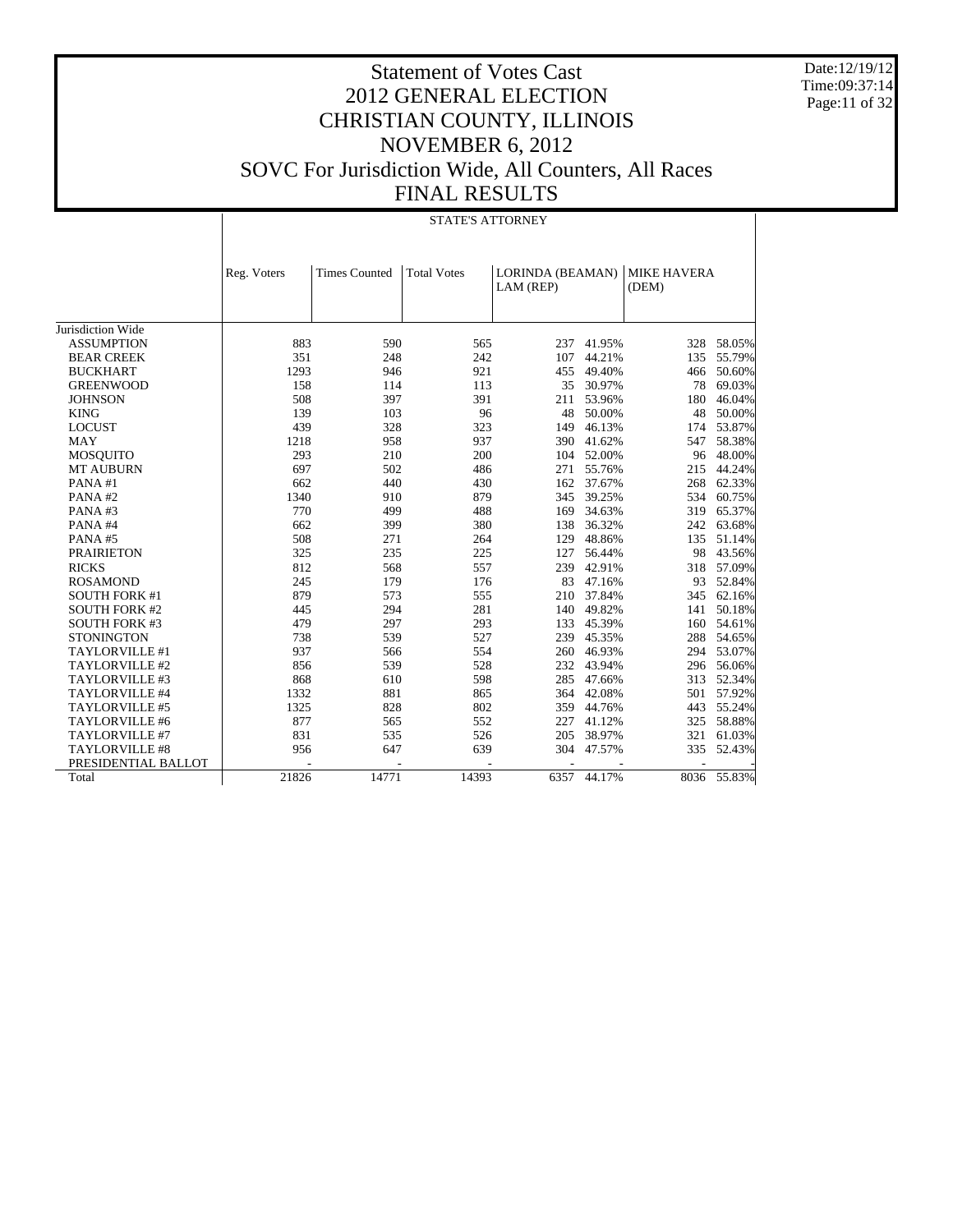Date:12/19/12 Time:09:37:14 Page:11 of 32

# Statement of Votes Cast 2012 GENERAL ELECTION CHRISTIAN COUNTY, ILLINOIS NOVEMBER 6, 2012 SOVC For Jurisdiction Wide, All Counters, All Races FINAL RESULTS

#### STATE'S ATTORNEY

|                      | Reg. Voters | <b>Times Counted</b> | <b>Total Votes</b> | LORINDA (BEAMAN)         |        | <b>MIKE HAVERA</b> |             |
|----------------------|-------------|----------------------|--------------------|--------------------------|--------|--------------------|-------------|
|                      |             |                      |                    | LAM (REP)                |        | (DEM)              |             |
|                      |             |                      |                    |                          |        |                    |             |
| Jurisdiction Wide    |             |                      |                    |                          |        |                    |             |
| <b>ASSUMPTION</b>    | 883         | 590                  | 565                | 237                      | 41.95% | 328                | 58.05%      |
| <b>BEAR CREEK</b>    | 351         | 248                  | 242                | 107                      | 44.21% | 135                | 55.79%      |
| <b>BUCKHART</b>      | 1293        | 946                  | 921                | 455                      | 49.40% | 466                | 50.60%      |
| <b>GREENWOOD</b>     | 158         | 114                  | 113                | 35                       | 30.97% | 78                 | 69.03%      |
| <b>JOHNSON</b>       | 508         | 397                  | 391                | 211                      | 53.96% | 180                | 46.04%      |
| <b>KING</b>          | 139         | 103                  | 96                 | 48                       | 50.00% | 48                 | 50.00%      |
| <b>LOCUST</b>        | 439         | 328                  | 323                | 149                      | 46.13% | 174                | 53.87%      |
| <b>MAY</b>           | 1218        | 958                  | 937                | 390                      | 41.62% | 547                | 58.38%      |
| <b>MOSQUITO</b>      | 293         | 210                  | 200                | 104                      | 52.00% | 96                 | 48.00%      |
| <b>MT AUBURN</b>     | 697         | 502                  | 486                | 271                      | 55.76% | 215                | 44.24%      |
| PANA#1               | 662         | 440                  | 430                | 162                      | 37.67% | 268                | 62.33%      |
| PANA#2               | 1340        | 910                  | 879                | 345                      | 39.25% | 534                | 60.75%      |
| PANA#3               | 770         | 499                  | 488                | 169                      | 34.63% | 319                | 65.37%      |
| PANA#4               | 662         | 399                  | 380                | 138                      | 36.32% | 242                | 63.68%      |
| PANA#5               | 508         | 271                  | 264                | 129                      | 48.86% | 135                | 51.14%      |
| <b>PRAIRIETON</b>    | 325         | 235                  | 225                | 127                      | 56.44% | 98                 | 43.56%      |
| <b>RICKS</b>         | 812         | 568                  | 557                | 239                      | 42.91% | 318                | 57.09%      |
| <b>ROSAMOND</b>      | 245         | 179                  | 176                | 83                       | 47.16% | 93                 | 52.84%      |
| <b>SOUTH FORK #1</b> | 879         | 573                  | 555                | 210                      | 37.84% | 345                | 62.16%      |
| <b>SOUTH FORK #2</b> | 445         | 294                  | 281                | 140                      | 49.82% | 141                | 50.18%      |
| <b>SOUTH FORK #3</b> | 479         | 297                  | 293                | 133                      | 45.39% | 160                | 54.61%      |
| <b>STONINGTON</b>    | 738         | 539                  | 527                | 239                      | 45.35% | 288                | 54.65%      |
| TAYLORVILLE #1       | 937         | 566                  | 554                | 260                      | 46.93% | 294                | 53.07%      |
| TAYLORVILLE #2       | 856         | 539                  | 528                | 232                      | 43.94% | 296                | 56.06%      |
| TAYLORVILLE #3       | 868         | 610                  | 598                | 285                      | 47.66% | 313                | 52.34%      |
| TAYLORVILLE #4       | 1332        | 881                  | 865                | 364                      | 42.08% | 501                | 57.92%      |
| TAYLORVILLE #5       | 1325        | 828                  | 802                | 359                      | 44.76% | 443                | 55.24%      |
| TAYLORVILLE #6       | 877         | 565                  | 552                | 227                      | 41.12% | 325                | 58.88%      |
| TAYLORVILLE #7       | 831         | 535                  | 526                | 205                      | 38.97% | 321                | 61.03%      |
| TAYLORVILLE #8       | 956         | 647                  | 639                | 304                      | 47.57% | 335                | 52.43%      |
| PRESIDENTIAL BALLOT  |             |                      |                    | $\overline{\phantom{a}}$ |        |                    |             |
| Total                | 21826       | 14771                | 14393              | 6357                     | 44.17% |                    | 8036 55.83% |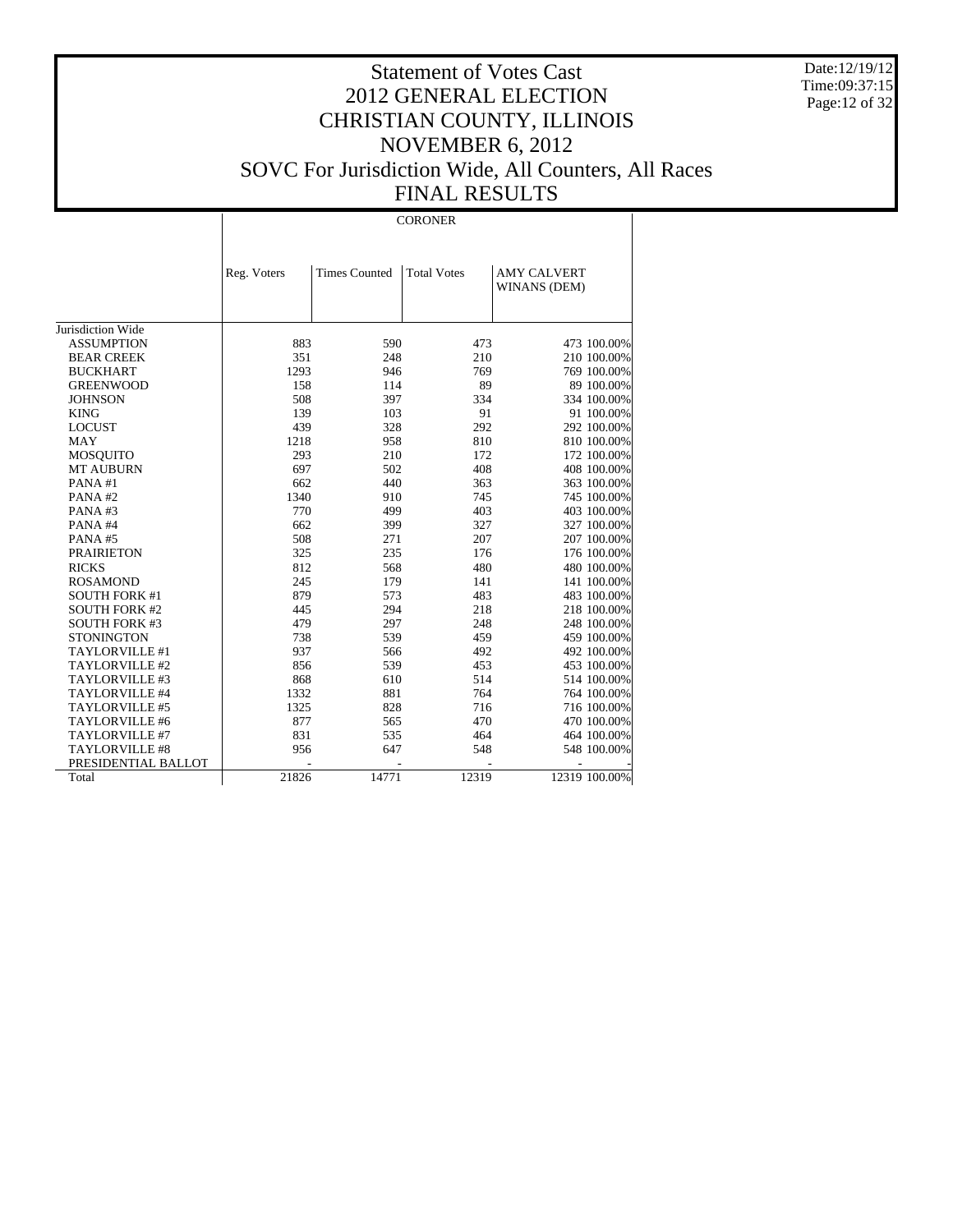Date:12/19/12 Time:09:37:15 Page:12 of 32

# Statement of Votes Cast 2012 GENERAL ELECTION CHRISTIAN COUNTY, ILLINOIS NOVEMBER 6, 2012 SOVC For Jurisdiction Wide, All Counters, All Races FINAL RESULTS

#### CORONER

|                       | Reg. Voters | <b>Times Counted</b> | <b>Total Votes</b> | <b>AMY CALVERT</b> |
|-----------------------|-------------|----------------------|--------------------|--------------------|
|                       |             |                      |                    | WINANS (DEM)       |
|                       |             |                      |                    |                    |
| Jurisdiction Wide     |             |                      |                    |                    |
| <b>ASSUMPTION</b>     | 883         | 590                  | 473                | 473 100.00%        |
| <b>BEAR CREEK</b>     | 351         | 248                  | 210                | 210 100.00%        |
| <b>BUCKHART</b>       | 1293        | 946                  | 769                | 769 100.00%        |
| <b>GREENWOOD</b>      | 158         | 114                  | 89                 | 89 100.00%         |
| <b>JOHNSON</b>        | 508         | 397                  | 334                | 334 100.00%        |
| <b>KING</b>           | 139         | 103                  | 91                 | 91 100.00%         |
| <b>LOCUST</b>         | 439         | 328                  | 292                | 292 100.00%        |
| MAY                   | 1218        | 958                  | 810                | 810 100.00%        |
| <b>MOSQUITO</b>       | 293         | 210                  | 172                | 172 100.00%        |
| <b>MT AUBURN</b>      | 697         | 502                  | 408                | 408 100.00%        |
| PANA#1                | 662         | 440                  | 363                | 363 100.00%        |
| PANA#2                | 1340        | 910                  | 745                | 745 100.00%        |
| PANA#3                | 770         | 499                  | 403                | 403 100.00%        |
| PANA#4                | 662         | 399                  | 327                | 327 100.00%        |
| PANA#5                | 508         | 271                  | 207                | 207 100.00%        |
| <b>PRAIRIETON</b>     | 325         | 235                  | 176                | 176 100.00%        |
| <b>RICKS</b>          | 812         | 568                  | 480                | 480 100.00%        |
| <b>ROSAMOND</b>       | 245         | 179                  | 141                | 141 100.00%        |
| <b>SOUTH FORK #1</b>  | 879         | 573                  | 483                | 483 100.00%        |
| <b>SOUTH FORK #2</b>  | 445         | 294                  | 218                | 218 100.00%        |
| <b>SOUTH FORK #3</b>  | 479         | 297                  | 248                | 248 100.00%        |
| <b>STONINGTON</b>     | 738         | 539                  | 459                | 459 100.00%        |
| TAYLORVILLE #1        | 937         | 566                  | 492                | 492 100.00%        |
| TAYLORVILLE #2        | 856         | 539                  | 453                | 453 100.00%        |
| TAYLORVILLE #3        | 868         | 610                  | 514                | 514 100.00%        |
| TAYLORVILLE #4        | 1332        | 881                  | 764                | 764 100.00%        |
| TAYLORVILLE #5        | 1325        | 828                  | 716                | 716 100.00%        |
| TAYLORVILLE #6        | 877         | 565                  | 470                | 470 100.00%        |
| TAYLORVILLE #7        | 831         | 535                  | 464                | 464 100.00%        |
| <b>TAYLORVILLE #8</b> | 956         | 647                  | 548                | 548 100.00%        |
| PRESIDENTIAL BALLOT   |             |                      |                    |                    |
| Total                 | 21826       | 14771                | 12319              | 12319 100.00%      |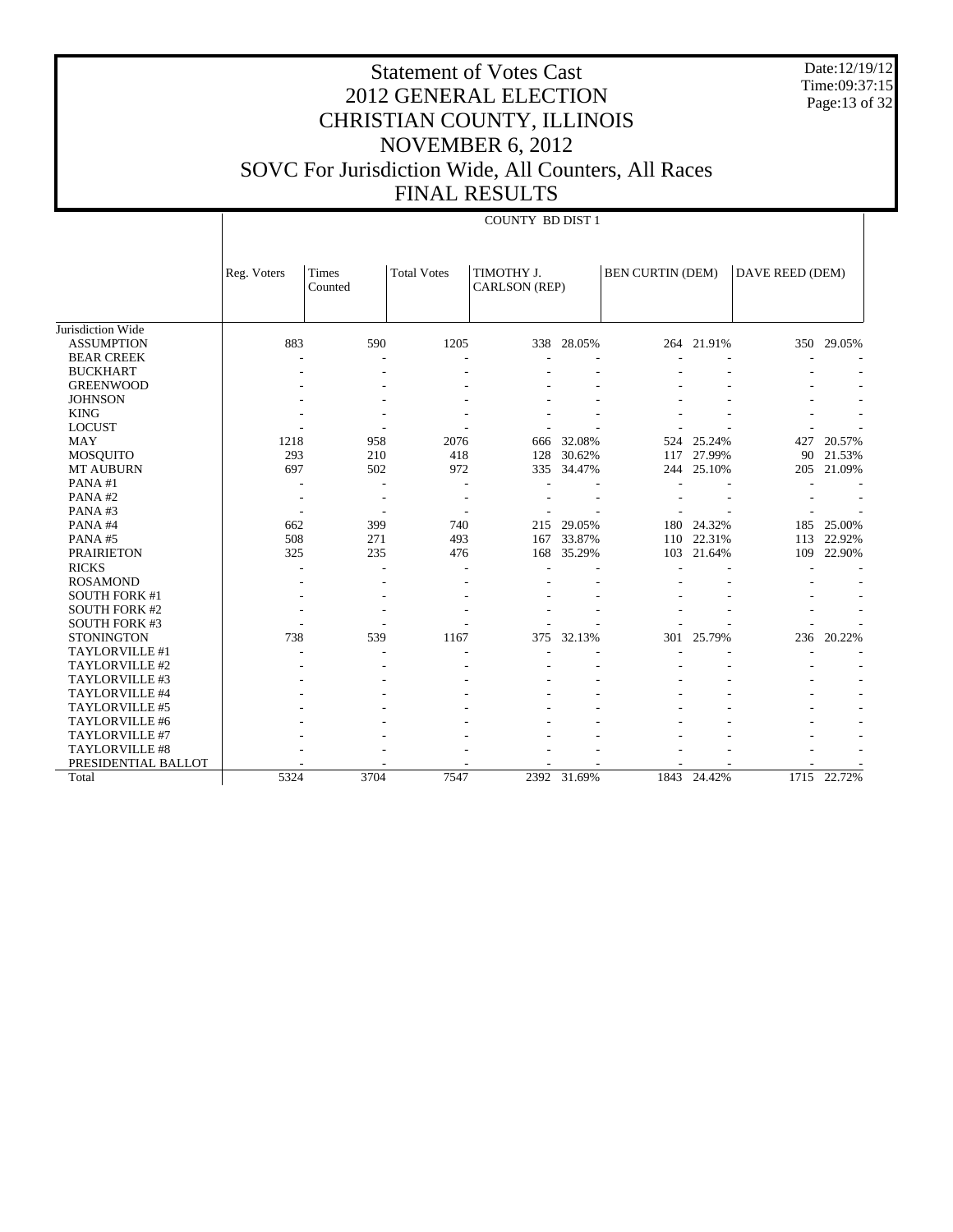Date:12/19/12 Time:09:37:15 Page:13 of 32

COUNTY BD DIST 1

|                       | Reg. Voters | <b>Times</b><br>Counted | <b>Total Votes</b> | TIMOTHY J.<br>CARLSON (REP) |             | <b>BEN CURTIN (DEM)</b> |            | DAVE REED (DEM) |            |
|-----------------------|-------------|-------------------------|--------------------|-----------------------------|-------------|-------------------------|------------|-----------------|------------|
| Jurisdiction Wide     |             |                         |                    |                             |             |                         |            |                 |            |
| <b>ASSUMPTION</b>     | 883         | 590                     | 1205               |                             | 338 28.05%  |                         | 264 21.91% |                 | 350 29.05% |
| <b>BEAR CREEK</b>     |             |                         |                    |                             |             |                         |            |                 |            |
| <b>BUCKHART</b>       |             |                         |                    |                             |             |                         |            |                 |            |
| <b>GREENWOOD</b>      |             |                         |                    |                             |             |                         |            |                 |            |
| <b>JOHNSON</b>        |             |                         |                    |                             |             |                         |            |                 |            |
| <b>KING</b>           |             |                         |                    |                             |             |                         |            |                 |            |
| <b>LOCUST</b>         |             |                         |                    |                             |             |                         |            |                 |            |
| <b>MAY</b>            | 1218        | 958                     | 2076               | 666                         | 32.08%      | 524                     | 25.24%     | 427             | 20.57%     |
| <b>MOSQUITO</b>       | 293         | 210                     | 418                | 128                         | 30.62%      | 117                     | 27.99%     | 90              | 21.53%     |
| <b>MT AUBURN</b>      | 697         | 502                     | 972                | 335                         | 34.47%      | 244                     | 25.10%     | 205             | 21.09%     |
| PANA#1                |             |                         |                    |                             |             |                         |            |                 |            |
| PANA#2                |             | ۰                       |                    |                             |             |                         |            |                 |            |
| PANA#3                |             | ٠                       |                    |                             |             |                         |            |                 |            |
| PANA#4                | 662         | 399                     | 740                | 215                         | 29.05%      | 180                     | 24.32%     | 185             | 25.00%     |
| PANA#5                | 508         | 271                     | 493                | 167                         | 33.87%      | 110                     | 22.31%     | 113             | 22.92%     |
| <b>PRAIRIETON</b>     | 325         | 235                     | 476                | 168                         | 35.29%      | 103                     | 21.64%     | 109             | 22.90%     |
| <b>RICKS</b>          |             |                         |                    |                             |             |                         |            |                 |            |
| <b>ROSAMOND</b>       |             |                         |                    |                             |             |                         |            |                 |            |
| <b>SOUTH FORK #1</b>  |             |                         |                    |                             |             |                         |            |                 |            |
| <b>SOUTH FORK #2</b>  |             |                         |                    |                             |             |                         |            |                 |            |
| <b>SOUTH FORK #3</b>  |             |                         |                    |                             |             |                         |            |                 |            |
| <b>STONINGTON</b>     | 738         | 539                     | 1167               | 375                         | 32.13%      | 301                     | 25.79%     | 236             | 20.22%     |
| TAYLORVILLE #1        |             |                         |                    |                             |             |                         |            |                 |            |
| TAYLORVILLE #2        |             |                         |                    |                             |             |                         |            |                 |            |
| TAYLORVILLE #3        |             |                         |                    |                             |             |                         |            |                 |            |
| TAYLORVILLE #4        |             |                         |                    |                             |             |                         |            |                 |            |
| TAYLORVILLE #5        |             |                         |                    |                             |             |                         |            |                 |            |
| TAYLORVILLE #6        |             |                         |                    |                             |             |                         |            |                 |            |
| TAYLORVILLE #7        |             |                         |                    |                             |             |                         |            |                 |            |
| <b>TAYLORVILLE #8</b> |             |                         |                    |                             |             |                         |            |                 |            |
| PRESIDENTIAL BALLOT   |             |                         |                    |                             |             |                         |            |                 |            |
| Total                 | 5324        | 3704                    | 7547               |                             | 2392 31.69% | 1843                    | 24.42%     | 1715            | 22.72%     |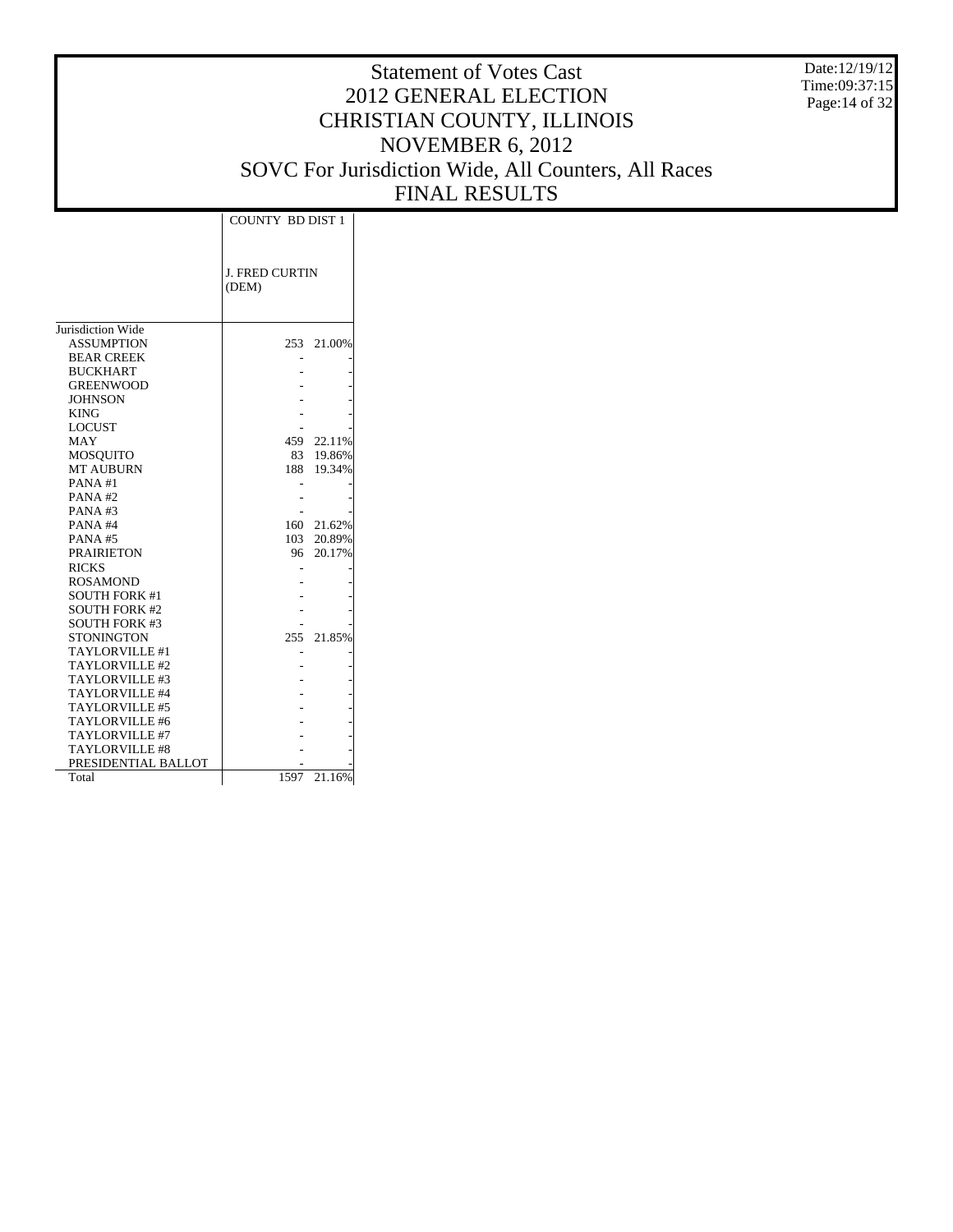Date:12/19/12 Time:09:37:15 Page:14 of 32

|                       | <b>COUNTY BD DIST 1</b> |        |  |
|-----------------------|-------------------------|--------|--|
|                       |                         |        |  |
|                       |                         |        |  |
|                       | J. FRED CURTIN          |        |  |
|                       | (DEM)                   |        |  |
|                       |                         |        |  |
|                       |                         |        |  |
| Jurisdiction Wide     |                         |        |  |
| <b>ASSUMPTION</b>     | 253                     | 21.00% |  |
| <b>BEAR CREEK</b>     |                         |        |  |
| <b>BUCKHART</b>       |                         |        |  |
| <b>GREENWOOD</b>      |                         |        |  |
| <b>JOHNSON</b>        |                         |        |  |
| <b>KING</b>           |                         |        |  |
| <b>LOCUST</b>         |                         |        |  |
| MAY                   | 459                     | 22.11% |  |
| MOSQUITO              | 83                      | 19.86% |  |
| <b>MT AUBURN</b>      | 188                     | 19.34% |  |
| PANA#1                |                         |        |  |
| PANA#2                |                         |        |  |
| PANA#3                |                         |        |  |
| PANA#4                | 160                     | 21.62% |  |
| PANA#5                | 103                     | 20.89% |  |
| <b>PRAIRIETON</b>     | 96                      | 20.17% |  |
| <b>RICKS</b>          |                         |        |  |
| <b>ROSAMOND</b>       |                         |        |  |
| <b>SOUTH FORK #1</b>  |                         |        |  |
| <b>SOUTH FORK #2</b>  |                         |        |  |
| <b>SOUTH FORK #3</b>  |                         |        |  |
| <b>STONINGTON</b>     | 255                     | 21.85% |  |
| TAYLORVILLE #1        |                         |        |  |
| TAYLORVILLE #2        |                         |        |  |
| TAYLORVILLE #3        |                         |        |  |
| TAYLORVILLE #4        |                         |        |  |
| <b>TAYLORVILLE #5</b> |                         |        |  |
| TAYLORVILLE #6        |                         |        |  |
| TAYLORVILLE #7        |                         |        |  |
| TAYLORVILLE #8        |                         |        |  |
| PRESIDENTIAL BALLOT   |                         |        |  |
| Total                 | 1597                    | 21.16% |  |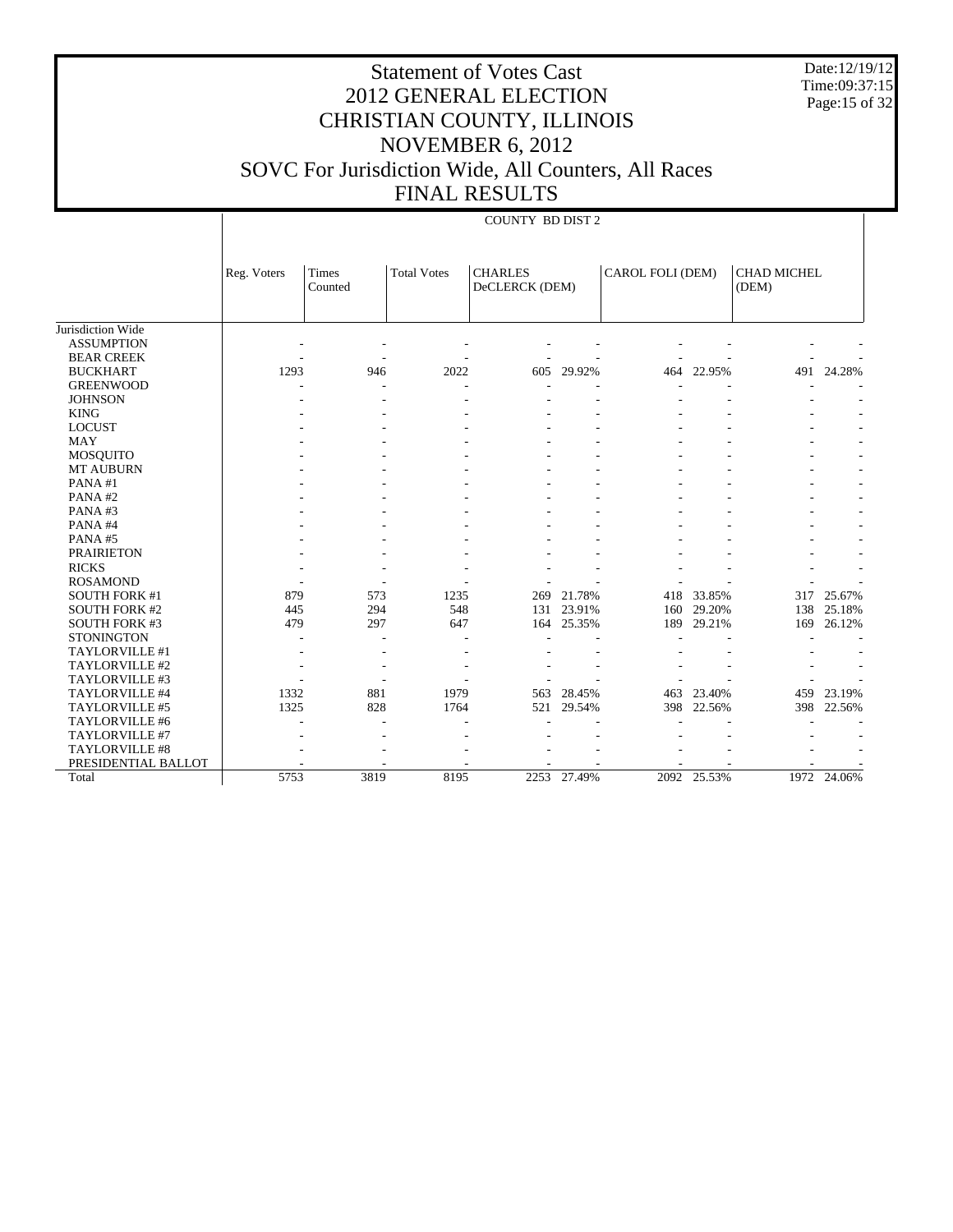Date:12/19/12 Time:09:37:15 Page:15 of 32

COUNTY BD DIST 2

|                      | Reg. Voters | Times<br>Counted | <b>Total Votes</b> | <b>CHARLES</b><br>DeCLERCK (DEM) |        | CAROL FOLI (DEM) |             | <b>CHAD MICHEL</b><br>(DEM) |        |
|----------------------|-------------|------------------|--------------------|----------------------------------|--------|------------------|-------------|-----------------------------|--------|
|                      |             |                  |                    |                                  |        |                  |             |                             |        |
| Jurisdiction Wide    |             |                  |                    |                                  |        |                  |             |                             |        |
| <b>ASSUMPTION</b>    |             |                  |                    |                                  |        |                  |             |                             |        |
| <b>BEAR CREEK</b>    |             |                  |                    |                                  |        |                  |             |                             |        |
| <b>BUCKHART</b>      | 1293        | 946              | 2022               | 605                              | 29.92% | 464              | 22.95%      | 491                         | 24.28% |
| <b>GREENWOOD</b>     |             |                  |                    |                                  |        |                  |             |                             |        |
| <b>JOHNSON</b>       |             |                  |                    |                                  |        |                  |             |                             |        |
| <b>KING</b>          |             |                  |                    |                                  |        |                  |             |                             |        |
| <b>LOCUST</b>        |             |                  |                    |                                  |        |                  |             |                             |        |
| <b>MAY</b>           |             |                  |                    |                                  |        |                  |             |                             |        |
| <b>MOSQUITO</b>      |             |                  |                    |                                  |        |                  |             |                             |        |
| <b>MT AUBURN</b>     |             |                  |                    |                                  |        |                  |             |                             |        |
| PANA#1               |             |                  |                    |                                  |        |                  |             |                             |        |
| PANA#2               |             |                  |                    |                                  |        |                  |             |                             |        |
| PANA#3               |             |                  |                    |                                  |        |                  |             |                             |        |
| PANA#4               |             |                  |                    |                                  |        |                  |             |                             |        |
| PANA#5               |             |                  |                    |                                  |        |                  |             |                             |        |
| <b>PRAIRIETON</b>    |             |                  |                    |                                  |        |                  |             |                             |        |
| <b>RICKS</b>         |             |                  |                    |                                  |        |                  |             |                             |        |
| <b>ROSAMOND</b>      |             |                  |                    |                                  |        |                  |             |                             |        |
| <b>SOUTH FORK #1</b> | 879         | 573              | 1235               | 269                              | 21.78% | 418              | 33.85%      | 317                         | 25.67% |
| <b>SOUTH FORK #2</b> | 445         | 294              | 548                | 131                              | 23.91% | 160              | 29.20%      | 138                         | 25.18% |
| <b>SOUTH FORK #3</b> | 479         | 297              | 647                | 164                              | 25.35% | 189              | 29.21%      | 169                         | 26.12% |
| <b>STONINGTON</b>    |             |                  |                    |                                  |        |                  |             |                             |        |
| TAYLORVILLE #1       |             |                  |                    |                                  |        |                  |             |                             |        |
| TAYLORVILLE #2       |             |                  |                    |                                  |        |                  |             |                             |        |
| TAYLORVILLE #3       |             |                  |                    |                                  |        |                  |             |                             |        |
| TAYLORVILLE #4       | 1332        | 881              | 1979               | 563                              | 28.45% | 463              | 23.40%      | 459                         | 23.19% |
| TAYLORVILLE #5       | 1325        | 828              | 1764               | 521                              | 29.54% | 398              | 22.56%      | 398                         | 22.56% |
| TAYLORVILLE #6       |             |                  |                    |                                  |        |                  |             |                             |        |
| TAYLORVILLE #7       |             |                  |                    |                                  |        |                  |             |                             |        |
| TAYLORVILLE #8       |             |                  |                    |                                  |        |                  |             |                             |        |
| PRESIDENTIAL BALLOT  |             |                  |                    |                                  |        |                  |             |                             |        |
| Total                | 5753        | 3819             | 8195               | 2253                             | 27.49% |                  | 2092 25.53% | 1972                        | 24.06% |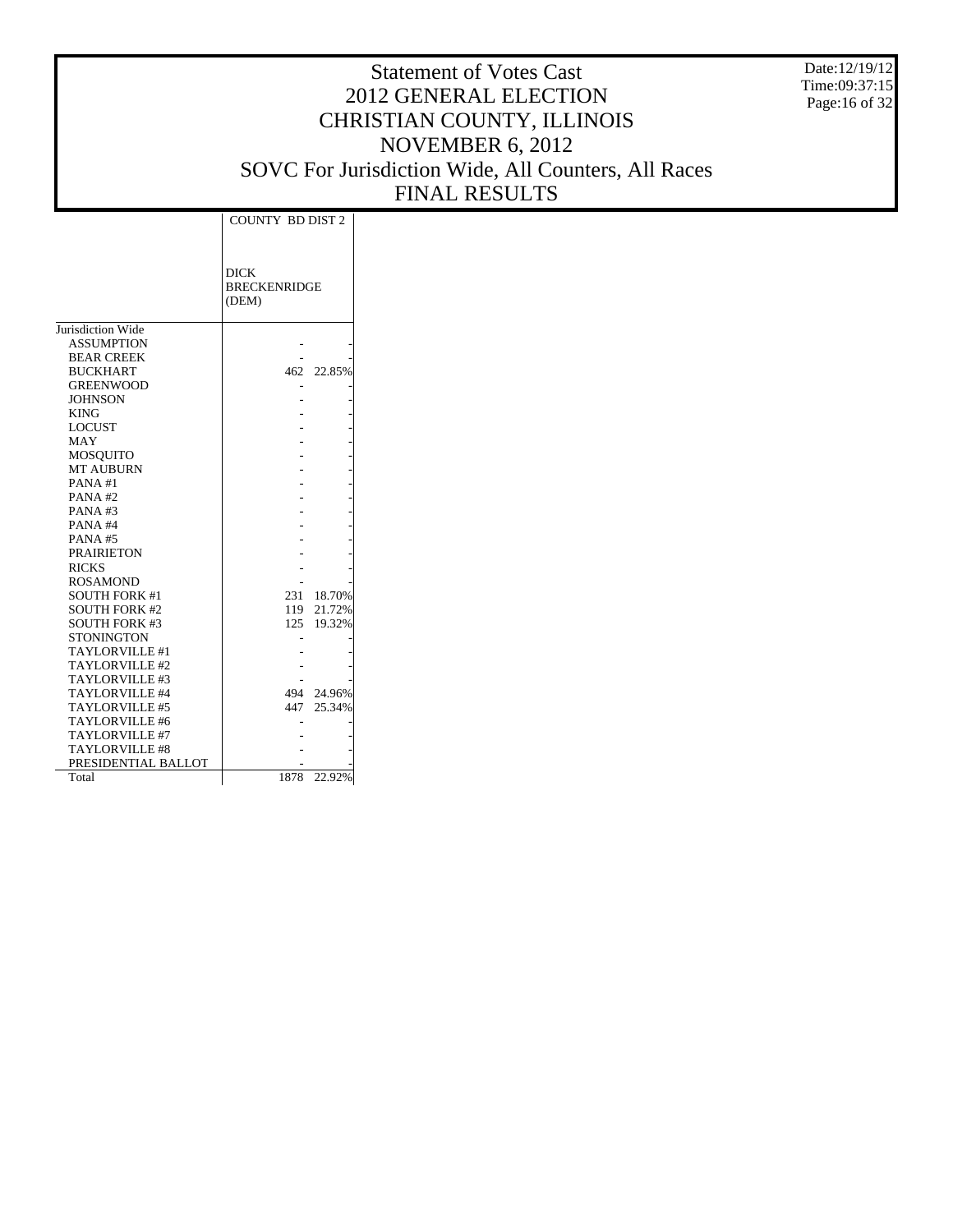Date:12/19/12 Time:09:37:15 Page:16 of 32

|                      | <b>COUNTY BD DIST 2</b>                     |            |
|----------------------|---------------------------------------------|------------|
|                      | <b>DICK</b><br><b>BRECKENRIDGE</b><br>(DEM) |            |
| Jurisdiction Wide    |                                             |            |
| <b>ASSUMPTION</b>    |                                             |            |
| <b>BEAR CREEK</b>    |                                             |            |
| <b>BUCKHART</b>      |                                             | 462 22.85% |
| <b>GREENWOOD</b>     |                                             |            |
| <b>JOHNSON</b>       |                                             |            |
| <b>KING</b>          |                                             |            |
| <b>LOCUST</b>        |                                             |            |
| <b>MAY</b>           |                                             |            |
| <b>MOSQUITO</b>      |                                             |            |
| <b>MT AUBURN</b>     |                                             |            |
| PANA#1               |                                             |            |
| PANA#2               |                                             |            |
| $PANA$ #3            |                                             |            |
| PANA#4               |                                             |            |
| PANA#5               |                                             |            |
| <b>PRAIRIETON</b>    |                                             |            |
| <b>RICKS</b>         |                                             |            |
| <b>ROSAMOND</b>      |                                             |            |
| <b>SOUTH FORK #1</b> | 231                                         | 18.70%     |
| <b>SOUTH FORK #2</b> | 119                                         | 21.72%     |
| <b>SOUTH FORK #3</b> |                                             | 125 19.32% |
| <b>STONINGTON</b>    |                                             |            |
| TAYLORVILLE #1       |                                             |            |
| TAYLORVILLE #2       |                                             |            |
| TAYLORVILLE #3       |                                             |            |
| TAYLORVILLE #4       |                                             | 494 24.96% |
| TAYLORVILLE #5       | 447                                         | 25.34%     |
| TAYLORVILLE #6       |                                             |            |
| TAYLORVILLE #7       |                                             |            |
| TAYLORVILLE#8        |                                             |            |
| PRESIDENTIAL BALLOT  |                                             |            |
| Total                | 1878                                        | 22.92%     |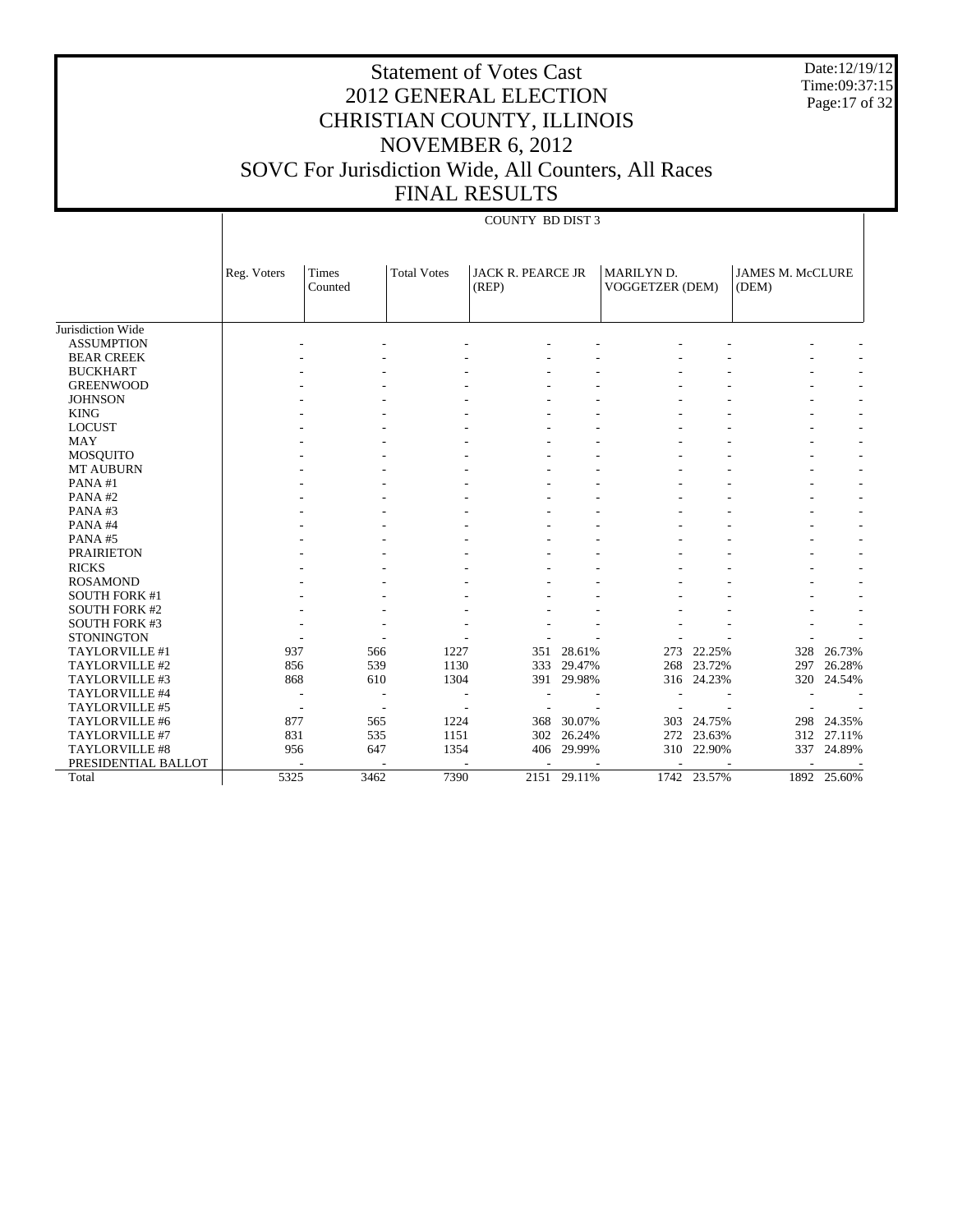Date:12/19/12 Time:09:37:15 Page:17 of 32

# Statement of Votes Cast 2012 GENERAL ELECTION CHRISTIAN COUNTY, ILLINOIS NOVEMBER 6, 2012 SOVC For Jurisdiction Wide, All Counters, All Races FINAL RESULTS

#### COUNTY BD DIST 3

|                      | Reg. Voters | <b>Times</b><br>Counted | <b>Total Votes</b> | <b>JACK R. PEARCE JR</b><br>(REP) |        | MARILYN D.<br>VOGGETZER (DEM) |             | <b>JAMES M. McCLURE</b><br>(DEM) |        |
|----------------------|-------------|-------------------------|--------------------|-----------------------------------|--------|-------------------------------|-------------|----------------------------------|--------|
| Jurisdiction Wide    |             |                         |                    |                                   |        |                               |             |                                  |        |
| <b>ASSUMPTION</b>    |             |                         |                    |                                   |        |                               |             |                                  |        |
| <b>BEAR CREEK</b>    |             |                         |                    |                                   |        |                               |             |                                  |        |
| <b>BUCKHART</b>      |             |                         |                    |                                   |        |                               |             |                                  |        |
|                      |             |                         |                    |                                   |        |                               |             |                                  |        |
| <b>GREENWOOD</b>     |             |                         |                    |                                   |        |                               |             |                                  |        |
| <b>JOHNSON</b>       |             |                         |                    |                                   |        |                               |             |                                  |        |
| <b>KING</b>          |             |                         |                    |                                   |        |                               |             |                                  |        |
| <b>LOCUST</b>        |             |                         |                    |                                   |        |                               |             |                                  |        |
| <b>MAY</b>           |             |                         |                    |                                   |        |                               |             |                                  |        |
| <b>MOSQUITO</b>      |             |                         |                    |                                   |        |                               |             |                                  |        |
| <b>MT AUBURN</b>     |             |                         |                    |                                   |        |                               |             |                                  |        |
| PANA#1               |             |                         |                    |                                   |        |                               |             |                                  |        |
| PANA#2               |             |                         |                    |                                   |        |                               |             |                                  |        |
| PANA#3               |             |                         |                    |                                   |        |                               |             |                                  |        |
| PANA#4               |             |                         |                    |                                   |        |                               |             |                                  |        |
| PANA#5               |             |                         |                    |                                   |        |                               |             |                                  |        |
| <b>PRAIRIETON</b>    |             |                         |                    |                                   |        |                               |             |                                  |        |
| <b>RICKS</b>         |             |                         |                    |                                   |        |                               |             |                                  |        |
| <b>ROSAMOND</b>      |             |                         |                    |                                   |        |                               |             |                                  |        |
| <b>SOUTH FORK #1</b> |             |                         |                    |                                   |        |                               |             |                                  |        |
| <b>SOUTH FORK #2</b> |             |                         |                    |                                   |        |                               |             |                                  |        |
| <b>SOUTH FORK #3</b> |             |                         |                    |                                   |        |                               |             |                                  |        |
| <b>STONINGTON</b>    |             |                         |                    |                                   |        |                               |             |                                  |        |
| TAYLORVILLE #1       | 937         | 566                     | 1227               | 351                               | 28.61% | 273                           | 22.25%      | 328                              | 26.73% |
| TAYLORVILLE #2       | 856         | 539                     | 1130               | 333                               | 29.47% | 268                           | 23.72%      | 297                              | 26.28% |
| TAYLORVILLE #3       | 868         | 610                     | 1304               | 391                               | 29.98% |                               | 316 24.23%  | 320                              | 24.54% |
| TAYLORVILLE #4       |             |                         | ٠                  |                                   |        |                               |             |                                  |        |
| TAYLORVILLE #5       |             | ÷,                      | ÷                  |                                   |        |                               |             |                                  |        |
| TAYLORVILLE #6       | 877         | 565                     | 1224               | 368                               | 30.07% | 303                           | 24.75%      | 298                              | 24.35% |
| TAYLORVILLE #7       | 831         | 535                     | 1151               | 302                               | 26.24% | 272                           | 23.63%      | 312                              | 27.11% |
| TAYLORVILLE #8       | 956         | 647                     | 1354               | 406                               | 29.99% | 310                           | 22.90%      | 337                              | 24.89% |
| PRESIDENTIAL BALLOT  |             |                         |                    |                                   |        |                               |             |                                  |        |
| Total                | 5325        | 3462                    | 7390               | 2151                              | 29.11% |                               | 1742 23.57% | 1892                             | 25.60% |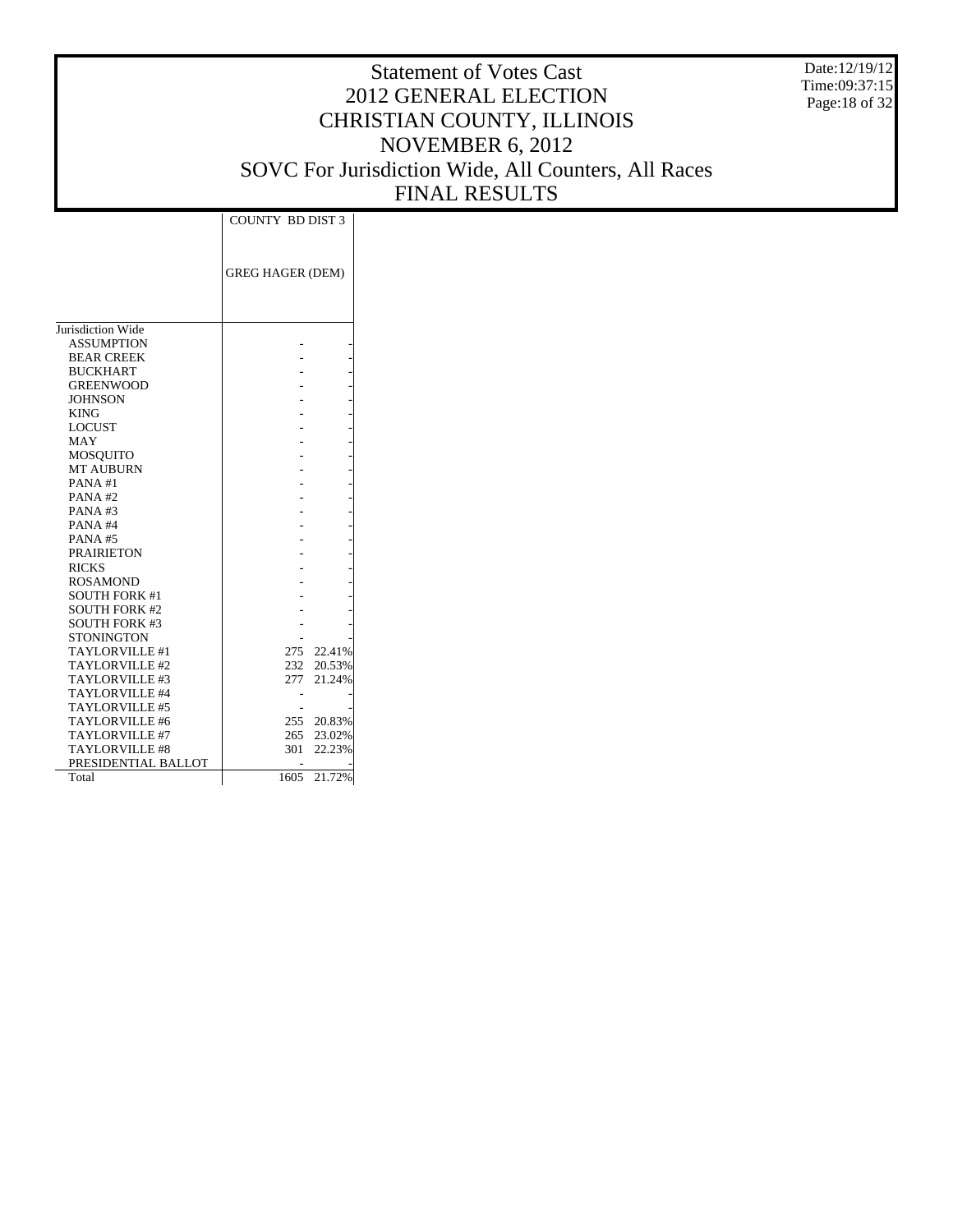Date:12/19/12 Time:09:37:15 Page:18 of 32

| <b>GREG HAGER (DEM)</b><br>Jurisdiction Wide<br><b>ASSUMPTION</b><br><b>BEAR CREEK</b><br><b>BUCKHART</b><br><b>GREENWOOD</b><br><b>JOHNSON</b><br><b>KING</b><br><b>LOCUST</b><br><b>MAY</b><br><b>MOSOUITO</b><br><b>MT AUBURN</b><br>PANA#1<br>PANA#2<br>PANA#3<br>PANA#4<br><b>PANA#5</b><br><b>PRAIRIETON</b><br><b>RICKS</b><br><b>ROSAMOND</b><br><b>SOUTH FORK #1</b><br><b>SOUTH FORK #2</b><br><b>SOUTH FORK #3</b><br><b>STONINGTON</b><br>TAYLORVILLE #1<br>275<br>22.41%<br>20.53%<br>TAYLORVILLE #2<br>232<br>21.24%<br>TAYLORVILLE #3<br>277<br>TAYLORVILLE #4<br>TAYLORVILLE #5<br>20.83% |                | <b>COUNTY BD DIST 3</b> |  |
|-----------------------------------------------------------------------------------------------------------------------------------------------------------------------------------------------------------------------------------------------------------------------------------------------------------------------------------------------------------------------------------------------------------------------------------------------------------------------------------------------------------------------------------------------------------------------------------------------------------|----------------|-------------------------|--|
|                                                                                                                                                                                                                                                                                                                                                                                                                                                                                                                                                                                                           |                |                         |  |
|                                                                                                                                                                                                                                                                                                                                                                                                                                                                                                                                                                                                           |                |                         |  |
|                                                                                                                                                                                                                                                                                                                                                                                                                                                                                                                                                                                                           |                |                         |  |
|                                                                                                                                                                                                                                                                                                                                                                                                                                                                                                                                                                                                           |                |                         |  |
|                                                                                                                                                                                                                                                                                                                                                                                                                                                                                                                                                                                                           |                |                         |  |
|                                                                                                                                                                                                                                                                                                                                                                                                                                                                                                                                                                                                           |                |                         |  |
|                                                                                                                                                                                                                                                                                                                                                                                                                                                                                                                                                                                                           |                |                         |  |
|                                                                                                                                                                                                                                                                                                                                                                                                                                                                                                                                                                                                           |                |                         |  |
|                                                                                                                                                                                                                                                                                                                                                                                                                                                                                                                                                                                                           |                |                         |  |
|                                                                                                                                                                                                                                                                                                                                                                                                                                                                                                                                                                                                           |                |                         |  |
|                                                                                                                                                                                                                                                                                                                                                                                                                                                                                                                                                                                                           |                |                         |  |
|                                                                                                                                                                                                                                                                                                                                                                                                                                                                                                                                                                                                           |                |                         |  |
|                                                                                                                                                                                                                                                                                                                                                                                                                                                                                                                                                                                                           |                |                         |  |
|                                                                                                                                                                                                                                                                                                                                                                                                                                                                                                                                                                                                           |                |                         |  |
|                                                                                                                                                                                                                                                                                                                                                                                                                                                                                                                                                                                                           |                |                         |  |
|                                                                                                                                                                                                                                                                                                                                                                                                                                                                                                                                                                                                           |                |                         |  |
|                                                                                                                                                                                                                                                                                                                                                                                                                                                                                                                                                                                                           |                |                         |  |
|                                                                                                                                                                                                                                                                                                                                                                                                                                                                                                                                                                                                           |                |                         |  |
|                                                                                                                                                                                                                                                                                                                                                                                                                                                                                                                                                                                                           |                |                         |  |
|                                                                                                                                                                                                                                                                                                                                                                                                                                                                                                                                                                                                           |                |                         |  |
|                                                                                                                                                                                                                                                                                                                                                                                                                                                                                                                                                                                                           |                |                         |  |
|                                                                                                                                                                                                                                                                                                                                                                                                                                                                                                                                                                                                           |                |                         |  |
|                                                                                                                                                                                                                                                                                                                                                                                                                                                                                                                                                                                                           |                |                         |  |
|                                                                                                                                                                                                                                                                                                                                                                                                                                                                                                                                                                                                           |                |                         |  |
|                                                                                                                                                                                                                                                                                                                                                                                                                                                                                                                                                                                                           |                |                         |  |
|                                                                                                                                                                                                                                                                                                                                                                                                                                                                                                                                                                                                           |                |                         |  |
|                                                                                                                                                                                                                                                                                                                                                                                                                                                                                                                                                                                                           |                |                         |  |
|                                                                                                                                                                                                                                                                                                                                                                                                                                                                                                                                                                                                           |                |                         |  |
|                                                                                                                                                                                                                                                                                                                                                                                                                                                                                                                                                                                                           |                |                         |  |
|                                                                                                                                                                                                                                                                                                                                                                                                                                                                                                                                                                                                           |                |                         |  |
|                                                                                                                                                                                                                                                                                                                                                                                                                                                                                                                                                                                                           |                |                         |  |
|                                                                                                                                                                                                                                                                                                                                                                                                                                                                                                                                                                                                           |                |                         |  |
|                                                                                                                                                                                                                                                                                                                                                                                                                                                                                                                                                                                                           |                |                         |  |
|                                                                                                                                                                                                                                                                                                                                                                                                                                                                                                                                                                                                           | TAYLORVILLE #6 | 255                     |  |
| TAYLORVILLE #7<br>265<br>23.02%                                                                                                                                                                                                                                                                                                                                                                                                                                                                                                                                                                           |                |                         |  |
| 22.23%<br><b>TAYLORVILLE #8</b><br>301                                                                                                                                                                                                                                                                                                                                                                                                                                                                                                                                                                    |                |                         |  |
| PRESIDENTIAL BALLOT                                                                                                                                                                                                                                                                                                                                                                                                                                                                                                                                                                                       |                |                         |  |
| 21.72%<br>1605<br>Total                                                                                                                                                                                                                                                                                                                                                                                                                                                                                                                                                                                   |                |                         |  |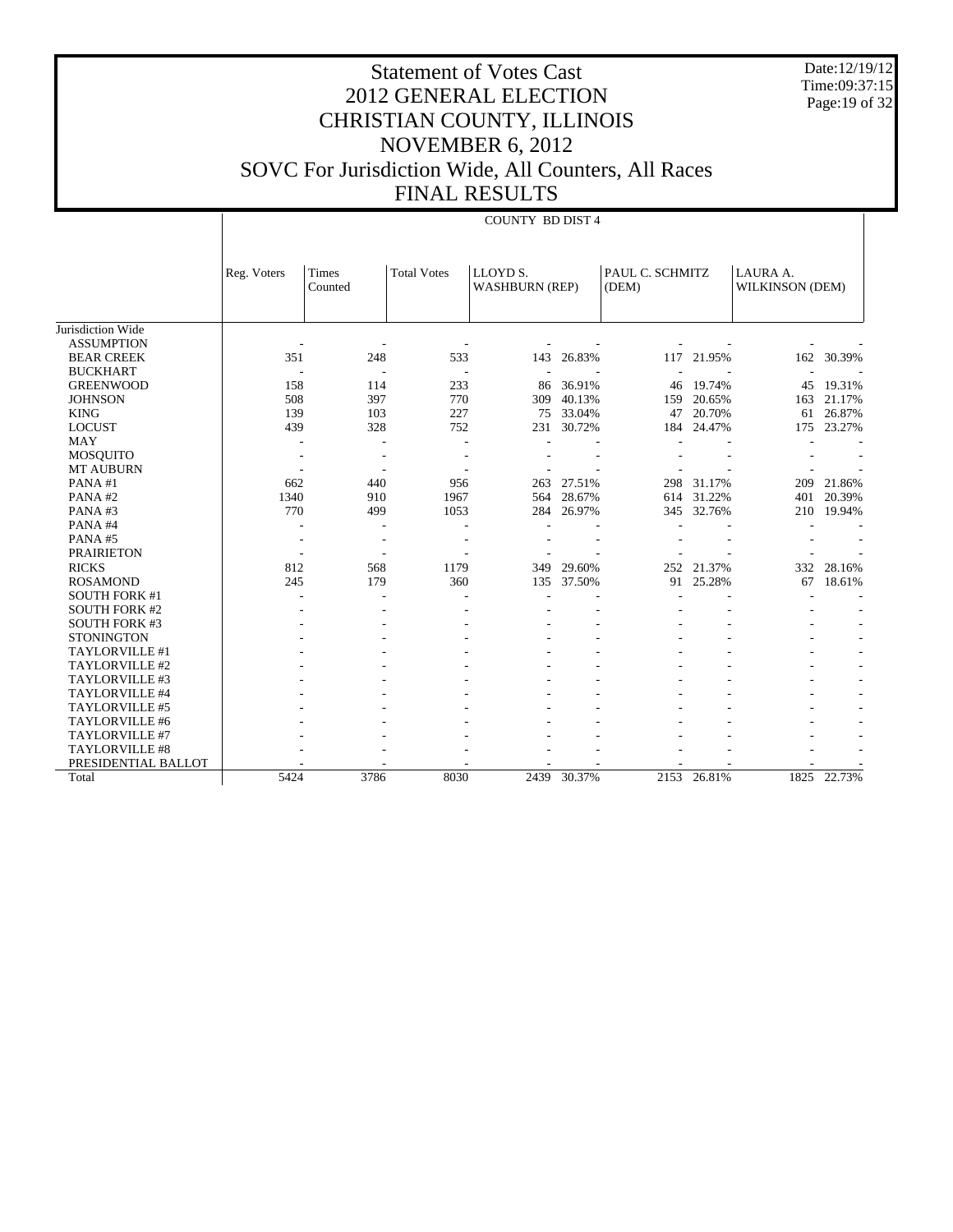Date:12/19/12 Time:09:37:15 Page: 19 of 32

COUNTY BD DIST 4

| <b>Total Votes</b><br>LLOYD S.<br>PAUL C. SCHMITZ<br>LAURA A.<br>Reg. Voters<br>Times<br><b>WASHBURN (REP)</b><br>(DEM)<br>WILKINSON (DEM)<br>Counted<br>Jurisdiction Wide<br><b>ASSUMPTION</b><br>351<br>248<br>533<br>143<br>26.83%<br>21.95%<br>30.39%<br><b>BEAR CREEK</b><br>117<br>162<br><b>BUCKHART</b><br>٠<br>÷,<br>٠ |        |
|---------------------------------------------------------------------------------------------------------------------------------------------------------------------------------------------------------------------------------------------------------------------------------------------------------------------------------|--------|
|                                                                                                                                                                                                                                                                                                                                 |        |
|                                                                                                                                                                                                                                                                                                                                 |        |
|                                                                                                                                                                                                                                                                                                                                 |        |
|                                                                                                                                                                                                                                                                                                                                 |        |
|                                                                                                                                                                                                                                                                                                                                 |        |
|                                                                                                                                                                                                                                                                                                                                 |        |
|                                                                                                                                                                                                                                                                                                                                 |        |
| 158<br><b>GREENWOOD</b><br>114<br>233<br>19.74%<br>86<br>36.91%<br>45<br>46                                                                                                                                                                                                                                                     | 19.31% |
| <b>JOHNSON</b><br>508<br>397<br>770<br>40.13%<br>20.65%<br>21.17%<br>309<br>159<br>163                                                                                                                                                                                                                                          |        |
| 103<br>33.04%<br>20.70%<br>26.87%<br><b>KING</b><br>139<br>227<br>47<br>75<br>61                                                                                                                                                                                                                                                |        |
| <b>LOCUST</b><br>328<br>752<br>231<br>30.72%<br>24.47%<br>23.27%<br>439<br>184<br>175                                                                                                                                                                                                                                           |        |
| <b>MAY</b>                                                                                                                                                                                                                                                                                                                      |        |
| <b>MOSQUITO</b>                                                                                                                                                                                                                                                                                                                 |        |
| <b>MT AUBURN</b>                                                                                                                                                                                                                                                                                                                |        |
| PANA#1<br>662<br>956<br>27.51%<br>31.17%<br>21.86%<br>440<br>263<br>298<br>209                                                                                                                                                                                                                                                  |        |
| 1340<br>910<br>1967<br>28.67%<br>31.22%<br>20.39%<br>PANA#2<br>564<br>614<br>401                                                                                                                                                                                                                                                |        |
| 770<br>499<br>1053<br>26.97%<br>32.76%<br>210 19.94%<br>PANA#3<br>284<br>345                                                                                                                                                                                                                                                    |        |
| PANA#4                                                                                                                                                                                                                                                                                                                          |        |
| PANA#5                                                                                                                                                                                                                                                                                                                          |        |
| <b>PRAIRIETON</b><br>$\overline{a}$                                                                                                                                                                                                                                                                                             |        |
| 29.60%<br>21.37%<br>28.16%<br><b>RICKS</b><br>812<br>568<br>1179<br>332<br>349<br>252                                                                                                                                                                                                                                           |        |
| <b>ROSAMOND</b><br>245<br>179<br>360<br>135<br>37.50%<br>91<br>25.28%<br>67<br>18.61%                                                                                                                                                                                                                                           |        |
| <b>SOUTH FORK #1</b>                                                                                                                                                                                                                                                                                                            |        |
| <b>SOUTH FORK #2</b>                                                                                                                                                                                                                                                                                                            |        |
| <b>SOUTH FORK #3</b>                                                                                                                                                                                                                                                                                                            |        |
| <b>STONINGTON</b>                                                                                                                                                                                                                                                                                                               |        |
| TAYLORVILLE #1                                                                                                                                                                                                                                                                                                                  |        |
| TAYLORVILLE #2                                                                                                                                                                                                                                                                                                                  |        |
| TAYLORVILLE #3                                                                                                                                                                                                                                                                                                                  |        |
| TAYLORVILLE #4                                                                                                                                                                                                                                                                                                                  |        |
| TAYLORVILLE #5                                                                                                                                                                                                                                                                                                                  |        |
| TAYLORVILLE #6                                                                                                                                                                                                                                                                                                                  |        |
| TAYLORVILLE #7                                                                                                                                                                                                                                                                                                                  |        |
| TAYLORVILLE #8                                                                                                                                                                                                                                                                                                                  |        |
| PRESIDENTIAL BALLOT                                                                                                                                                                                                                                                                                                             |        |
| 5424<br>3786<br>8030<br>30.37%<br>2153<br>1825<br>22.73%<br>2439<br>26.81%<br>Total                                                                                                                                                                                                                                             |        |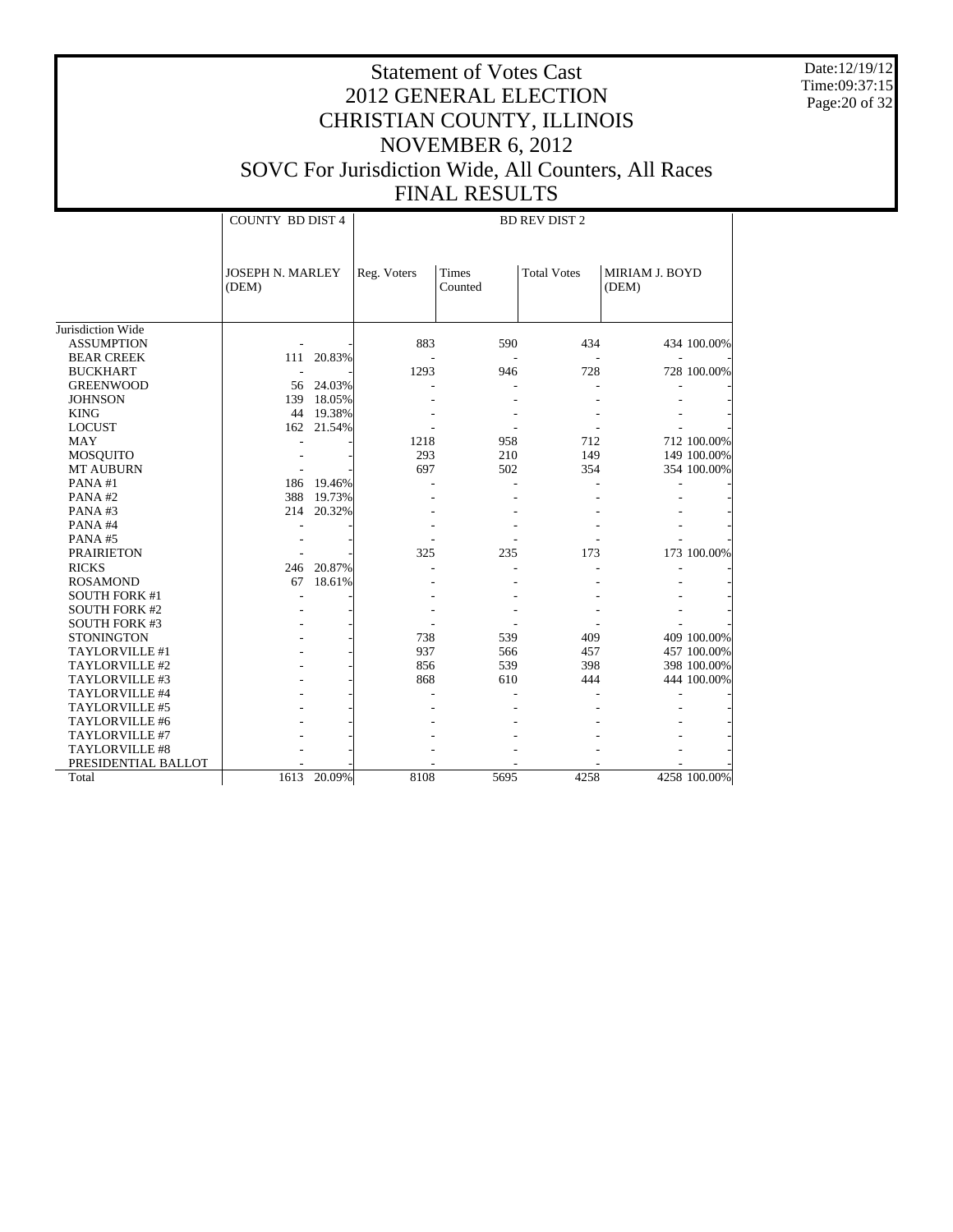Date:12/19/12 Time:09:37:15 Page:20 of 32

|                      | <b>COUNTY BD DIST 4</b>          |           | <b>BD REV DIST 2</b> |                         |                    |                         |              |  |
|----------------------|----------------------------------|-----------|----------------------|-------------------------|--------------------|-------------------------|--------------|--|
|                      |                                  |           |                      |                         |                    |                         |              |  |
|                      | <b>JOSEPH N. MARLEY</b><br>(DEM) |           | Reg. Voters          | <b>Times</b><br>Counted | <b>Total Votes</b> | MIRIAM J. BOYD<br>(DEM) |              |  |
|                      |                                  |           |                      |                         |                    |                         |              |  |
| Jurisdiction Wide    |                                  |           |                      |                         |                    |                         |              |  |
| <b>ASSUMPTION</b>    |                                  |           | 883                  | 590                     | 434                |                         | 434 100.00%  |  |
| <b>BEAR CREEK</b>    | 111                              | 20.83%    |                      |                         |                    |                         |              |  |
| <b>BUCKHART</b>      |                                  |           | 1293                 | 946                     | 728                |                         | 728 100.00%  |  |
| <b>GREENWOOD</b>     |                                  | 56 24.03% |                      |                         |                    |                         |              |  |
| <b>JOHNSON</b>       | 139                              | 18.05%    |                      |                         |                    |                         |              |  |
| <b>KING</b>          |                                  | 44 19.38% |                      |                         |                    |                         |              |  |
| <b>LOCUST</b>        | 162                              | 21.54%    |                      |                         |                    |                         |              |  |
| <b>MAY</b>           |                                  |           | 1218                 | 958                     | 712                |                         | 712 100.00%  |  |
| <b>MOSQUITO</b>      |                                  |           | 293                  | 210                     | 149                |                         | 149 100.00%  |  |
| <b>MT AUBURN</b>     |                                  |           | 697                  | 502                     | 354                |                         | 354 100.00%  |  |
| PANA#1               | 186                              | 19.46%    |                      |                         |                    |                         |              |  |
| PANA#2               | 388                              | 19.73%    |                      |                         |                    |                         |              |  |
| PANA#3               | 214                              | 20.32%    |                      |                         |                    |                         |              |  |
| PANA#4               |                                  |           |                      |                         |                    |                         |              |  |
| PANA#5               |                                  |           |                      |                         |                    |                         |              |  |
| <b>PRAIRIETON</b>    |                                  |           | 325                  | 235                     | 173                |                         | 173 100.00%  |  |
| <b>RICKS</b>         | 246                              | 20.87%    |                      |                         |                    |                         |              |  |
| <b>ROSAMOND</b>      | 67                               | 18.61%    |                      |                         |                    |                         |              |  |
| <b>SOUTH FORK #1</b> |                                  |           |                      |                         |                    |                         |              |  |
| <b>SOUTH FORK #2</b> |                                  |           |                      |                         |                    |                         |              |  |
| <b>SOUTH FORK #3</b> |                                  |           |                      |                         |                    |                         |              |  |
| <b>STONINGTON</b>    |                                  |           | 738                  | 539                     | 409                |                         | 409 100.00%  |  |
| TAYLORVILLE #1       |                                  |           | 937                  | 566                     | 457                |                         | 457 100.00%  |  |
| TAYLORVILLE #2       |                                  |           | 856                  | 539                     | 398                |                         | 398 100.00%  |  |
| TAYLORVILLE #3       |                                  |           | 868                  | 610                     | 444                |                         | 444 100.00%  |  |
| TAYLORVILLE #4       |                                  |           |                      |                         |                    |                         |              |  |
| TAYLORVILLE #5       |                                  |           |                      |                         |                    |                         |              |  |
| TAYLORVILLE #6       |                                  |           |                      |                         |                    |                         |              |  |
| TAYLORVILLE #7       |                                  |           |                      |                         |                    |                         |              |  |
| TAYLORVILLE #8       |                                  |           |                      |                         |                    |                         |              |  |
| PRESIDENTIAL BALLOT  |                                  |           |                      |                         |                    |                         |              |  |
| Total                | 1613                             | 20.09%    | 8108                 | 5695                    | 4258               |                         | 4258 100.00% |  |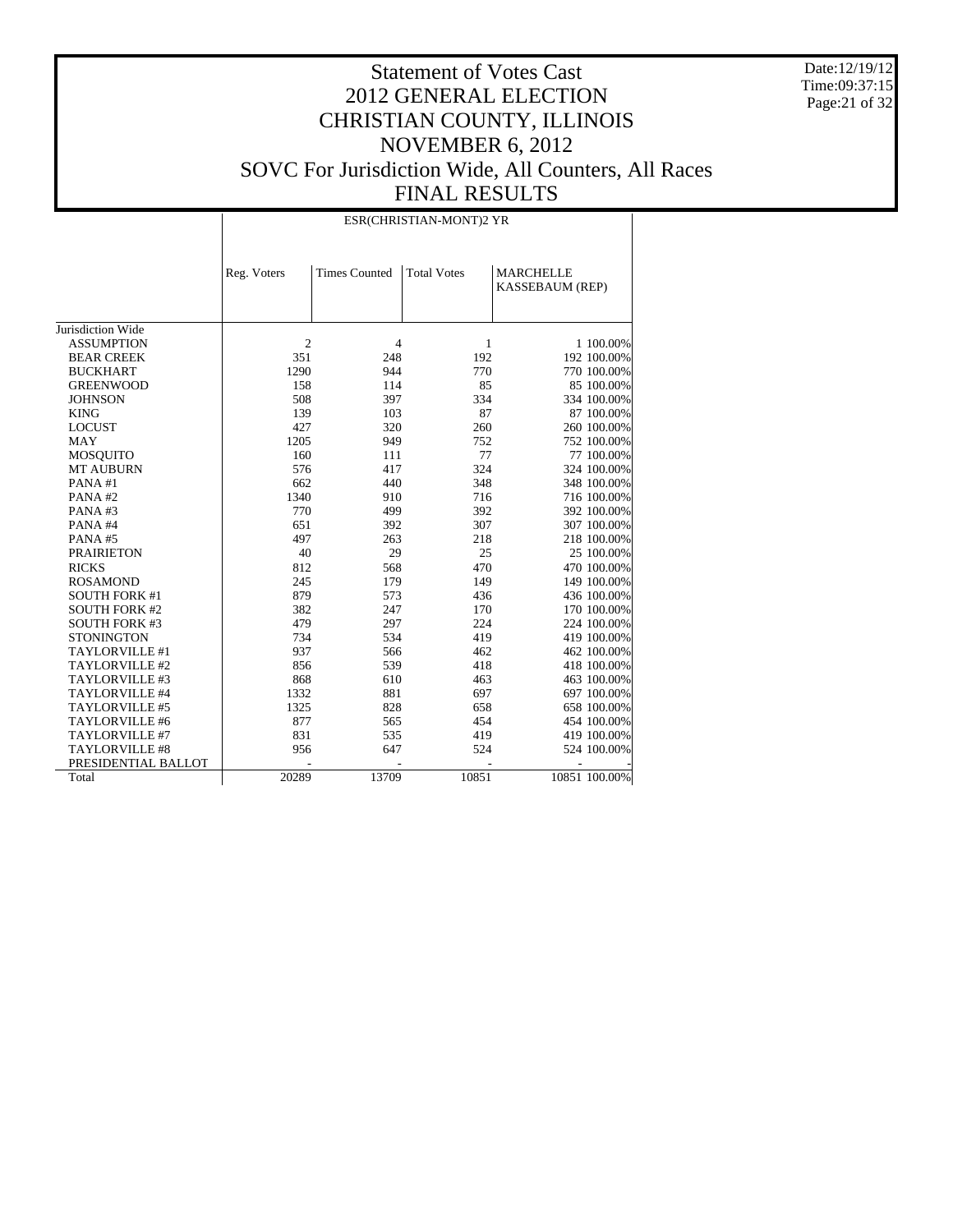Date:12/19/12 Time:09:37:15 Page:21 of 32

# Statement of Votes Cast 2012 GENERAL ELECTION CHRISTIAN COUNTY, ILLINOIS NOVEMBER 6, 2012 SOVC For Jurisdiction Wide, All Counters, All Races FINAL RESULTS

#### ESR(CHRISTIAN-MONT)2 YR

|                       |                | <b>Times Counted</b> | <b>Total Votes</b> | <b>MARCHELLE</b>       |               |
|-----------------------|----------------|----------------------|--------------------|------------------------|---------------|
|                       | Reg. Voters    |                      |                    | <b>KASSEBAUM (REP)</b> |               |
|                       |                |                      |                    |                        |               |
|                       |                |                      |                    |                        |               |
| Jurisdiction Wide     |                |                      |                    |                        |               |
| <b>ASSUMPTION</b>     | $\overline{2}$ | $\overline{4}$       | 1                  |                        | 1 100,00%     |
| <b>BEAR CREEK</b>     | 351            | 248                  | 192                |                        | 192 100.00%   |
| <b>BUCKHART</b>       | 1290           | 944                  | 770                |                        | 770 100.00%   |
| <b>GREENWOOD</b>      | 158            | 114                  | 85                 |                        | 85 100.00%    |
| <b>JOHNSON</b>        | 508            | 397                  | 334                |                        | 334 100.00%   |
| <b>KING</b>           | 139            | 103                  | 87                 |                        | 87 100.00%    |
| <b>LOCUST</b>         | 427            | 320                  | 260                |                        | 260 100.00%   |
| <b>MAY</b>            | 1205           | 949                  | 752                |                        | 752 100.00%   |
| <b>MOSQUITO</b>       | 160            | 111                  | 77                 |                        | 77 100.00%    |
| <b>MT AUBURN</b>      | 576            | 417                  | 324                |                        | 324 100.00%   |
| PANA#1                | 662            | 440                  | 348                |                        | 348 100.00%   |
| PANA#2                | 1340           | 910                  | 716                |                        | 716 100.00%   |
| PANA#3                | 770            | 499                  | 392                |                        | 392 100.00%   |
| PANA#4                | 651            | 392                  | 307                |                        | 307 100.00%   |
| PANA#5                | 497            | 263                  | 218                |                        | 218 100.00%   |
| <b>PRAIRIETON</b>     | 40             | 29                   | 25                 |                        | 25 100.00%    |
| <b>RICKS</b>          | 812            | 568                  | 470                |                        | 470 100.00%   |
| <b>ROSAMOND</b>       | 245            | 179                  | 149                |                        | 149 100.00%   |
| <b>SOUTH FORK #1</b>  | 879            | 573                  | 436                |                        | 436 100.00%   |
| <b>SOUTH FORK #2</b>  | 382            | 247                  | 170                |                        | 170 100.00%   |
| <b>SOUTH FORK #3</b>  | 479            | 297                  | 224                |                        | 224 100.00%   |
| <b>STONINGTON</b>     | 734            | 534                  | 419                |                        | 419 100.00%   |
| TAYLORVILLE #1        | 937            | 566                  | 462                |                        | 462 100.00%   |
| TAYLORVILLE #2        | 856            | 539                  | 418                |                        | 418 100.00%   |
| TAYLORVILLE #3        | 868            | 610                  | 463                |                        | 463 100.00%   |
| TAYLORVILLE #4        | 1332           | 881                  | 697                |                        | 697 100.00%   |
| TAYLORVILLE #5        | 1325           | 828                  | 658                |                        | 658 100.00%   |
| TAYLORVILLE #6        | 877            | 565                  | 454                |                        | 454 100.00%   |
| TAYLORVILLE #7        | 831            | 535                  | 419                |                        | 419 100.00%   |
| <b>TAYLORVILLE #8</b> | 956            | 647                  | 524                |                        | 524 100.00%   |
| PRESIDENTIAL BALLOT   |                |                      |                    |                        |               |
| Total                 | 20289          | 13709                | 10851              |                        | 10851 100.00% |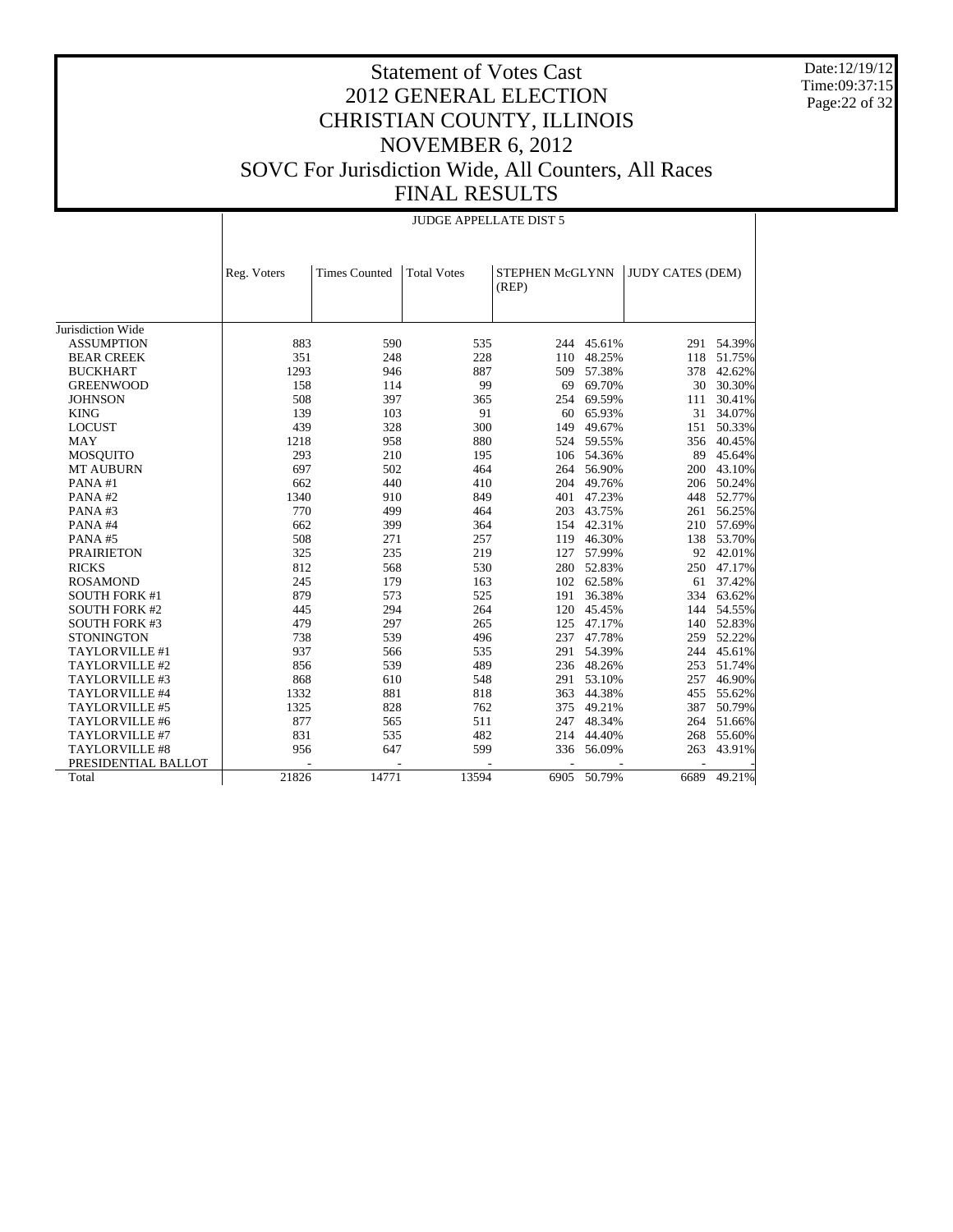Date:12/19/12 Time:09:37:15 Page:22 of 32

#### Statement of Votes Cast 2012 GENERAL ELECTION CHRISTIAN COUNTY, ILLINOIS NOVEMBER 6, 2012 SOVC For Jurisdiction Wide, All Counters, All Races FINAL RESULTS

|                      |             |                      | <b>JUDGE APPELLATE DIST 5</b> |                          |             |                         |             |
|----------------------|-------------|----------------------|-------------------------------|--------------------------|-------------|-------------------------|-------------|
|                      | Reg. Voters | <b>Times Counted</b> | <b>Total Votes</b>            | STEPHEN McGLYNN<br>(REP) |             | <b>JUDY CATES (DEM)</b> |             |
| Jurisdiction Wide    |             |                      |                               |                          |             |                         |             |
|                      |             | 590                  |                               |                          |             |                         |             |
| <b>ASSUMPTION</b>    | 883         |                      | 535                           |                          | 244 45.61%  |                         | 291 54.39%  |
| <b>BEAR CREEK</b>    | 351         | 248                  | 228                           | 110                      | 48.25%      | 118                     | 51.75%      |
| <b>BUCKHART</b>      | 1293        | 946                  | 887                           | 509                      | 57.38%      | 378                     | 42.62%      |
| <b>GREENWOOD</b>     | 158         | 114                  | 99                            | 69                       | 69.70%      | 30                      | 30.30%      |
| <b>JOHNSON</b>       | 508         | 397                  | 365                           | 254                      | 69.59%      | 111                     | 30.41%      |
| <b>KING</b>          | 139         | 103                  | 91                            | 60                       | 65.93%      | 31                      | 34.07%      |
| <b>LOCUST</b>        | 439         | 328                  | 300                           | 149                      | 49.67%      | 151                     | 50.33%      |
| <b>MAY</b>           | 1218        | 958                  | 880                           | 524                      | 59.55%      | 356                     | 40.45%      |
| <b>MOSQUITO</b>      | 293         | 210                  | 195                           | 106                      | 54.36%      | 89                      | 45.64%      |
| <b>MT AUBURN</b>     | 697         | 502                  | 464                           | 264                      | 56.90%      | 200                     | 43.10%      |
| PANA#1               | 662         | 440                  | 410                           | 204                      | 49.76%      | 206                     | 50.24%      |
| PANA#2               | 1340        | 910                  | 849                           | 401                      | 47.23%      | 448                     | 52.77%      |
| PANA#3               | 770         | 499                  | 464                           | 203                      | 43.75%      | 261                     | 56.25%      |
| PANA#4               | 662         | 399                  | 364                           |                          | 154 42.31%  | 210                     | 57.69%      |
| PANA#5               | 508         | 271                  | 257                           | 119                      | 46.30%      | 138                     | 53.70%      |
| <b>PRAIRIETON</b>    | 325         | 235                  | 219                           | 127                      | 57.99%      | 92                      | 42.01%      |
| <b>RICKS</b>         | 812         | 568                  | 530                           | 280                      | 52.83%      | 250                     | 47.17%      |
| <b>ROSAMOND</b>      | 245         | 179                  | 163                           | 102                      | 62.58%      | 61                      | 37.42%      |
| <b>SOUTH FORK #1</b> | 879         | 573                  | 525                           | 191                      | 36.38%      | 334                     | 63.62%      |
| <b>SOUTH FORK #2</b> | 445         | 294                  | 264                           | 120                      | 45.45%      | 144                     | 54.55%      |
| <b>SOUTH FORK #3</b> | 479         | 297                  | 265                           | 125                      | 47.17%      | 140                     | 52.83%      |
| <b>STONINGTON</b>    | 738         | 539                  | 496                           | 237                      | 47.78%      | 259                     | 52.22%      |
| TAYLORVILLE #1       | 937         | 566                  | 535                           | 291                      | 54.39%      | 244                     | 45.61%      |
| TAYLORVILLE #2       | 856         | 539                  | 489                           |                          | 236 48.26%  | 253                     | 51.74%      |
| TAYLORVILLE #3       | 868         | 610                  | 548                           | 291                      | 53.10%      | 257                     | 46.90%      |
| TAYLORVILLE #4       | 1332        | 881                  | 818                           | 363                      | 44.38%      | 455                     | 55.62%      |
| TAYLORVILLE #5       | 1325        | 828                  | 762                           | 375                      | 49.21%      | 387                     | 50.79%      |
| TAYLORVILLE #6       | 877         | 565                  | 511                           | 247                      | 48.34%      | 264                     | 51.66%      |
| TAYLORVILLE #7       | 831         | 535                  | 482                           | 214                      | 44.40%      | 268                     | 55.60%      |
| TAYLORVILLE #8       | 956         | 647                  | 599                           | 336                      | 56.09%      | 263                     | 43.91%      |
| PRESIDENTIAL BALLOT  |             |                      |                               |                          |             |                         |             |
| Total                | 21826       | 14771                | 13594                         |                          | 6905 50.79% |                         | 6689 49.21% |
|                      |             |                      |                               |                          |             |                         |             |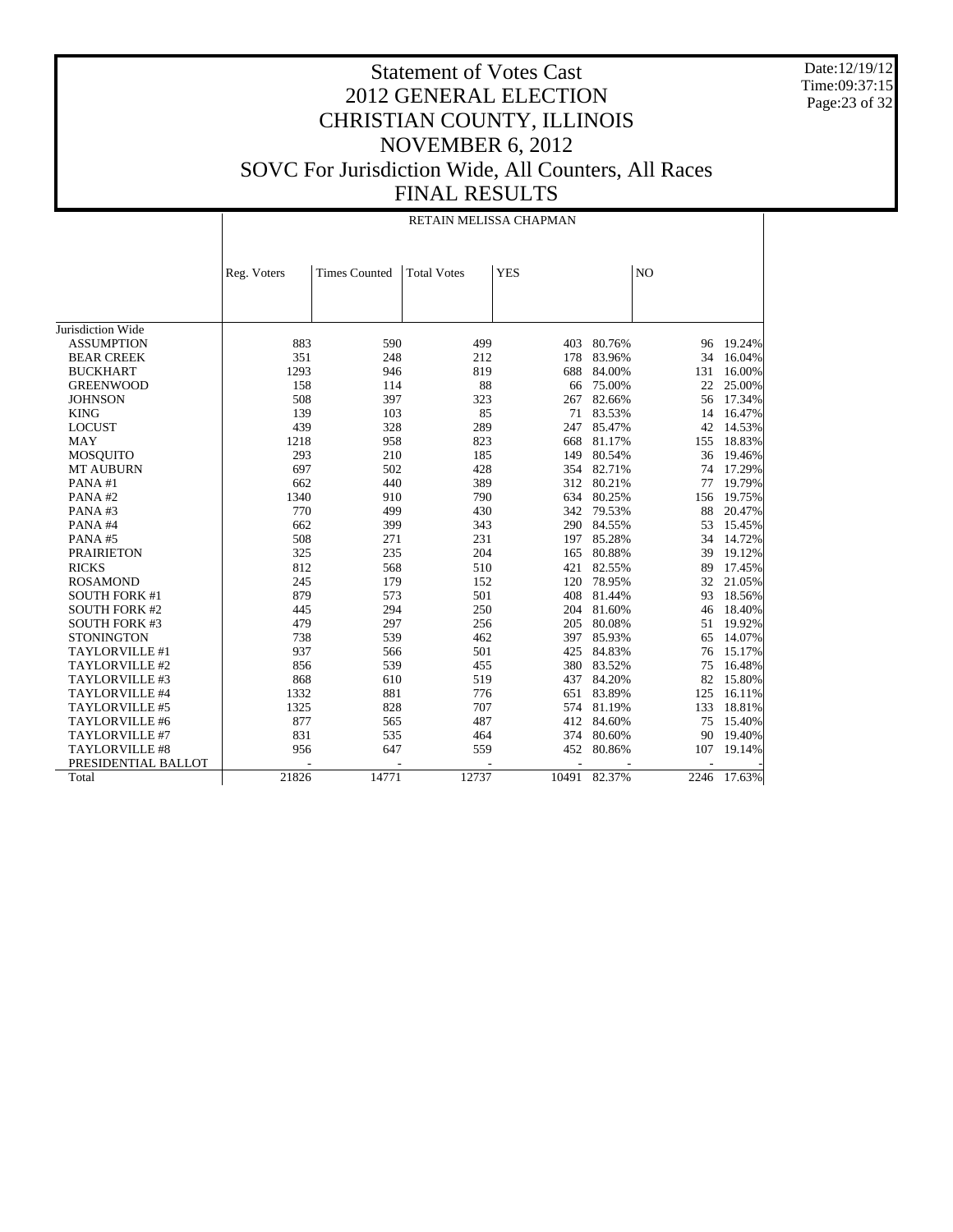Date:12/19/12 Time:09:37:15 Page:23 of 32

|                      |             | RETAIN MELISSA CHAPMAN |                    |            |            |      |           |  |
|----------------------|-------------|------------------------|--------------------|------------|------------|------|-----------|--|
|                      |             |                        |                    |            |            |      |           |  |
|                      | Reg. Voters | <b>Times Counted</b>   | <b>Total Votes</b> | <b>YES</b> |            | NO   |           |  |
|                      |             |                        |                    |            |            |      |           |  |
|                      |             |                        |                    |            |            |      |           |  |
| Jurisdiction Wide    |             |                        |                    |            |            |      |           |  |
| <b>ASSUMPTION</b>    | 883         | 590                    | 499                | 403        | 80.76%     |      | 96 19.24% |  |
| <b>BEAR CREEK</b>    | 351         | 248                    | 212                | 178        | 83.96%     | 34   | 16.04%    |  |
| <b>BUCKHART</b>      | 1293        | 946                    | 819                | 688        | 84.00%     | 131  | 16.00%    |  |
| <b>GREENWOOD</b>     | 158         | 114                    | 88                 | 66         | 75.00%     | 22   | 25.00%    |  |
| <b>JOHNSON</b>       | 508         | 397                    | 323                | 267        | 82.66%     | 56   | 17.34%    |  |
| <b>KING</b>          | 139         | 103                    | 85                 | 71         | 83.53%     | 14   | 16.47%    |  |
| <b>LOCUST</b>        | 439         | 328                    | 289                | 247        | 85.47%     | 42   | 14.53%    |  |
| <b>MAY</b>           | 1218        | 958                    | 823                | 668        | 81.17%     | 155  | 18.83%    |  |
| <b>MOSOUITO</b>      | 293         | 210                    | 185                | 149        | 80.54%     | 36   | 19.46%    |  |
| <b>MT AUBURN</b>     | 697         | 502                    | 428                | 354        | 82.71%     | 74   | 17.29%    |  |
| PANA#1               | 662         | 440                    | 389                | 312        | 80.21%     | 77   | 19.79%    |  |
| PANA#2               | 1340        | 910                    | 790                | 634        | 80.25%     | 156  | 19.75%    |  |
| PANA#3               | 770         | 499                    | 430                | 342        | 79.53%     | 88   | 20.47%    |  |
| PANA#4               | 662         | 399                    | 343                | 290        | 84.55%     | 53   | 15.45%    |  |
| PANA#5               | 508         | 271                    | 231                | 197        | 85.28%     | 34   | 14.72%    |  |
| <b>PRAIRIETON</b>    | 325         | 235                    | 204                | 165        | 80.88%     | 39   | 19.12%    |  |
| <b>RICKS</b>         | 812         | 568                    | 510                | 421        | 82.55%     | 89   | 17.45%    |  |
| <b>ROSAMOND</b>      | 245         | 179                    | 152                | 120        | 78.95%     | 32   | 21.05%    |  |
| <b>SOUTH FORK #1</b> | 879         | 573                    | 501                | 408        | 81.44%     | 93   | 18.56%    |  |
| <b>SOUTH FORK #2</b> | 445         | 294                    | 250                | 204        | 81.60%     | 46   | 18.40%    |  |
| <b>SOUTH FORK #3</b> | 479         | 297                    | 256                | 205        | 80.08%     | 51   | 19.92%    |  |
| <b>STONINGTON</b>    | 738         | 539                    | 462                | 397        | 85.93%     | 65   | 14.07%    |  |
| TAYLORVILLE #1       | 937         | 566                    | 501                | 425        | 84.83%     | 76   | 15.17%    |  |
| TAYLORVILLE #2       | 856         | 539                    | 455                | 380        | 83.52%     | 75   | 16.48%    |  |
| TAYLORVILLE #3       | 868         | 610                    | 519                | 437        | 84.20%     | 82   | 15.80%    |  |
| TAYLORVILLE #4       | 1332        | 881                    | 776                | 651        | 83.89%     | 125  | 16.11%    |  |
| TAYLORVILLE #5       | 1325        | 828                    | 707                | 574        | 81.19%     | 133  | 18.81%    |  |
| TAYLORVILLE #6       | 877         | 565                    | 487                |            | 412 84.60% | 75   | 15.40%    |  |
| TAYLORVILLE #7       | 831         | 535                    | 464                | 374        | 80.60%     | 90   | 19.40%    |  |
| TAYLORVILLE #8       | 956         | 647                    | 559                | 452        | 80.86%     | 107  | 19.14%    |  |
| PRESIDENTIAL BALLOT  |             |                        |                    |            |            |      |           |  |
| Total                | 21826       | 14771                  | 12737              | 10491      | 82.37%     | 2246 | 17.63%    |  |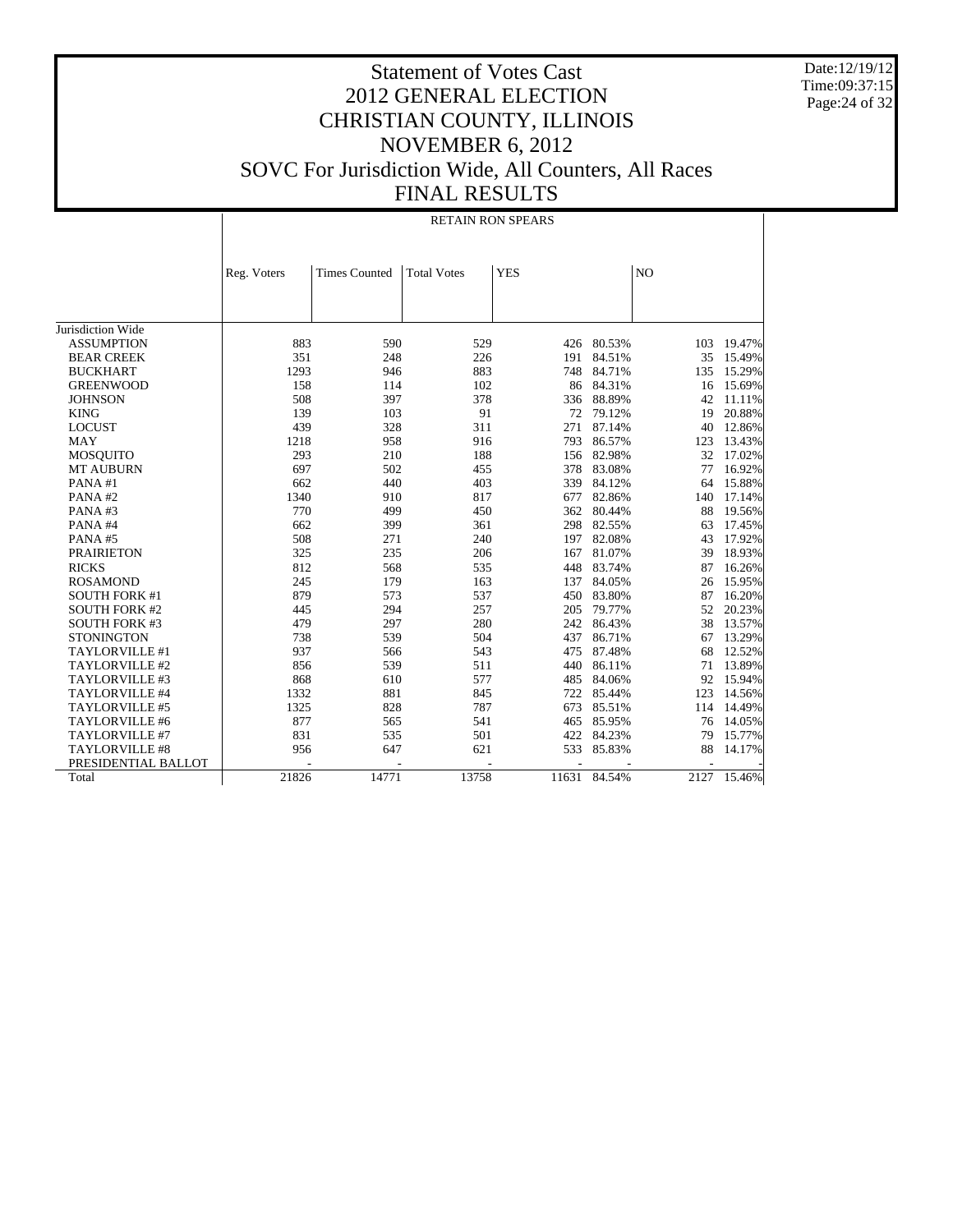Date:12/19/12 Time:09:37:15 Page:24 of 32

|                       |             | <b>RETAIN RON SPEARS</b> |                    |            |            |      |        |  |
|-----------------------|-------------|--------------------------|--------------------|------------|------------|------|--------|--|
|                       | Reg. Voters | <b>Times Counted</b>     | <b>Total Votes</b> | <b>YES</b> |            | NO   |        |  |
|                       |             |                          |                    |            |            |      |        |  |
|                       |             |                          |                    |            |            |      |        |  |
|                       |             |                          |                    |            |            |      |        |  |
| Jurisdiction Wide     |             |                          |                    |            |            |      |        |  |
| <b>ASSUMPTION</b>     | 883         | 590                      | 529                | 426        | 80.53%     | 103  | 19.47% |  |
| <b>BEAR CREEK</b>     | 351         | 248                      | 226                | 191        | 84.51%     | 35   | 15.49% |  |
| <b>BUCKHART</b>       | 1293        | 946                      | 883                | 748        | 84.71%     | 135  | 15.29% |  |
| <b>GREENWOOD</b>      | 158         | 114                      | 102                | 86         | 84.31%     | 16   | 15.69% |  |
| <b>JOHNSON</b>        | 508         | 397                      | 378                | 336        | 88.89%     | 42   | 11.11% |  |
| <b>KING</b>           | 139         | 103                      | 91                 | 72         | 79.12%     | 19   | 20.88% |  |
| <b>LOCUST</b>         | 439         | 328                      | 311                | 271        | 87.14%     | 40   | 12.86% |  |
| <b>MAY</b>            | 1218        | 958                      | 916                | 793        | 86.57%     | 123  | 13.43% |  |
| <b>MOSQUITO</b>       | 293         | 210                      | 188                | 156        | 82.98%     | 32   | 17.02% |  |
| <b>MT AUBURN</b>      | 697         | 502                      | 455                | 378        | 83.08%     | 77   | 16.92% |  |
| PANA#1                | 662         | 440                      | 403                | 339        | 84.12%     | 64   | 15.88% |  |
| PANA#2                | 1340        | 910                      | 817                | 677        | 82.86%     | 140  | 17.14% |  |
| PANA#3                | 770         | 499                      | 450                | 362        | 80.44%     | 88   | 19.56% |  |
| PANA#4                | 662         | 399                      | 361                | 298        | 82.55%     | 63   | 17.45% |  |
| PANA#5                | 508         | 271                      | 240                | 197        | 82.08%     | 43   | 17.92% |  |
| <b>PRAIRIETON</b>     | 325         | 235                      | 206                | 167        | 81.07%     | 39   | 18.93% |  |
| <b>RICKS</b>          | 812         | 568                      | 535                | 448        | 83.74%     | 87   | 16.26% |  |
| <b>ROSAMOND</b>       | 245         | 179                      | 163                | 137        | 84.05%     | 26   | 15.95% |  |
| <b>SOUTH FORK #1</b>  | 879         | 573                      | 537                | 450        | 83.80%     | 87   | 16.20% |  |
| <b>SOUTH FORK #2</b>  | 445         | 294                      | 257                | 205        | 79.77%     | 52   | 20.23% |  |
| <b>SOUTH FORK #3</b>  | 479         | 297                      | 280                | 242        | 86.43%     | 38   | 13.57% |  |
| <b>STONINGTON</b>     | 738         | 539                      | 504                | 437        | 86.71%     | 67   | 13.29% |  |
| TAYLORVILLE #1        | 937         | 566                      | 543                | 475        | 87.48%     | 68   | 12.52% |  |
| TAYLORVILLE #2        | 856         | 539                      | 511                | 440        | 86.11%     | 71   | 13.89% |  |
| TAYLORVILLE #3        | 868         | 610                      | 577                | 485        | 84.06%     | 92   | 15.94% |  |
| TAYLORVILLE #4        | 1332        | 881                      | 845                | 722        | 85.44%     | 123  | 14.56% |  |
| TAYLORVILLE #5        | 1325        | 828                      | 787                | 673        | 85.51%     | 114  | 14.49% |  |
| TAYLORVILLE #6        | 877         | 565                      | 541                | 465        | 85.95%     | 76   | 14.05% |  |
| TAYLORVILLE #7        | 831         | 535                      | 501                |            | 422 84.23% | 79   | 15.77% |  |
| <b>TAYLORVILLE #8</b> | 956         | 647                      | 621                | 533        | 85.83%     | 88   | 14.17% |  |
| PRESIDENTIAL BALLOT   |             |                          |                    |            |            |      |        |  |
| Total                 | 21826       | 14771                    | 13758              | 11631      | 84.54%     | 2127 | 15.46% |  |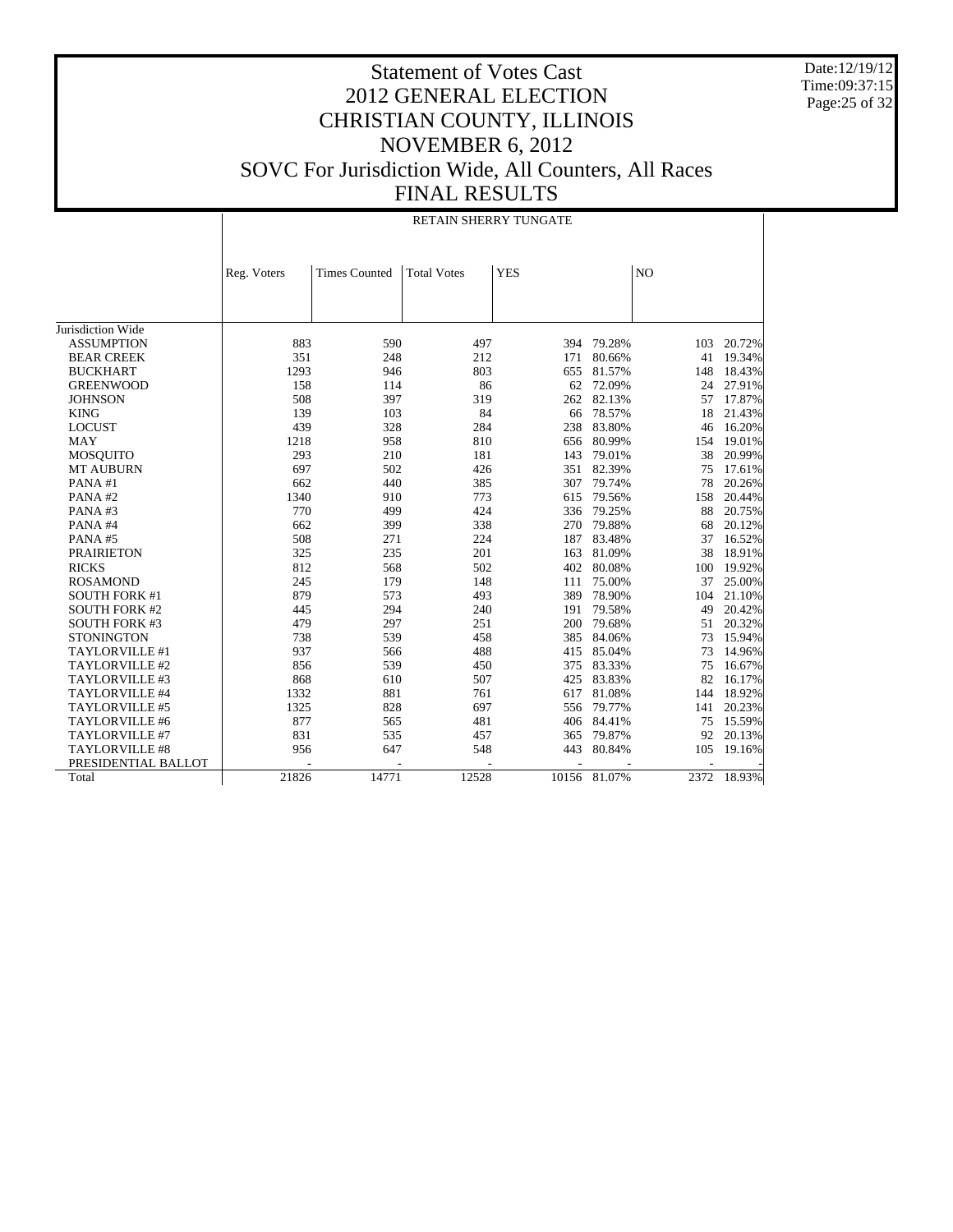Date:12/19/12 Time:09:37:15 Page:25 of 32

|                      |             | <b>RETAIN SHERRY TUNGATE</b> |                    |            |              |      |        |  |
|----------------------|-------------|------------------------------|--------------------|------------|--------------|------|--------|--|
|                      | Reg. Voters | <b>Times Counted</b>         | <b>Total Votes</b> | <b>YES</b> |              | NO   |        |  |
|                      |             |                              |                    |            |              |      |        |  |
|                      |             |                              |                    |            |              |      |        |  |
|                      |             |                              |                    |            |              |      |        |  |
| Jurisdiction Wide    |             |                              |                    |            |              |      |        |  |
| <b>ASSUMPTION</b>    | 883         | 590                          | 497                | 394        | 79.28%       | 103  | 20.72% |  |
| <b>BEAR CREEK</b>    | 351         | 248                          | 212                | 171        | 80.66%       | 41   | 19.34% |  |
| <b>BUCKHART</b>      | 1293        | 946                          | 803                | 655        | 81.57%       | 148  | 18.43% |  |
| <b>GREENWOOD</b>     | 158         | 114                          | 86                 | 62         | 72.09%       | 24   | 27.91% |  |
| <b>JOHNSON</b>       | 508         | 397                          | 319                | 262        | 82.13%       | 57   | 17.87% |  |
| <b>KING</b>          | 139         | 103                          | 84                 | 66         | 78.57%       | 18   | 21.43% |  |
| <b>LOCUST</b>        | 439         | 328                          | 284                | 238        | 83.80%       | 46   | 16.20% |  |
| <b>MAY</b>           | 1218        | 958                          | 810                | 656        | 80.99%       | 154  | 19.01% |  |
| <b>MOSQUITO</b>      | 293         | 210                          | 181                | 143        | 79.01%       | 38   | 20.99% |  |
| <b>MT AUBURN</b>     | 697         | 502                          | 426                | 351        | 82.39%       | 75   | 17.61% |  |
| PANA#1               | 662         | 440                          | 385                | 307        | 79.74%       | 78   | 20.26% |  |
| PANA#2               | 1340        | 910                          | 773                | 615        | 79.56%       | 158  | 20.44% |  |
| PANA#3               | 770         | 499                          | 424                | 336        | 79.25%       | 88   | 20.75% |  |
| PANA#4               | 662         | 399                          | 338                | 270        | 79.88%       | 68   | 20.12% |  |
| PANA#5               | 508         | 271                          | 224                | 187        | 83.48%       | 37   | 16.52% |  |
| <b>PRAIRIETON</b>    | 325         | 235                          | 201                | 163        | 81.09%       | 38   | 18.91% |  |
| <b>RICKS</b>         | 812         | 568                          | 502                | 402        | 80.08%       | 100  | 19.92% |  |
| <b>ROSAMOND</b>      | 245         | 179                          | 148                | 111        | 75.00%       | 37   | 25.00% |  |
| <b>SOUTH FORK #1</b> | 879         | 573                          | 493                | 389        | 78.90%       | 104  | 21.10% |  |
| <b>SOUTH FORK #2</b> | 445         | 294                          | 240                | 191        | 79.58%       | 49   | 20.42% |  |
| <b>SOUTH FORK #3</b> | 479         | 297                          | 251                | 200        | 79.68%       | 51   | 20.32% |  |
| <b>STONINGTON</b>    | 738         | 539                          | 458                | 385        | 84.06%       | 73   | 15.94% |  |
| TAYLORVILLE #1       | 937         | 566                          | 488                | 415        | 85.04%       | 73   | 14.96% |  |
| TAYLORVILLE #2       | 856         | 539                          | 450                | 375        | 83.33%       | 75   | 16.67% |  |
| TAYLORVILLE #3       | 868         | 610                          | 507                | 425        | 83.83%       | 82   | 16.17% |  |
| TAYLORVILLE #4       | 1332        | 881                          | 761                | 617        | 81.08%       | 144  | 18.92% |  |
| TAYLORVILLE #5       | 1325        | 828                          | 697                | 556        | 79.77%       | 141  | 20.23% |  |
| TAYLORVILLE #6       | 877         | 565                          | 481                | 406        | 84.41%       | 75   | 15.59% |  |
| TAYLORVILLE #7       | 831         | 535                          | 457                | 365        | 79.87%       | 92   | 20.13% |  |
| TAYLORVILLE #8       | 956         | 647                          | 548                | 443        | 80.84%       | 105  | 19.16% |  |
| PRESIDENTIAL BALLOT  |             |                              |                    |            |              |      |        |  |
| Total                | 21826       | 14771                        | 12528              |            | 10156 81.07% | 2372 | 18.93% |  |
|                      |             |                              |                    |            |              |      |        |  |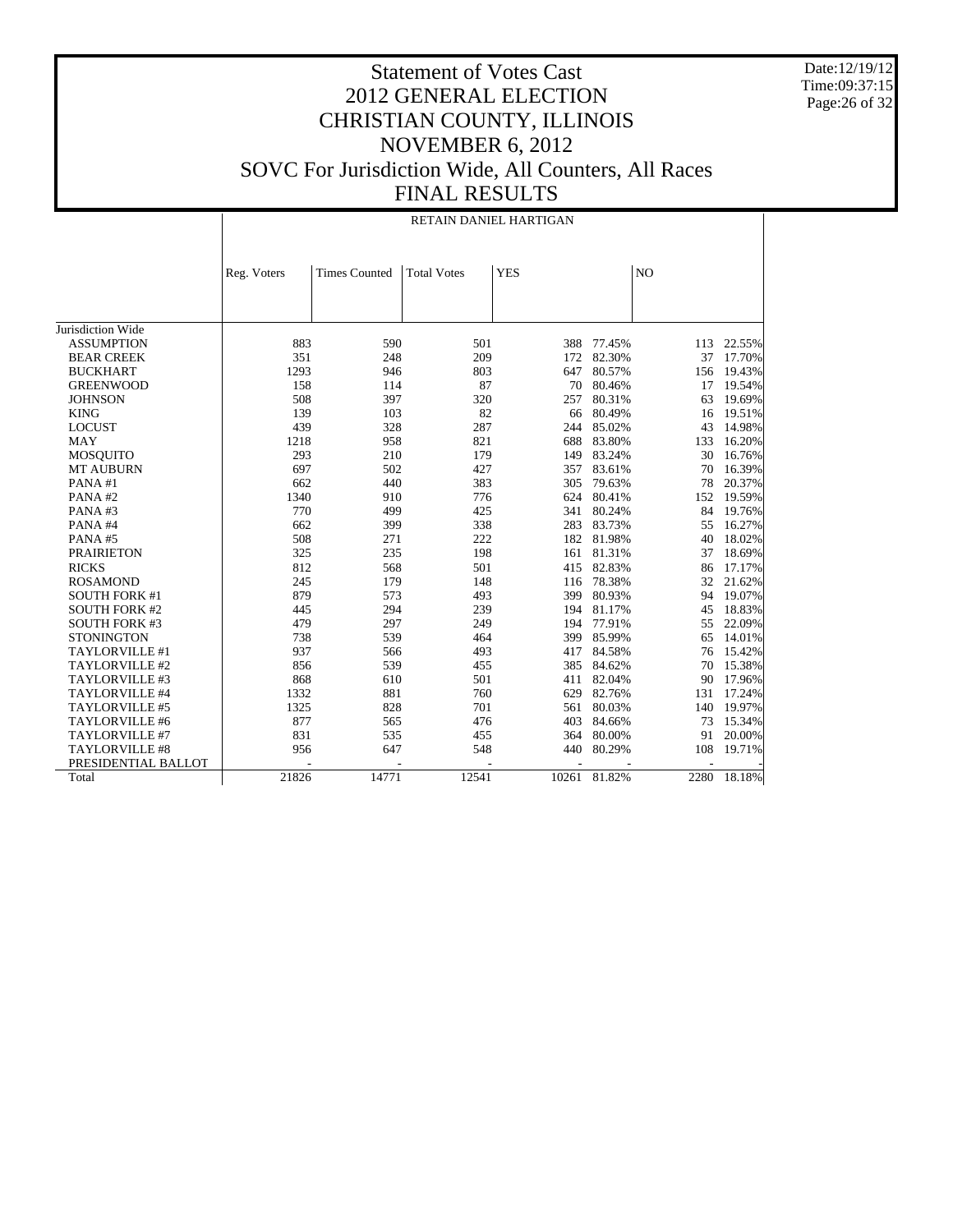Date:12/19/12 Time:09:37:15 Page:26 of 32

|                      | RETAIN DANIEL HARTIGAN |                      |                    |            |        |      |        |  |  |  |
|----------------------|------------------------|----------------------|--------------------|------------|--------|------|--------|--|--|--|
|                      | Reg. Voters            | <b>Times Counted</b> | <b>Total Votes</b> | <b>YES</b> |        | NO   |        |  |  |  |
|                      |                        |                      |                    |            |        |      |        |  |  |  |
|                      |                        |                      |                    |            |        |      |        |  |  |  |
| Jurisdiction Wide    |                        |                      |                    |            |        |      |        |  |  |  |
| <b>ASSUMPTION</b>    | 883                    | 590                  | 501                | 388        | 77.45% | 113  | 22.55% |  |  |  |
| <b>BEAR CREEK</b>    | 351                    | 248                  | 209                | 172        | 82.30% | 37   | 17.70% |  |  |  |
| <b>BUCKHART</b>      | 1293                   | 946                  | 803                | 647        | 80.57% | 156  | 19.43% |  |  |  |
| <b>GREENWOOD</b>     | 158                    | 114                  | 87                 | 70         | 80.46% | 17   | 19.54% |  |  |  |
| <b>JOHNSON</b>       | 508                    | 397                  | 320                | 257        | 80.31% | 63   | 19.69% |  |  |  |
| <b>KING</b>          | 139                    | 103                  | 82                 | 66         | 80.49% | 16   | 19.51% |  |  |  |
| <b>LOCUST</b>        | 439                    | 328                  | 287                | 244        | 85.02% | 43   | 14.98% |  |  |  |
| <b>MAY</b>           | 1218                   | 958                  | 821                | 688        | 83.80% | 133  | 16.20% |  |  |  |
| <b>MOSQUITO</b>      | 293                    | 210                  | 179                | 149        | 83.24% | 30   | 16.76% |  |  |  |
| <b>MT AUBURN</b>     | 697                    | 502                  | 427                | 357        | 83.61% | 70   | 16.39% |  |  |  |
| PANA#1               | 662                    | 440                  | 383                | 305        | 79.63% | 78   | 20.37% |  |  |  |
| PANA#2               | 1340                   | 910                  | 776                | 624        | 80.41% | 152  | 19.59% |  |  |  |
| PANA#3               | 770                    | 499                  | 425                | 341        | 80.24% | 84   | 19.76% |  |  |  |
| PANA#4               | 662                    | 399                  | 338                | 283        | 83.73% | 55   | 16.27% |  |  |  |
| PANA#5               | 508                    | 271                  | 222                | 182        | 81.98% | 40   | 18.02% |  |  |  |
| <b>PRAIRIETON</b>    | 325                    | 235                  | 198                | 161        | 81.31% | 37   | 18.69% |  |  |  |
| <b>RICKS</b>         | 812                    | 568                  | 501                | 415        | 82.83% | 86   | 17.17% |  |  |  |
| <b>ROSAMOND</b>      | 245                    | 179                  | 148                | 116        | 78.38% | 32   | 21.62% |  |  |  |
| <b>SOUTH FORK #1</b> | 879                    | 573                  | 493                | 399        | 80.93% | 94   | 19.07% |  |  |  |
| <b>SOUTH FORK #2</b> | 445                    | 294                  | 239                | 194        | 81.17% | 45   | 18.83% |  |  |  |
| <b>SOUTH FORK #3</b> | 479                    | 297                  | 249                | 194        | 77.91% | 55   | 22.09% |  |  |  |
| <b>STONINGTON</b>    | 738                    | 539                  | 464                | 399        | 85.99% | 65   | 14.01% |  |  |  |
| TAYLORVILLE #1       | 937                    | 566                  | 493                | 417        | 84.58% | 76   | 15.42% |  |  |  |
| TAYLORVILLE #2       | 856                    | 539                  | 455                | 385        | 84.62% | 70   | 15.38% |  |  |  |
| TAYLORVILLE #3       | 868                    | 610                  | 501                | 411        | 82.04% | 90   | 17.96% |  |  |  |
| TAYLORVILLE #4       | 1332                   | 881                  | 760                | 629        | 82.76% | 131  | 17.24% |  |  |  |
| TAYLORVILLE #5       | 1325                   | 828                  | 701                | 561        | 80.03% | 140  | 19.97% |  |  |  |
| TAYLORVILLE #6       | 877                    | 565                  | 476                | 403        | 84.66% | 73   | 15.34% |  |  |  |
| TAYLORVILLE #7       | 831                    | 535                  | 455                | 364        | 80.00% | 91   | 20.00% |  |  |  |
| TAYLORVILLE #8       | 956                    | 647                  | 548                | 440        | 80.29% | 108  | 19.71% |  |  |  |
| PRESIDENTIAL BALLOT  |                        |                      |                    |            |        |      |        |  |  |  |
| Total                | 21826                  | 14771                | 12541              | 10261      | 81.82% | 2280 | 18.18% |  |  |  |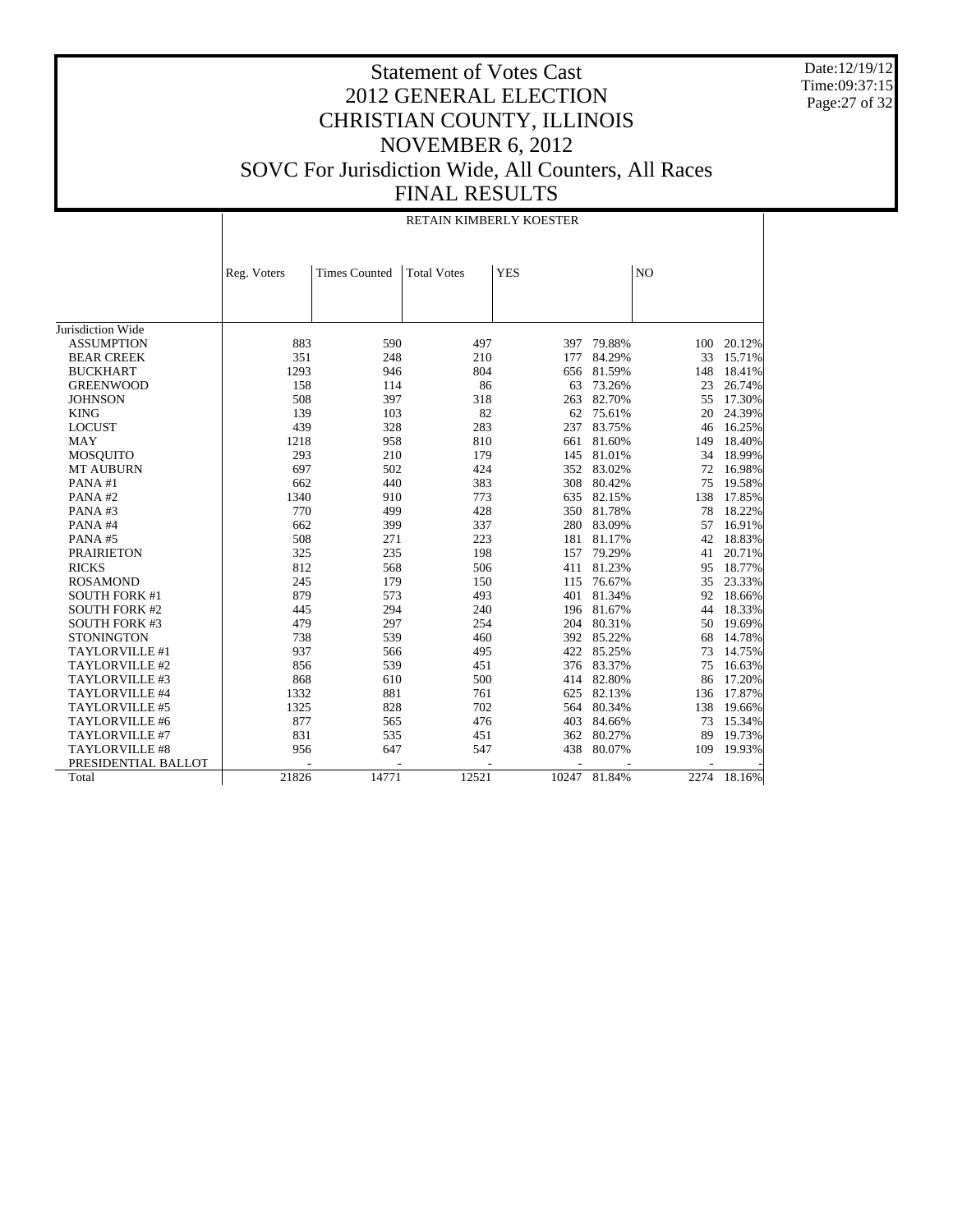Date:12/19/12 Time:09:37:15 Page:27 of 32

|                      | RETAIN KIMBERLY KOESTER |                                                                               |       |       |        |     |             |  |  |  |
|----------------------|-------------------------|-------------------------------------------------------------------------------|-------|-------|--------|-----|-------------|--|--|--|
|                      |                         | <b>YES</b><br>NO<br><b>Times Counted</b><br><b>Total Votes</b><br>Reg. Voters |       |       |        |     |             |  |  |  |
|                      |                         |                                                                               |       |       |        |     |             |  |  |  |
|                      |                         |                                                                               |       |       |        |     |             |  |  |  |
|                      |                         |                                                                               |       |       |        |     |             |  |  |  |
| Jurisdiction Wide    |                         |                                                                               |       |       |        |     |             |  |  |  |
| <b>ASSUMPTION</b>    | 883                     | 590                                                                           | 497   | 397   | 79.88% | 100 | 20.12%      |  |  |  |
| <b>BEAR CREEK</b>    | 351                     | 248                                                                           | 210   | 177   | 84.29% | 33  | 15.71%      |  |  |  |
| <b>BUCKHART</b>      | 1293                    | 946                                                                           | 804   | 656   | 81.59% | 148 | 18.41%      |  |  |  |
| <b>GREENWOOD</b>     | 158                     | 114                                                                           | 86    | 63    | 73.26% | 23  | 26.74%      |  |  |  |
| <b>JOHNSON</b>       | 508                     | 397                                                                           | 318   | 263   | 82.70% | 55  | 17.30%      |  |  |  |
| <b>KING</b>          | 139                     | 103                                                                           | 82    | 62    | 75.61% | 20  | 24.39%      |  |  |  |
| <b>LOCUST</b>        | 439                     | 328                                                                           | 283   | 237   | 83.75% | 46  | 16.25%      |  |  |  |
| <b>MAY</b>           | 1218                    | 958                                                                           | 810   | 661   | 81.60% | 149 | 18.40%      |  |  |  |
| <b>MOSQUITO</b>      | 293                     | 210                                                                           | 179   | 145   | 81.01% | 34  | 18.99%      |  |  |  |
| <b>MT AUBURN</b>     | 697                     | 502                                                                           | 424   | 352   | 83.02% | 72  | 16.98%      |  |  |  |
| PANA#1               | 662                     | 440                                                                           | 383   | 308   | 80.42% | 75  | 19.58%      |  |  |  |
| PANA#2               | 1340                    | 910                                                                           | 773   | 635   | 82.15% | 138 | 17.85%      |  |  |  |
| PANA#3               | 770                     | 499                                                                           | 428   | 350   | 81.78% | 78  | 18.22%      |  |  |  |
| PANA#4               | 662                     | 399                                                                           | 337   | 280   | 83.09% | 57  | 16.91%      |  |  |  |
| PANA#5               | 508                     | 271                                                                           | 223   | 181   | 81.17% | 42  | 18.83%      |  |  |  |
| <b>PRAIRIETON</b>    | 325                     | 235                                                                           | 198   | 157   | 79.29% | 41  | 20.71%      |  |  |  |
| <b>RICKS</b>         | 812                     | 568                                                                           | 506   | 411   | 81.23% | 95  | 18.77%      |  |  |  |
| <b>ROSAMOND</b>      | 245                     | 179                                                                           | 150   | 115   | 76.67% | 35  | 23.33%      |  |  |  |
| <b>SOUTH FORK #1</b> | 879                     | 573                                                                           | 493   | 401   | 81.34% | 92  | 18.66%      |  |  |  |
| <b>SOUTH FORK #2</b> | 445                     | 294                                                                           | 240   | 196   | 81.67% | 44  | 18.33%      |  |  |  |
| <b>SOUTH FORK #3</b> | 479                     | 297                                                                           | 254   | 204   | 80.31% | 50  | 19.69%      |  |  |  |
| <b>STONINGTON</b>    | 738                     | 539                                                                           | 460   | 392   | 85.22% | 68  | 14.78%      |  |  |  |
| TAYLORVILLE #1       | 937                     | 566                                                                           | 495   | 422   | 85.25% | 73  | 14.75%      |  |  |  |
| TAYLORVILLE #2       | 856                     | 539                                                                           | 451   | 376   | 83.37% | 75  | 16.63%      |  |  |  |
| TAYLORVILLE #3       | 868                     | 610                                                                           | 500   | 414   | 82.80% | 86  | 17.20%      |  |  |  |
| TAYLORVILLE #4       | 1332                    | 881                                                                           | 761   | 625   | 82.13% | 136 | 17.87%      |  |  |  |
| TAYLORVILLE #5       | 1325                    | 828                                                                           | 702   | 564   | 80.34% | 138 | 19.66%      |  |  |  |
| TAYLORVILLE #6       | 877                     | 565                                                                           | 476   | 403   | 84.66% | 73  | 15.34%      |  |  |  |
| TAYLORVILLE #7       | 831                     | 535                                                                           | 451   | 362   | 80.27% | 89  | 19.73%      |  |  |  |
| TAYLORVILLE #8       | 956                     | 647                                                                           | 547   | 438   | 80.07% | 109 | 19.93%      |  |  |  |
| PRESIDENTIAL BALLOT  |                         |                                                                               |       |       |        |     |             |  |  |  |
| Total                | 21826                   | 14771                                                                         | 12521 | 10247 | 81.84% |     | 2274 18.16% |  |  |  |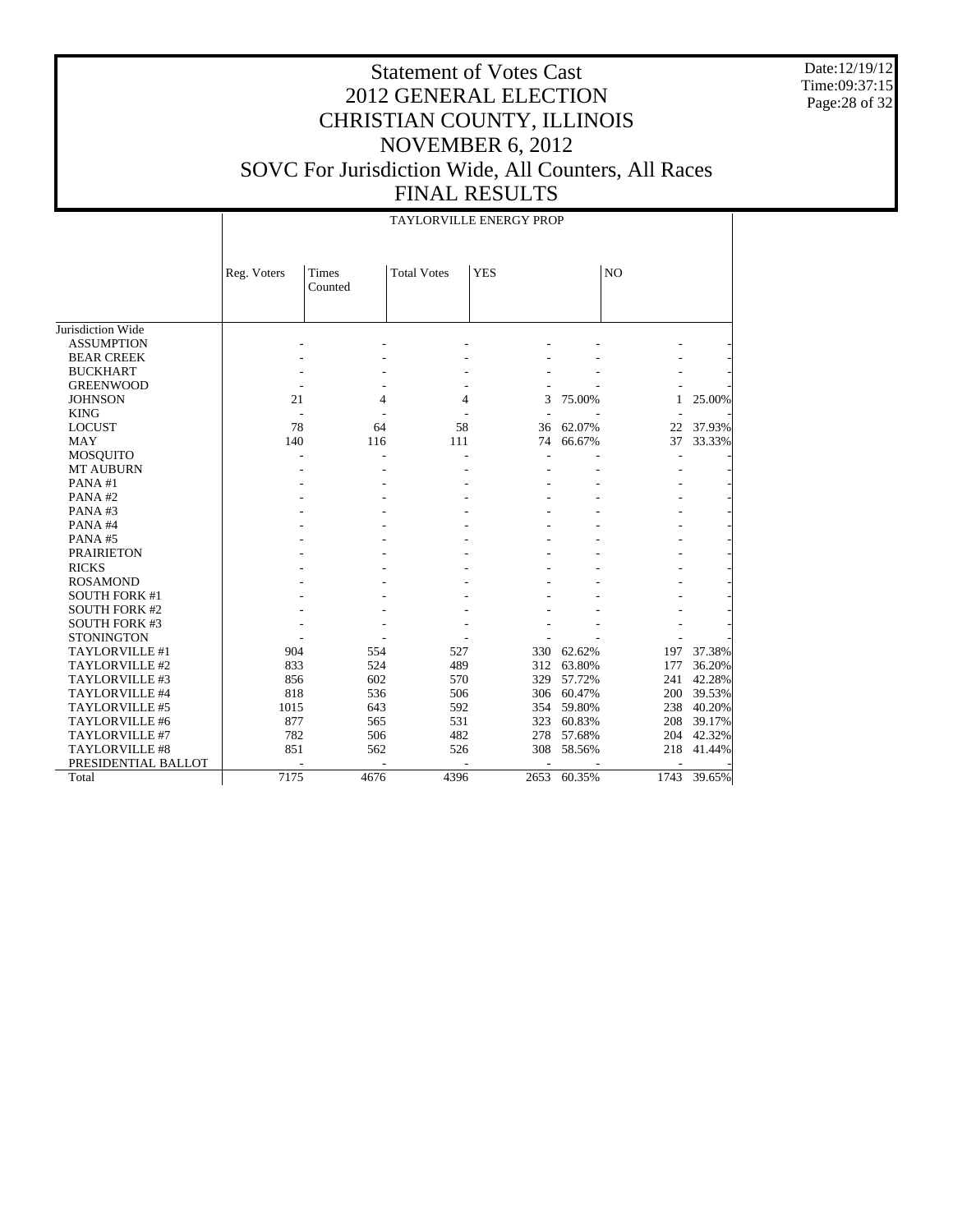Date:12/19/12 Time:09:37:15 Page:28 of 32

# Statement of Votes Cast 2012 GENERAL ELECTION CHRISTIAN COUNTY, ILLINOIS NOVEMBER 6, 2012 SOVC For Jurisdiction Wide, All Counters, All Races FINAL RESULTS

#### TAYLORVILLE ENERGY PROP

|                       | Reg. Voters              | Times   | <b>Total Votes</b> | <b>YES</b> |        | N <sub>O</sub> |        |
|-----------------------|--------------------------|---------|--------------------|------------|--------|----------------|--------|
|                       |                          | Counted |                    |            |        |                |        |
|                       |                          |         |                    |            |        |                |        |
|                       |                          |         |                    |            |        |                |        |
| Jurisdiction Wide     |                          |         |                    |            |        |                |        |
| <b>ASSUMPTION</b>     |                          |         |                    |            |        |                |        |
| <b>BEAR CREEK</b>     |                          |         |                    |            |        |                |        |
| <b>BUCKHART</b>       |                          |         |                    |            |        |                |        |
| <b>GREENWOOD</b>      |                          |         |                    |            |        |                |        |
| <b>JOHNSON</b>        | 21                       | 4       | 4                  | 3          | 75.00% | 1              | 25.00% |
| <b>KING</b>           | $\overline{\phantom{a}}$ |         |                    |            |        |                |        |
| <b>LOCUST</b>         | 78                       | 64      | 58                 | 36         | 62.07% | 22             | 37.93% |
| <b>MAY</b>            | 140                      | 116     | 111                | 74         | 66.67% | 37             | 33.33% |
| <b>MOSQUITO</b>       |                          |         |                    |            |        |                |        |
| <b>MT AUBURN</b>      |                          |         |                    |            |        |                |        |
| PANA#1                |                          |         |                    |            |        |                |        |
| PANA#2                |                          |         |                    |            |        |                |        |
| PANA#3                |                          |         |                    |            |        |                |        |
| PANA#4                |                          |         |                    |            |        |                |        |
| PANA#5                |                          |         |                    |            |        |                |        |
| <b>PRAIRIETON</b>     |                          |         |                    |            |        |                |        |
| <b>RICKS</b>          |                          |         |                    |            |        |                |        |
| <b>ROSAMOND</b>       |                          |         |                    |            |        |                |        |
| <b>SOUTH FORK #1</b>  |                          |         |                    |            |        |                |        |
| <b>SOUTH FORK #2</b>  |                          |         |                    |            |        |                |        |
| <b>SOUTH FORK #3</b>  |                          |         |                    |            |        |                |        |
| <b>STONINGTON</b>     |                          |         |                    |            |        |                |        |
| <b>TAYLORVILLE #1</b> | 904                      | 554     | 527                | 330        | 62.62% | 197            | 37.38% |
| TAYLORVILLE #2        | 833                      | 524     | 489                | 312        | 63.80% | 177            | 36.20% |
| TAYLORVILLE #3        | 856                      | 602     | 570                | 329        | 57.72% | 241            | 42.28% |
| TAYLORVILLE #4        | 818                      | 536     | 506                | 306        | 60.47% | 200            | 39.53% |
| TAYLORVILLE #5        | 1015                     | 643     | 592                | 354        | 59.80% | 238            | 40.20% |
| TAYLORVILLE #6        | 877                      | 565     | 531                | 323        | 60.83% | 208            | 39.17% |
| <b>TAYLORVILLE #7</b> | 782                      | 506     | 482                | 278        | 57.68% | 204            | 42.32% |
| <b>TAYLORVILLE #8</b> | 851                      | 562     | 526                | 308        | 58.56% | 218            | 41.44% |
| PRESIDENTIAL BALLOT   |                          |         |                    |            |        |                |        |
| Total                 | 7175                     | 4676    | 4396               | 2653       | 60.35% | 1743           | 39.65% |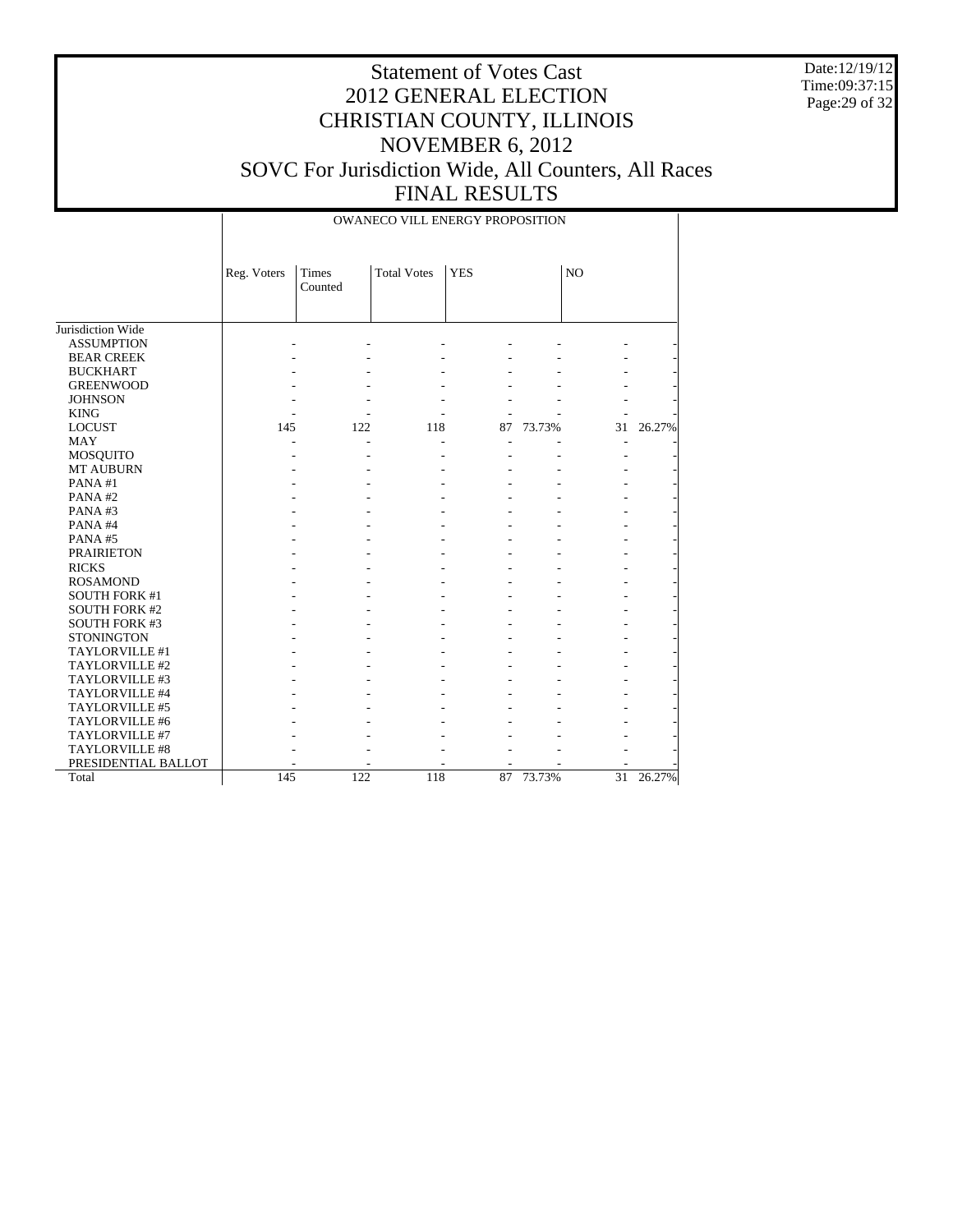Date:12/19/12 Time:09:37:15 Page:29 of 32

|                      | OWANECO VILL ENERGY PROPOSITION |                  |                    |            |           |                |           |  |  |  |
|----------------------|---------------------------------|------------------|--------------------|------------|-----------|----------------|-----------|--|--|--|
|                      | Reg. Voters                     | Times<br>Counted | <b>Total Votes</b> | <b>YES</b> |           | N <sub>O</sub> |           |  |  |  |
| Jurisdiction Wide    |                                 |                  |                    |            |           |                |           |  |  |  |
| <b>ASSUMPTION</b>    |                                 |                  |                    |            |           |                |           |  |  |  |
| <b>BEAR CREEK</b>    |                                 |                  |                    |            |           |                |           |  |  |  |
| <b>BUCKHART</b>      |                                 |                  |                    |            |           |                |           |  |  |  |
| <b>GREENWOOD</b>     |                                 |                  |                    |            |           |                |           |  |  |  |
| <b>JOHNSON</b>       |                                 |                  |                    |            |           |                |           |  |  |  |
| <b>KING</b>          |                                 |                  |                    |            |           |                |           |  |  |  |
| <b>LOCUST</b>        | 145                             | 122              | 118                | 87         | 73.73%    | 31             | 26.27%    |  |  |  |
| <b>MAY</b>           |                                 |                  | $\overline{a}$     |            |           | ÷,             |           |  |  |  |
| MOSQUITO             |                                 |                  |                    |            |           |                |           |  |  |  |
| <b>MT AUBURN</b>     |                                 |                  |                    |            |           |                |           |  |  |  |
| PANA#1               |                                 |                  |                    |            |           |                |           |  |  |  |
| PANA#2               |                                 |                  |                    |            |           |                |           |  |  |  |
| PANA#3               |                                 |                  |                    |            |           |                |           |  |  |  |
| PANA#4               |                                 |                  |                    |            |           |                |           |  |  |  |
| PANA#5               |                                 |                  |                    |            |           |                |           |  |  |  |
| <b>PRAIRIETON</b>    |                                 |                  |                    |            |           |                |           |  |  |  |
| <b>RICKS</b>         |                                 |                  |                    |            |           |                |           |  |  |  |
| <b>ROSAMOND</b>      |                                 |                  |                    |            |           |                |           |  |  |  |
| <b>SOUTH FORK #1</b> |                                 |                  |                    |            |           |                |           |  |  |  |
| <b>SOUTH FORK #2</b> |                                 |                  |                    |            |           |                |           |  |  |  |
| <b>SOUTH FORK #3</b> |                                 |                  |                    |            |           |                |           |  |  |  |
| <b>STONINGTON</b>    |                                 |                  |                    |            |           |                |           |  |  |  |
| TAYLORVILLE #1       |                                 |                  |                    |            |           |                |           |  |  |  |
| TAYLORVILLE #2       |                                 |                  |                    |            |           |                |           |  |  |  |
| TAYLORVILLE #3       |                                 |                  |                    |            |           |                |           |  |  |  |
| TAYLORVILLE #4       |                                 |                  |                    |            |           |                |           |  |  |  |
| TAYLORVILLE #5       |                                 |                  |                    |            |           |                |           |  |  |  |
| TAYLORVILLE #6       |                                 |                  |                    |            |           |                |           |  |  |  |
| TAYLORVILLE #7       |                                 |                  |                    |            |           |                |           |  |  |  |
| TAYLORVILLE #8       |                                 |                  |                    |            |           |                |           |  |  |  |
| PRESIDENTIAL BALLOT  |                                 |                  |                    |            |           |                |           |  |  |  |
| Total                | 145                             | 122              | 118                |            | 87 73.73% |                | 31 26.27% |  |  |  |
|                      |                                 |                  |                    |            |           |                |           |  |  |  |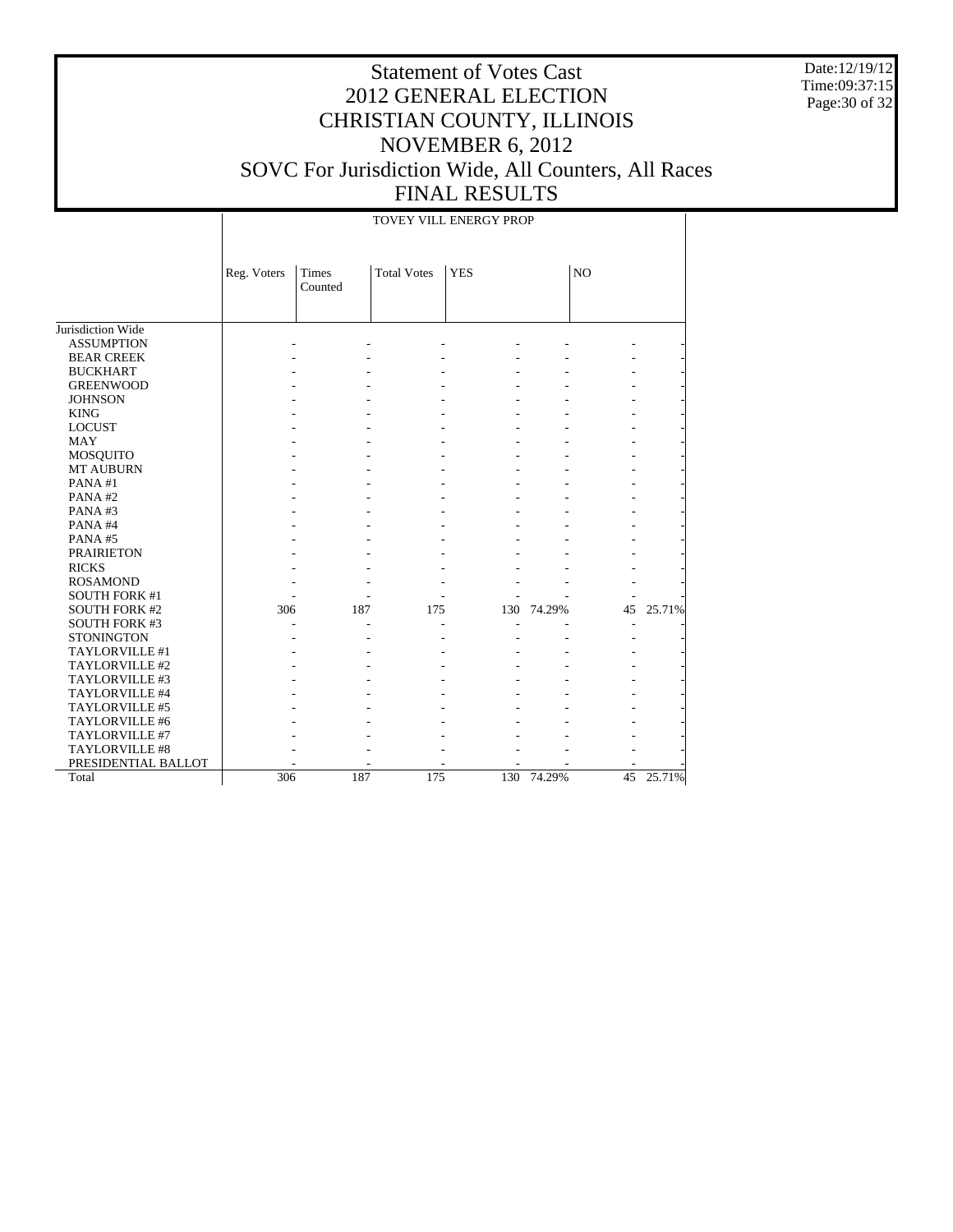Date:12/19/12 Time:09:37:15 Page:30 of 32

# Statement of Votes Cast 2012 GENERAL ELECTION CHRISTIAN COUNTY, ILLINOIS NOVEMBER 6, 2012 SOVC For Jurisdiction Wide, All Counters, All Races FINAL RESULTS

TOVEY VILL ENERGY PROP

|                       | Reg. Voters | Times<br>Counted | <b>Total Votes</b> | <b>YES</b> |        | N <sub>O</sub> |           |
|-----------------------|-------------|------------------|--------------------|------------|--------|----------------|-----------|
|                       |             |                  |                    |            |        |                |           |
| Jurisdiction Wide     |             |                  |                    |            |        |                |           |
| <b>ASSUMPTION</b>     |             |                  |                    |            |        |                |           |
| <b>BEAR CREEK</b>     |             |                  |                    |            |        |                |           |
| <b>BUCKHART</b>       |             |                  |                    |            |        |                |           |
| <b>GREENWOOD</b>      |             |                  |                    |            |        |                |           |
| <b>JOHNSON</b>        |             |                  |                    |            |        |                |           |
| <b>KING</b>           |             |                  |                    |            |        |                |           |
| <b>LOCUST</b>         |             |                  |                    |            |        |                |           |
| <b>MAY</b>            |             |                  |                    |            |        |                |           |
| MOSQUITO              |             |                  |                    |            |        |                |           |
| <b>MT AUBURN</b>      |             |                  |                    |            |        |                |           |
| PANA#1                |             |                  |                    |            |        |                |           |
| PANA#2                |             |                  |                    |            |        |                |           |
| PANA#3                |             |                  |                    |            |        |                |           |
| PANA#4                |             |                  |                    |            |        |                |           |
| PANA#5                |             |                  |                    |            |        |                |           |
| <b>PRAIRIETON</b>     |             |                  |                    |            |        |                |           |
| <b>RICKS</b>          |             |                  |                    |            |        |                |           |
| <b>ROSAMOND</b>       |             |                  |                    |            |        |                |           |
| <b>SOUTH FORK #1</b>  |             |                  |                    |            |        |                |           |
| <b>SOUTH FORK #2</b>  | 306         | 187              | 175                | 130        | 74.29% | 45             | 25.71%    |
| <b>SOUTH FORK #3</b>  |             |                  |                    |            |        |                |           |
| <b>STONINGTON</b>     |             |                  |                    |            |        |                |           |
| <b>TAYLORVILLE #1</b> |             |                  |                    |            |        |                |           |
| TAYLORVILLE #2        |             |                  |                    |            |        |                |           |
| TAYLORVILLE #3        |             |                  |                    |            |        |                |           |
| TAYLORVILLE #4        |             |                  |                    |            |        |                |           |
| TAYLORVILLE #5        |             |                  |                    |            |        |                |           |
| TAYLORVILLE #6        |             |                  |                    |            |        |                |           |
| TAYLORVILLE #7        |             |                  |                    |            |        |                |           |
| TAYLORVILLE #8        |             |                  |                    |            |        |                |           |
| PRESIDENTIAL BALLOT   |             |                  |                    |            |        |                |           |
| Total                 | 306         | 187              | 175                | 130        | 74.29% |                | 45 25.71% |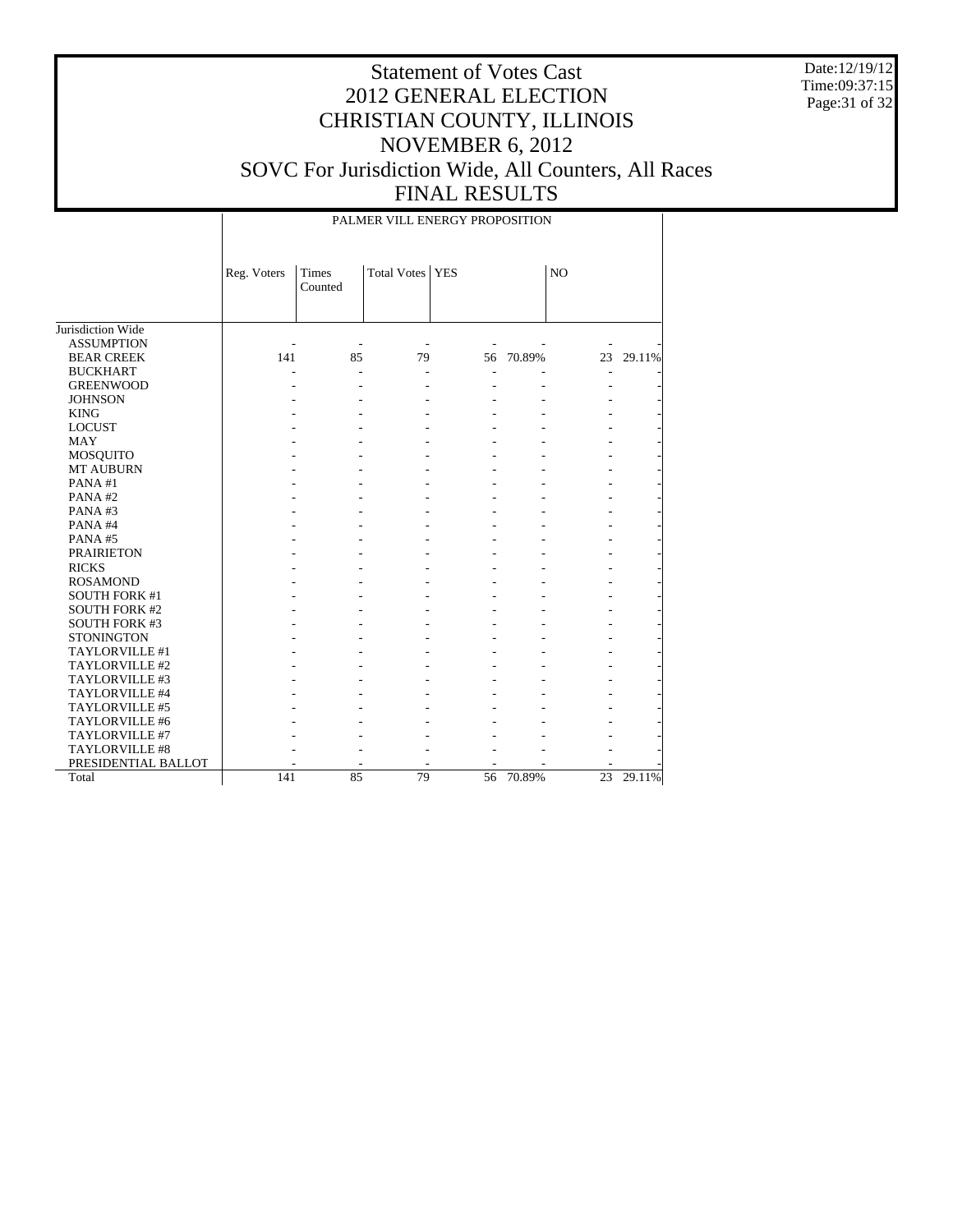Date:12/19/12 Time:09:37:15 Page: 31 of 32

|                      | PALMER VILL ENERGY PROPOSITION |                  |                    |            |        |                 |        |  |  |
|----------------------|--------------------------------|------------------|--------------------|------------|--------|-----------------|--------|--|--|
|                      | Reg. Voters                    | Times<br>Counted | <b>Total Votes</b> | <b>YES</b> |        | NO              |        |  |  |
| Jurisdiction Wide    |                                |                  |                    |            |        |                 |        |  |  |
| <b>ASSUMPTION</b>    |                                |                  |                    |            |        |                 |        |  |  |
| <b>BEAR CREEK</b>    | 141                            | 85               | 79                 | 56         | 70.89% | 23              | 29.11% |  |  |
| <b>BUCKHART</b>      |                                |                  |                    |            |        |                 |        |  |  |
| <b>GREENWOOD</b>     |                                |                  |                    |            |        |                 |        |  |  |
| <b>JOHNSON</b>       |                                |                  |                    |            |        |                 |        |  |  |
| <b>KING</b>          |                                |                  |                    |            |        |                 |        |  |  |
| <b>LOCUST</b>        |                                |                  |                    |            |        |                 |        |  |  |
| <b>MAY</b>           |                                |                  |                    |            |        |                 |        |  |  |
| MOSQUITO             |                                |                  |                    |            |        |                 |        |  |  |
| <b>MT AUBURN</b>     |                                |                  |                    |            |        |                 |        |  |  |
| PANA#1               |                                |                  |                    |            |        |                 |        |  |  |
| PANA#2               |                                |                  |                    |            |        |                 |        |  |  |
| PANA#3               |                                |                  |                    |            |        |                 |        |  |  |
| PANA#4               |                                |                  |                    |            |        |                 |        |  |  |
| PANA#5               |                                |                  |                    |            |        |                 |        |  |  |
| <b>PRAIRIETON</b>    |                                |                  |                    |            |        |                 |        |  |  |
| <b>RICKS</b>         |                                |                  |                    |            |        |                 |        |  |  |
| <b>ROSAMOND</b>      |                                |                  |                    |            |        |                 |        |  |  |
| <b>SOUTH FORK #1</b> |                                |                  |                    |            |        |                 |        |  |  |
| <b>SOUTH FORK #2</b> |                                |                  |                    |            |        |                 |        |  |  |
| <b>SOUTH FORK #3</b> |                                |                  |                    |            |        |                 |        |  |  |
| <b>STONINGTON</b>    |                                |                  |                    |            |        |                 |        |  |  |
| TAYLORVILLE #1       |                                |                  |                    |            |        |                 |        |  |  |
| TAYLORVILLE #2       |                                |                  |                    |            |        |                 |        |  |  |
| TAYLORVILLE #3       |                                |                  |                    |            |        |                 |        |  |  |
| TAYLORVILLE #4       |                                |                  |                    |            |        |                 |        |  |  |
| TAYLORVILLE #5       |                                |                  |                    |            |        |                 |        |  |  |
| TAYLORVILLE #6       |                                |                  |                    |            |        |                 |        |  |  |
| TAYLORVILLE #7       |                                |                  |                    |            |        |                 |        |  |  |
| TAYLORVILLE #8       |                                |                  |                    |            |        |                 |        |  |  |
| PRESIDENTIAL BALLOT  |                                |                  |                    |            |        |                 |        |  |  |
| Total                | 141                            | 85               | 79                 | 56         | 70.89% | $\overline{23}$ | 29.11% |  |  |